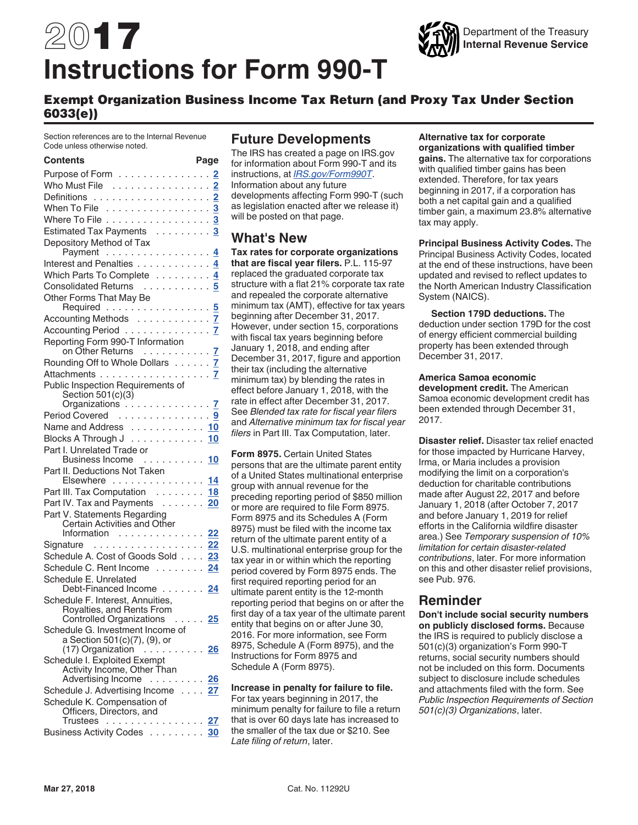# 2017 **Instructions for Form 990-T**



### Exempt Organization Business Income Tax Return (and Proxy Tax Under Section 6033(e))

Section references are to the Internal Revenue Code unless otherwise noted.

#### **Contents Page**

| Purpose of Form 2                                                         |    |
|---------------------------------------------------------------------------|----|
| Who Must File 2                                                           |    |
|                                                                           |    |
| When To File 3                                                            |    |
| Where To File 3                                                           |    |
| Estimated Tax Payments 3                                                  |    |
| Depository Method of Tax                                                  |    |
|                                                                           |    |
|                                                                           |    |
| Which Parts To Complete 4                                                 |    |
| Consolidated Returns 5                                                    |    |
| Other Forms That May Be<br>Required 5                                     |    |
| Accounting Methods 7                                                      |    |
|                                                                           |    |
| Accounting Period<br>Reporting Form 990-T Information<br>on Other Returns |    |
| Rounding Off to Whole Dollars 7                                           |    |
| Attachments 7                                                             |    |
| Public Inspection Requirements of                                         |    |
| Section 501(c)(3)                                                         |    |
| Organizations 7                                                           |    |
| Period Covered<br>Name and Address  10                                    |    |
|                                                                           |    |
| Blocks A Through J ............ <mark>10</mark>                           |    |
| Part I. Unrelated Trade or<br>Business Income  10                         |    |
| Part II. Deductions Not Taken                                             |    |
| Elsewhere 14                                                              |    |
| Part III. Tax Computation 18                                              |    |
| Part IV. Tax and Payments 20                                              |    |
| Part V. Statements Regarding                                              |    |
| Certain Activities and Other                                              |    |
| Information 22                                                            |    |
| Signature 22                                                              |    |
| Schedule A. Cost of Goods Sold 23                                         |    |
| Schedule C. Rent Income 24                                                |    |
| Schedule E. Unrelated                                                     |    |
| Debt-Financed Income 24                                                   |    |
| Schedule F. Interest, Annuities,                                          |    |
| Royalties, and Rents From<br>Controlled Organizations                     | 25 |
| Schedule G. Investment Income of                                          |    |
| a Section 501(c)(7), (9), or                                              |    |
| $(17)$ Organization  26                                                   |    |
| Schedule I. Exploited Exempt                                              |    |
| Activity Income, Other Than                                               |    |
| Advertising Income 26                                                     |    |
| Schedule J. Advertising Income 27                                         |    |
| Schedule K. Compensation of                                               |    |
| Officers, Directors, and                                                  |    |
| Trustees <mark>27</mark><br>Business Activity Codes 30                    |    |
|                                                                           |    |

### **Future Developments**

The IRS has created a page on IRS.gov for information about Form 990-T and its instructions, at *[IRS.gov/Form990T](https://www.irs.gov/site-index-search?search=form+990-t&field_pup_historical_1=1&field_pup_historical=1&=Search>)*. Information about any future developments affecting Form 990-T (such as legislation enacted after we release it) will be posted on that page.

### **What's New**

**Tax rates for corporate organizations that are fiscal year filers.** P.L. 115-97 replaced the graduated corporate tax structure with a flat 21% corporate tax rate and repealed the corporate alternative minimum tax (AMT), effective for tax years beginning after December 31, 2017. However, under section 15, corporations with fiscal tax years beginning before January 1, 2018, and ending after December 31, 2017, figure and apportion their tax (including the alternative minimum tax) by blending the rates in effect before January 1, 2018, with the rate in effect after December 31, 2017. See *Blended tax rate for fiscal year filers*  and *Alternative minimum tax for fiscal year filers* in Part III. Tax Computation, later.

**Form 8975.** Certain United States persons that are the ultimate parent entity of a United States multinational enterprise group with annual revenue for the preceding reporting period of \$850 million or more are required to file Form 8975. Form 8975 and its Schedules A (Form 8975) must be filed with the income tax return of the ultimate parent entity of a U.S. multinational enterprise group for the tax year in or within which the reporting period covered by Form 8975 ends. The first required reporting period for an ultimate parent entity is the 12-month reporting period that begins on or after the first day of a tax year of the ultimate parent entity that begins on or after June 30, 2016. For more information, see Form 8975, Schedule A (Form 8975), and the Instructions for Form 8975 and Schedule A (Form 8975).

**Increase in penalty for failure to file.**  For tax years beginning in 2017, the minimum penalty for failure to file a return that is over 60 days late has increased to the smaller of the tax due or \$210. See *Late filing of return*, later.

### **Alternative tax for corporate**

**organizations with qualified timber gains.** The alternative tax for corporations with qualified timber gains has been extended. Therefore, for tax years beginning in 2017, if a corporation has both a net capital gain and a qualified timber gain, a maximum 23.8% alternative tax may apply.

**Principal Business Activity Codes.** The Principal Business Activity Codes, located at the end of these instructions, have been updated and revised to reflect updates to the North American Industry Classification System (NAICS).

**Section 179D deductions.** The deduction under section 179D for the cost of energy efficient commercial building property has been extended through December 31, 2017.

#### **America Samoa economic**

**development credit.** The American Samoa economic development credit has been extended through December 31, 2017.

**Disaster relief.** Disaster tax relief enacted for those impacted by Hurricane Harvey, Irma, or Maria includes a provision modifying the limit on a corporation's deduction for charitable contributions made after August 22, 2017 and before January 1, 2018 (after October 7, 2017 and before January 1, 2019 for relief efforts in the California wildfire disaster area.) See *Temporary suspension of 10% limitation for certain disaster-related contributions*, later. For more information on this and other disaster relief provisions, see Pub. 976.

### **Reminder**

**Don't include social security numbers on publicly disclosed forms.** Because the IRS is required to publicly disclose a 501(c)(3) organization's Form 990-T returns, social security numbers should not be included on this form. Documents subject to disclosure include schedules and attachments filed with the form. See *Public Inspection Requirements of Section 501(c)(3) Organizations*, later.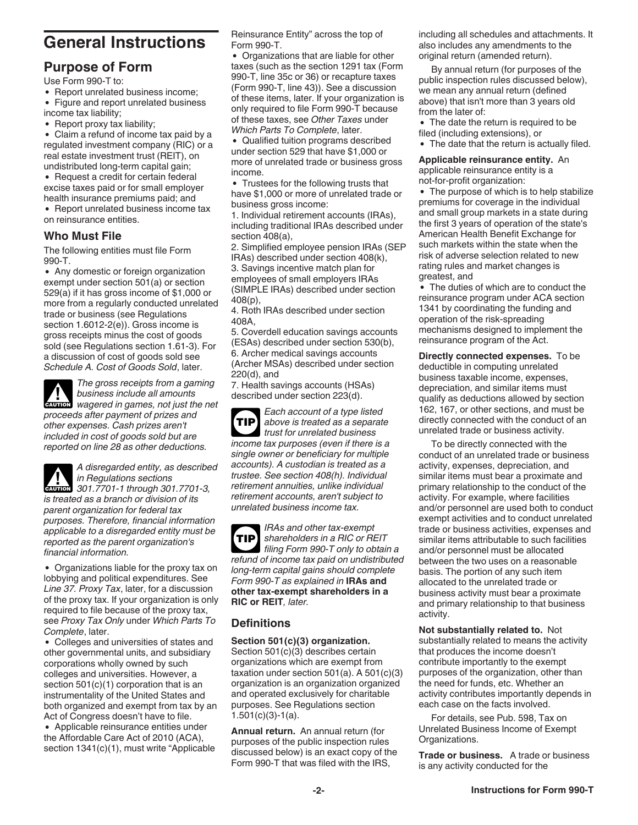# <span id="page-1-0"></span>**General Instructions**

### **Purpose of Form**

Use Form 990-T to:

• Report unrelated business income;

Figure and report unrelated business income tax liability;

Report proxy tax liability;

Claim a refund of income tax paid by a regulated investment company (RIC) or a real estate investment trust (REIT), on undistributed long-term capital gain;

• Request a credit for certain federal excise taxes paid or for small employer health insurance premiums paid; and

• Report unrelated business income tax on reinsurance entities.

### **Who Must File**

The following entities must file Form 990-T.

Any domestic or foreign organization exempt under section 501(a) or section 529(a) if it has gross income of \$1,000 or more from a regularly conducted unrelated trade or business (see Regulations section 1.6012-2(e)). Gross income is gross receipts minus the cost of goods sold (see Regulations section 1.61-3). For a discussion of cost of goods sold see *Schedule A. Cost of Goods Sold*, later.

*The gross receipts from a gaming business include all amounts*  **CAUTION** business include all amounts<br> **CAUTION** wagered in games, not just the net *proceeds after payment of prizes and* 

*other expenses. Cash prizes aren't included in cost of goods sold but are reported on line 28 as other deductions.*

*A disregarded entity, as described in Regulations sections CAUTION* 301.7701-1 through 301.7701-3, *is treated as a branch or division of its parent organization for federal tax purposes. Therefore, financial information applicable to a disregarded entity must be reported as the parent organization's financial information.*

Organizations liable for the proxy tax on lobbying and political expenditures. See *Line 37. Proxy Tax*, later, for a discussion of the proxy tax. If your organization is only required to file because of the proxy tax, see *Proxy Tax Only* under *Which Parts To Complete*, later.

Colleges and universities of states and other governmental units, and subsidiary corporations wholly owned by such colleges and universities. However, a section 501(c)(1) corporation that is an instrumentality of the United States and both organized and exempt from tax by an Act of Congress doesn't have to file.

Applicable reinsurance entities under the Affordable Care Act of 2010 (ACA), section 1341(c)(1), must write "Applicable Reinsurance Entity" across the top of Form 990-T.

Organizations that are liable for other taxes (such as the section 1291 tax (Form 990-T, line 35c or 36) or recapture taxes (Form 990-T, line 43)). See a discussion of these items, later. If your organization is only required to file Form 990-T because of these taxes, see *Other Taxes* under *Which Parts To Complete*, later.

Qualified tuition programs described under section 529 that have \$1,000 or more of unrelated trade or business gross income.

• Trustees for the following trusts that have \$1,000 or more of unrelated trade or business gross income:

1. Individual retirement accounts (IRAs), including traditional IRAs described under section 408(a),

2. Simplified employee pension IRAs (SEP IRAs) described under section 408(k),

3. Savings incentive match plan for employees of small employers IRAs (SIMPLE IRAs) described under section 408(p),

4. Roth IRAs described under section 408A,

5. Coverdell education savings accounts (ESAs) described under section 530(b), 6. Archer medical savings accounts (Archer MSAs) described under section 220(d), and

7. Health savings accounts (HSAs) described under section 223(d).

*Each account of a type listed above is treated as a separate trust for unrelated business income tax purposes (even if there is a single owner or beneficiary for multiple accounts). A custodian is treated as a trustee. See section 408(h). Individual retirement annuities, unlike individual retirement accounts, aren't subject to unrelated business income tax.* **TIP**

*IRAs and other tax-exempt shareholders in a RIC or REIT filing Form 990-T only to obtain a refund of income tax paid on undistributed long-term capital gains should complete Form 990-T as explained in* **IRAs and other tax-exempt shareholders in a RIC or REIT***, later.* **TIP**

### **Definitions**

**Section 501(c)(3) organization.**  Section 501(c)(3) describes certain organizations which are exempt from taxation under section 501(a). A 501(c)(3) organization is an organization organized and operated exclusively for charitable purposes. See Regulations section 1.501(c)(3)-1(a).

**Annual return.** An annual return (for purposes of the public inspection rules discussed below) is an exact copy of the Form 990-T that was filed with the IRS,

including all schedules and attachments. It also includes any amendments to the original return (amended return).

By annual return (for purposes of the public inspection rules discussed below), we mean any annual return (defined above) that isn't more than 3 years old from the later of:

• The date the return is required to be filed (including extensions), or

The date that the return is actually filed.

**Applicable reinsurance entity.** An applicable reinsurance entity is a not-for-profit organization:

The purpose of which is to help stabilize premiums for coverage in the individual and small group markets in a state during the first 3 years of operation of the state's American Health Benefit Exchange for such markets within the state when the risk of adverse selection related to new rating rules and market changes is greatest, and

The duties of which are to conduct the reinsurance program under ACA section 1341 by coordinating the funding and operation of the risk-spreading mechanisms designed to implement the reinsurance program of the Act.

**Directly connected expenses.** To be deductible in computing unrelated business taxable income, expenses, depreciation, and similar items must qualify as deductions allowed by section 162, 167, or other sections, and must be directly connected with the conduct of an unrelated trade or business activity.

To be directly connected with the conduct of an unrelated trade or business activity, expenses, depreciation, and similar items must bear a proximate and primary relationship to the conduct of the activity. For example, where facilities and/or personnel are used both to conduct exempt activities and to conduct unrelated trade or business activities, expenses and similar items attributable to such facilities and/or personnel must be allocated between the two uses on a reasonable basis. The portion of any such item allocated to the unrelated trade or business activity must bear a proximate and primary relationship to that business activity.

**Not substantially related to.** Not substantially related to means the activity that produces the income doesn't contribute importantly to the exempt purposes of the organization, other than the need for funds, etc. Whether an activity contributes importantly depends in each case on the facts involved.

For details, see Pub. 598, Tax on Unrelated Business Income of Exempt Organizations.

**Trade or business.** A trade or business is any activity conducted for the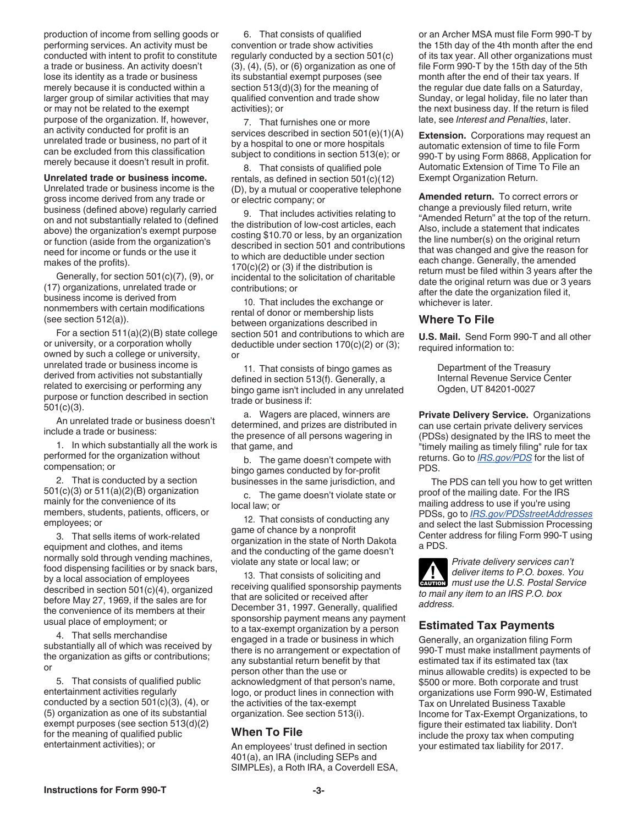<span id="page-2-0"></span>production of income from selling goods or performing services. An activity must be conducted with intent to profit to constitute a trade or business. An activity doesn't lose its identity as a trade or business merely because it is conducted within a larger group of similar activities that may or may not be related to the exempt purpose of the organization. If, however, an activity conducted for profit is an unrelated trade or business, no part of it can be excluded from this classification merely because it doesn't result in profit.

#### **Unrelated trade or business income.**

Unrelated trade or business income is the gross income derived from any trade or business (defined above) regularly carried on and not substantially related to (defined above) the organization's exempt purpose or function (aside from the organization's need for income or funds or the use it makes of the profits).

Generally, for section 501(c)(7), (9), or (17) organizations, unrelated trade or business income is derived from nonmembers with certain modifications (see section 512(a)).

For a section 511(a)(2)(B) state college or university, or a corporation wholly owned by such a college or university, unrelated trade or business income is derived from activities not substantially related to exercising or performing any purpose or function described in section 501(c)(3).

An unrelated trade or business doesn't include a trade or business:

1. In which substantially all the work is performed for the organization without compensation; or

2. That is conducted by a section 501(c)(3) or 511(a)(2)(B) organization mainly for the convenience of its members, students, patients, officers, or employees; or

3. That sells items of work-related equipment and clothes, and items normally sold through vending machines, food dispensing facilities or by snack bars, by a local association of employees described in section 501(c)(4), organized before May 27, 1969, if the sales are for the convenience of its members at their usual place of employment; or

4. That sells merchandise substantially all of which was received by the organization as gifts or contributions; or

5. That consists of qualified public entertainment activities regularly conducted by a section 501(c)(3), (4), or (5) organization as one of its substantial exempt purposes (see section 513(d)(2) for the meaning of qualified public entertainment activities); or

6. That consists of qualified convention or trade show activities regularly conducted by a section 501(c) (3), (4), (5), or (6) organization as one of its substantial exempt purposes (see section 513(d)(3) for the meaning of qualified convention and trade show activities); or

7. That furnishes one or more services described in section 501(e)(1)(A) by a hospital to one or more hospitals subject to conditions in section 513(e); or

8. That consists of qualified pole rentals, as defined in section 501(c)(12) (D), by a mutual or cooperative telephone or electric company; or

9. That includes activities relating to the distribution of low-cost articles, each costing \$10.70 or less, by an organization described in section 501 and contributions to which are deductible under section  $170(c)(2)$  or (3) if the distribution is incidental to the solicitation of charitable contributions; or

10. That includes the exchange or rental of donor or membership lists between organizations described in section 501 and contributions to which are deductible under section 170(c)(2) or (3); or

11. That consists of bingo games as defined in section 513(f). Generally, a bingo game isn't included in any unrelated trade or business if:

a. Wagers are placed, winners are determined, and prizes are distributed in the presence of all persons wagering in that game, and

b. The game doesn't compete with bingo games conducted by for-profit businesses in the same jurisdiction, and

c. The game doesn't violate state or local law; or

12. That consists of conducting any game of chance by a nonprofit organization in the state of North Dakota and the conducting of the game doesn't violate any state or local law; or

13. That consists of soliciting and receiving qualified sponsorship payments that are solicited or received after December 31, 1997. Generally, qualified sponsorship payment means any payment to a tax-exempt organization by a person engaged in a trade or business in which there is no arrangement or expectation of any substantial return benefit by that person other than the use or acknowledgment of that person's name, logo, or product lines in connection with the activities of the tax-exempt organization. See section 513(i).

#### **When To File**

An employees' trust defined in section 401(a), an IRA (including SEPs and SIMPLEs), a Roth IRA, a Coverdell ESA, or an Archer MSA must file Form 990-T by the 15th day of the 4th month after the end of its tax year. All other organizations must file Form 990-T by the 15th day of the 5th month after the end of their tax years. If the regular due date falls on a Saturday, Sunday, or legal holiday, file no later than the next business day. If the return is filed late, see *Interest and Penalties*, later.

**Extension.** Corporations may request an automatic extension of time to file Form 990-T by using Form 8868, Application for Automatic Extension of Time To File an Exempt Organization Return.

**Amended return.** To correct errors or change a previously filed return, write "Amended Return" at the top of the return. Also, include a statement that indicates the line number(s) on the original return that was changed and give the reason for each change. Generally, the amended return must be filed within 3 years after the date the original return was due or 3 years after the date the organization filed it, whichever is later.

#### **Where To File**

**U.S. Mail.** Send Form 990-T and all other required information to:

> Department of the Treasury Internal Revenue Service Center Ogden, UT 84201-0027

**Private Delivery Service.** Organizations can use certain private delivery services (PDSs) designated by the IRS to meet the "timely mailing as timely filing" rule for tax returns. Go to *[IRS.gov/PDS](https://www.irs.gov/filing/private-delivery-services-pds)* for the list of PDS.

The PDS can tell you how to get written proof of the mailing date. For the IRS mailing address to use if you're using PDSs, go to *[IRS.gov/PDSstreetAddresses](https://www.irs.gov/pdsstreetaddresses)*  and select the last Submission Processing Center address for filing Form 990-T using a PDS.



*Private delivery services can't deliver items to P.O. boxes. You must use the U.S. Postal Service to mail any item to an IRS P.O. box address.*

#### **Estimated Tax Payments**

Generally, an organization filing Form 990-T must make installment payments of estimated tax if its estimated tax (tax minus allowable credits) is expected to be \$500 or more. Both corporate and trust organizations use Form 990-W, Estimated Tax on Unrelated Business Taxable Income for Tax-Exempt Organizations, to figure their estimated tax liability. Don't include the proxy tax when computing your estimated tax liability for 2017.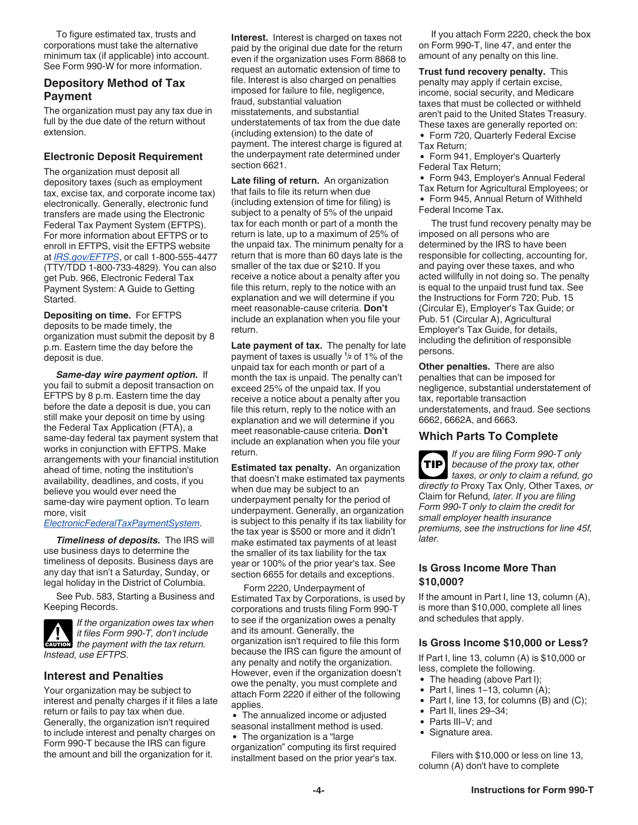<span id="page-3-0"></span>To figure estimated tax, trusts and corporations must take the alternative minimum tax (if applicable) into account. See Form 990-W for more information.

### **Depository Method of Tax Payment**

The organization must pay any tax due in full by the due date of the return without extension.

#### **Electronic Deposit Requirement**

The organization must deposit all depository taxes (such as employment tax, excise tax, and corporate income tax) electronically. Generally, electronic fund transfers are made using the Electronic Federal Tax Payment System (EFTPS). For more information about EFTPS or to enroll in EFTPS, visit the EFTPS website at *[IRS.gov/EFTPS](https://www.eftps.gov/eftps/)*, or call 1-800-555-4477 (TTY/TDD 1-800-733-4829). You can also get Pub. 966, Electronic Federal Tax Payment System: A Guide to Getting Started.

**Depositing on time.** For EFTPS deposits to be made timely, the organization must submit the deposit by 8 p.m. Eastern time the day before the deposit is due.

*Same-day wire payment option.* If you fail to submit a deposit transaction on EFTPS by 8 p.m. Eastern time the day before the date a deposit is due, you can still make your deposit on time by using the Federal Tax Application (FTA), a same-day federal tax payment system that works in conjunction with EFTPS. Make arrangements with your financial institution ahead of time, noting the institution's availability, deadlines, and costs, if you believe you would ever need the same-day wire payment option. To learn more, visit

#### *[ElectronicFederalTaxPaymentSystem](https://www.eftps.gov/eftps/)*.

*Timeliness of deposits.* The IRS will use business days to determine the timeliness of deposits. Business days are any day that isn't a Saturday, Sunday, or legal holiday in the District of Columbia.

See Pub. 583, Starting a Business and Keeping Records.



*If the organization owes tax when it files Form 990-T, don't include the payment with the tax return.*<br> **EXUTION** the payment with the tax return. *Instead, use EFTPS.*

#### **Interest and Penalties**

Your organization may be subject to interest and penalty charges if it files a late return or fails to pay tax when due. Generally, the organization isn't required to include interest and penalty charges on Form 990-T because the IRS can figure the amount and bill the organization for it.

**Interest.** Interest is charged on taxes not paid by the original due date for the return even if the organization uses Form 8868 to request an automatic extension of time to file. Interest is also charged on penalties imposed for failure to file, negligence, fraud, substantial valuation misstatements, and substantial understatements of tax from the due date (including extension) to the date of payment. The interest charge is figured at the underpayment rate determined under section 6621.

**Late filing of return.** An organization that fails to file its return when due (including extension of time for filing) is subject to a penalty of 5% of the unpaid tax for each month or part of a month the return is late, up to a maximum of 25% of the unpaid tax. The minimum penalty for a return that is more than 60 days late is the smaller of the tax due or \$210. If you receive a notice about a penalty after you file this return, reply to the notice with an explanation and we will determine if you meet reasonable-cause criteria. **Don't**  include an explanation when you file your return.

**Late payment of tax.** The penalty for late payment of taxes is usually **<sup>1</sup> <sup>2</sup>** of 1% of the unpaid tax for each month or part of a month the tax is unpaid. The penalty can't exceed 25% of the unpaid tax. If you receive a notice about a penalty after you file this return, reply to the notice with an explanation and we will determine if you meet reasonable-cause criteria. **Don't**  include an explanation when you file your return.

**Estimated tax penalty.** An organization that doesn't make estimated tax payments when due may be subject to an underpayment penalty for the period of underpayment. Generally, an organization is subject to this penalty if its tax liability for the tax year is \$500 or more and it didn't make estimated tax payments of at least the smaller of its tax liability for the tax year or 100% of the prior year's tax. See section 6655 for details and exceptions.

Form 2220, Underpayment of Estimated Tax by Corporations, is used by corporations and trusts filing Form 990-T to see if the organization owes a penalty and its amount. Generally, the organization isn't required to file this form because the IRS can figure the amount of any penalty and notify the organization. However, even if the organization doesn't owe the penalty, you must complete and attach Form 2220 if either of the following applies.

The annualized income or adjusted seasonal installment method is used.

The organization is a "large organization" computing its first required installment based on the prior year's tax.

If you attach Form 2220, check the box on Form 990-T, line 47, and enter the amount of any penalty on this line.

**Trust fund recovery penalty.** This penalty may apply if certain excise, income, social security, and Medicare taxes that must be collected or withheld aren't paid to the United States Treasury. These taxes are generally reported on:

Form 720, Quarterly Federal Excise Tax Return;

Form 941, Employer's Quarterly Federal Tax Return;

Form 943, Employer's Annual Federal

Tax Return for Agricultural Employees; or

Form 945, Annual Return of Withheld Federal Income Tax.

The trust fund recovery penalty may be imposed on all persons who are determined by the IRS to have been responsible for collecting, accounting for, and paying over these taxes, and who acted willfully in not doing so. The penalty is equal to the unpaid trust fund tax. See the Instructions for Form 720; Pub. 15 (Circular E), Employer's Tax Guide; or Pub. 51 (Circular A), Agricultural Employer's Tax Guide, for details, including the definition of responsible persons.

**Other penalties.** There are also penalties that can be imposed for negligence, substantial understatement of tax, reportable transaction understatements, and fraud. See sections 6662, 6662A, and 6663.

#### **Which Parts To Complete**

*If you are filing Form 990-T only because of the proxy tax, other taxes, or only to claim a refund, go directly to* Proxy Tax Only*,* Other Taxes*, or*  Claim for Refund*, later. If you are filing Form 990-T only to claim the credit for small employer health insurance premiums, see the instructions for line 45f, later.* **TIP**

#### **Is Gross Income More Than \$10,000?**

If the amount in Part I, line 13, column (A), is more than \$10,000, complete all lines and schedules that apply.

#### **Is Gross Income \$10,000 or Less?**

If Part I, line 13, column (A) is \$10,000 or less, complete the following.

- The heading (above Part I);
- $\bullet$  Part I, lines 1–13, column (A);
- Part I, line 13, for columns  $(B)$  and  $(C)$ ;
- $\bullet$  Part II, lines 29–34;
- Parts III–V; and
- Signature area.

Filers with \$10,000 or less on line 13, column (A) don't have to complete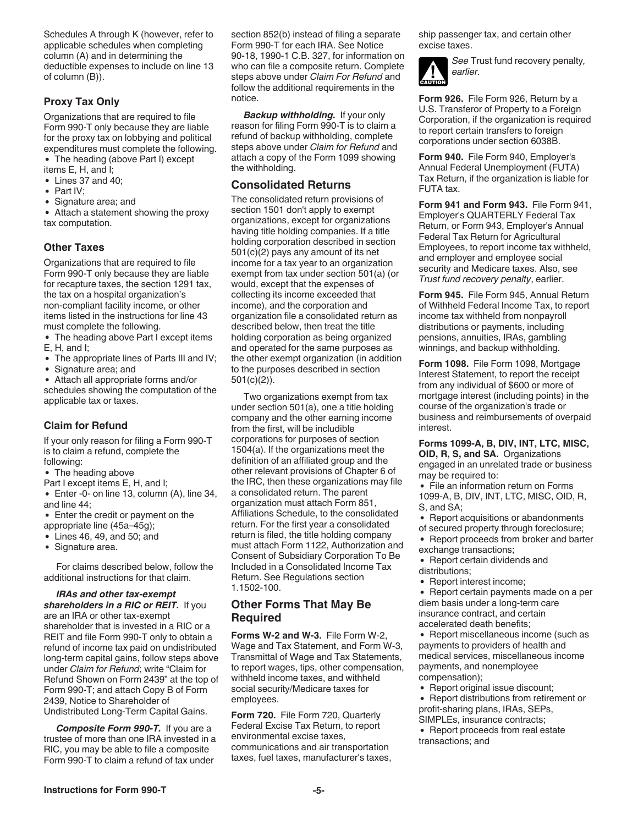<span id="page-4-0"></span>Schedules A through K (however, refer to applicable schedules when completing column (A) and in determining the deductible expenses to include on line 13 of column (B)).

#### **Proxy Tax Only**

Organizations that are required to file Form 990-T only because they are liable for the proxy tax on lobbying and political expenditures must complete the following.

- The heading (above Part I) except items E, H, and I;
- Lines 37 and 40;
- $\bullet$  Part IV:
- Signature area; and

Attach a statement showing the proxy tax computation.

#### **Other Taxes**

Organizations that are required to file Form 990-T only because they are liable for recapture taxes, the section 1291 tax, the tax on a hospital organization's non-compliant facility income, or other items listed in the instructions for line 43 must complete the following.

- The heading above Part I except items E, H, and I;
- The appropriate lines of Parts III and IV;
- Signature area; and
- Attach all appropriate forms and/or

schedules showing the computation of the applicable tax or taxes.

#### **Claim for Refund**

If your only reason for filing a Form 990-T is to claim a refund, complete the following:

- The heading above
- Part I except items E, H, and I;
- Enter -0- on line 13, column (A), line 34, and line 44;

Enter the credit or payment on the appropriate line (45a–45g);

- Lines 46, 49, and 50; and
- Signature area.

For claims described below, follow the additional instructions for that claim.

*IRAs and other tax-exempt shareholders in a RIC or REIT.* If you are an IRA or other tax-exempt shareholder that is invested in a RIC or a REIT and file Form 990-T only to obtain a refund of income tax paid on undistributed long-term capital gains, follow steps above under *Claim for Refund*; write "Claim for Refund Shown on Form 2439" at the top of Form 990-T; and attach Copy B of Form 2439, Notice to Shareholder of Undistributed Long-Term Capital Gains.

*Composite Form 990-T.* If you are a trustee of more than one IRA invested in a RIC, you may be able to file a composite Form 990-T to claim a refund of tax under

section 852(b) instead of filing a separate Form 990-T for each IRA. See Notice 90-18, 1990-1 C.B. 327, for information on who can file a composite return. Complete steps above under *Claim For Refund* and follow the additional requirements in the notice.

*Backup withholding.* If your only reason for filing Form 990-T is to claim a refund of backup withholding, complete steps above under *Claim for Refund* and attach a copy of the Form 1099 showing the withholding.

#### **Consolidated Returns**

The consolidated return provisions of section 1501 don't apply to exempt organizations, except for organizations having title holding companies. If a title holding corporation described in section 501(c)(2) pays any amount of its net income for a tax year to an organization exempt from tax under section 501(a) (or would, except that the expenses of collecting its income exceeded that income), and the corporation and organization file a consolidated return as described below, then treat the title holding corporation as being organized and operated for the same purposes as the other exempt organization (in addition to the purposes described in section 501(c)(2)).

Two organizations exempt from tax under section 501(a), one a title holding company and the other earning income from the first, will be includible corporations for purposes of section 1504(a). If the organizations meet the definition of an affiliated group and the other relevant provisions of Chapter 6 of the IRC, then these organizations may file a consolidated return. The parent organization must attach Form 851, Affiliations Schedule, to the consolidated return. For the first year a consolidated return is filed, the title holding company must attach Form 1122, Authorization and Consent of Subsidiary Corporation To Be Included in a Consolidated Income Tax Return. See Regulations section 1.1502-100.

### **Other Forms That May Be Required**

**Forms W-2 and W-3.** File Form W-2, Wage and Tax Statement, and Form W-3, Transmittal of Wage and Tax Statements, to report wages, tips, other compensation, withheld income taxes, and withheld social security/Medicare taxes for employees.

**Form 720.** File Form 720, Quarterly Federal Excise Tax Return, to report environmental excise taxes, communications and air transportation taxes, fuel taxes, manufacturer's taxes, ship passenger tax, and certain other excise taxes.



*See* Trust fund recovery penalty*, earlier.*

**Form 926.** File Form 926, Return by a U.S. Transferor of Property to a Foreign Corporation, if the organization is required to report certain transfers to foreign corporations under section 6038B.

**Form 940.** File Form 940, Employer's Annual Federal Unemployment (FUTA) Tax Return, if the organization is liable for FUTA tax.

**Form 941 and Form 943.** File Form 941, Employer's QUARTERLY Federal Tax Return, or Form 943, Employer's Annual Federal Tax Return for Agricultural Employees, to report income tax withheld, and employer and employee social security and Medicare taxes. Also, see *Trust fund recovery penalty*, earlier.

**Form 945.** File Form 945, Annual Return of Withheld Federal Income Tax, to report income tax withheld from nonpayroll distributions or payments, including pensions, annuities, IRAs, gambling winnings, and backup withholding.

**Form 1098.** File Form 1098, Mortgage Interest Statement, to report the receipt from any individual of \$600 or more of mortgage interest (including points) in the course of the organization's trade or business and reimbursements of overpaid interest.

**Forms 1099-A, B, DIV, INT, LTC, MISC, OID, R, S, and SA.** Organizations engaged in an unrelated trade or business may be required to:

- File an information return on Forms 1099-A, B, DIV, INT, LTC, MISC, OID, R, S, and SA;
- Report acquisitions or abandonments
- of secured property through foreclosure;
- Report proceeds from broker and barter exchange transactions;
- Report certain dividends and distributions;
- Report interest income;  $\bullet$

• Report certain payments made on a per diem basis under a long-term care insurance contract, and certain accelerated death benefits;

• Report miscellaneous income (such as payments to providers of health and medical services, miscellaneous income payments, and nonemployee compensation);

• Report original issue discount;

Report distributions from retirement or profit-sharing plans, IRAs, SEPs, SIMPLEs, insurance contracts;

• Report proceeds from real estate transactions; and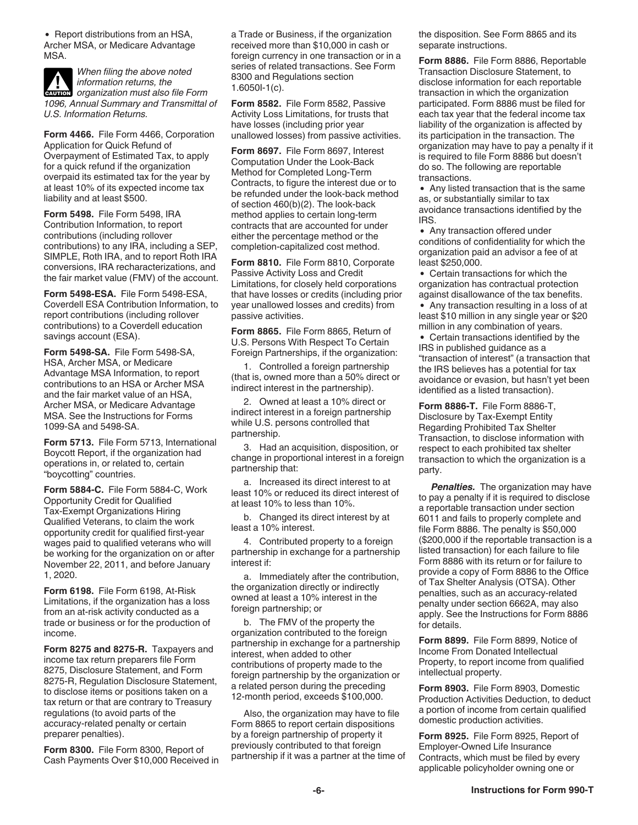• Report distributions from an HSA, Archer MSA, or Medicare Advantage MSA.

*When filing the above noted information returns, the*  **CAUTION** *organization must also file Form 1096, Annual Summary and Transmittal of U.S. Information Returns.*

**Form 4466.** File Form 4466, Corporation Application for Quick Refund of Overpayment of Estimated Tax, to apply for a quick refund if the organization overpaid its estimated tax for the year by at least 10% of its expected income tax liability and at least \$500.

**Form 5498.** File Form 5498, IRA Contribution Information, to report contributions (including rollover contributions) to any IRA, including a SEP, SIMPLE, Roth IRA, and to report Roth IRA conversions, IRA recharacterizations, and the fair market value (FMV) of the account.

**Form 5498-ESA.** File Form 5498-ESA, Coverdell ESA Contribution Information, to report contributions (including rollover contributions) to a Coverdell education savings account (ESA).

**Form 5498-SA.** File Form 5498-SA, HSA, Archer MSA, or Medicare Advantage MSA Information, to report contributions to an HSA or Archer MSA and the fair market value of an HSA, Archer MSA, or Medicare Advantage MSA. See the Instructions for Forms 1099-SA and 5498-SA.

**Form 5713.** File Form 5713, International Boycott Report, if the organization had operations in, or related to, certain "boycotting" countries.

**Form 5884-C.** File Form 5884-C, Work Opportunity Credit for Qualified Tax-Exempt Organizations Hiring Qualified Veterans, to claim the work opportunity credit for qualified first-year wages paid to qualified veterans who will be working for the organization on or after November 22, 2011, and before January 1, 2020.

**Form 6198.** File Form 6198, At-Risk Limitations, if the organization has a loss from an at-risk activity conducted as a trade or business or for the production of income.

Form 8275 and 8275-R. Taxpayers and income tax return preparers file Form 8275, Disclosure Statement, and Form 8275-R, Regulation Disclosure Statement, to disclose items or positions taken on a tax return or that are contrary to Treasury regulations (to avoid parts of the accuracy-related penalty or certain preparer penalties).

**Form 8300.** File Form 8300, Report of Cash Payments Over \$10,000 Received in a Trade or Business, if the organization received more than \$10,000 in cash or foreign currency in one transaction or in a series of related transactions. See Form 8300 and Regulations section 1.6050I-1(c).

**Form 8582.** File Form 8582, Passive Activity Loss Limitations, for trusts that have losses (including prior year unallowed losses) from passive activities.

**Form 8697.** File Form 8697, Interest Computation Under the Look-Back Method for Completed Long-Term Contracts, to figure the interest due or to be refunded under the look-back method of section 460(b)(2). The look-back method applies to certain long-term contracts that are accounted for under either the percentage method or the completion-capitalized cost method.

**Form 8810.** File Form 8810, Corporate Passive Activity Loss and Credit Limitations, for closely held corporations that have losses or credits (including prior year unallowed losses and credits) from passive activities.

**Form 8865.** File Form 8865, Return of U.S. Persons With Respect To Certain Foreign Partnerships, if the organization:

1. Controlled a foreign partnership (that is, owned more than a 50% direct or indirect interest in the partnership).

2. Owned at least a 10% direct or indirect interest in a foreign partnership while U.S. persons controlled that partnership.

3. Had an acquisition, disposition, or change in proportional interest in a foreign partnership that:

a. Increased its direct interest to at least 10% or reduced its direct interest of at least 10% to less than 10%.

b. Changed its direct interest by at least a 10% interest.

4. Contributed property to a foreign partnership in exchange for a partnership interest if:

a. Immediately after the contribution, the organization directly or indirectly owned at least a 10% interest in the foreign partnership; or

b. The FMV of the property the organization contributed to the foreign partnership in exchange for a partnership interest, when added to other contributions of property made to the foreign partnership by the organization or a related person during the preceding 12-month period, exceeds \$100,000.

Also, the organization may have to file Form 8865 to report certain dispositions by a foreign partnership of property it previously contributed to that foreign partnership if it was a partner at the time of the disposition. See Form 8865 and its separate instructions.

**Form 8886.** File Form 8886, Reportable Transaction Disclosure Statement, to disclose information for each reportable transaction in which the organization participated. Form 8886 must be filed for each tax year that the federal income tax liability of the organization is affected by its participation in the transaction. The organization may have to pay a penalty if it is required to file Form 8886 but doesn't do so. The following are reportable transactions.

Any listed transaction that is the same as, or substantially similar to tax avoidance transactions identified by the IRS.

• Any transaction offered under conditions of confidentiality for which the organization paid an advisor a fee of at least \$250,000.

Certain transactions for which the organization has contractual protection against disallowance of the tax benefits.

Any transaction resulting in a loss of at least \$10 million in any single year or \$20 million in any combination of years.

Certain transactions identified by the IRS in published guidance as a "transaction of interest" (a transaction that the IRS believes has a potential for tax avoidance or evasion, but hasn't yet been identified as a listed transaction).

**Form 8886-T.** File Form 8886-T, Disclosure by Tax-Exempt Entity Regarding Prohibited Tax Shelter Transaction, to disclose information with respect to each prohibited tax shelter transaction to which the organization is a party.

*Penalties.* The organization may have to pay a penalty if it is required to disclose a reportable transaction under section 6011 and fails to properly complete and file Form 8886. The penalty is \$50,000 (\$200,000 if the reportable transaction is a listed transaction) for each failure to file Form 8886 with its return or for failure to provide a copy of Form 8886 to the Office of Tax Shelter Analysis (OTSA). Other penalties, such as an accuracy-related penalty under section 6662A, may also apply. See the Instructions for Form 8886 for details.

**Form 8899.** File Form 8899, Notice of Income From Donated Intellectual Property, to report income from qualified intellectual property.

**Form 8903.** File Form 8903, Domestic Production Activities Deduction, to deduct a portion of income from certain qualified domestic production activities.

**Form 8925.** File Form 8925, Report of Employer-Owned Life Insurance Contracts, which must be filed by every applicable policyholder owning one or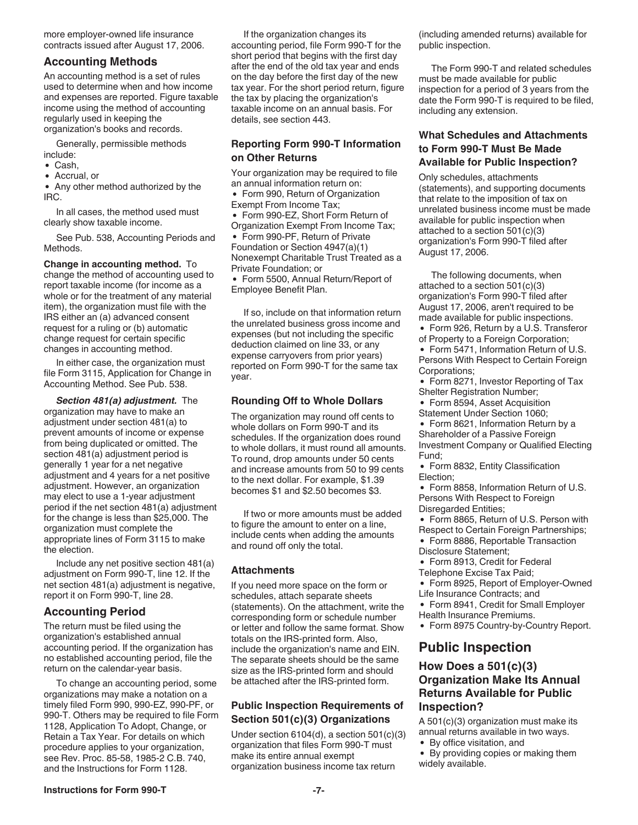<span id="page-6-0"></span>more employer-owned life insurance contracts issued after August 17, 2006.

#### **Accounting Methods**

An accounting method is a set of rules used to determine when and how income and expenses are reported. Figure taxable income using the method of accounting regularly used in keeping the organization's books and records.

Generally, permissible methods include:

- Cash,
- Accrual, or

• Any other method authorized by the IRC.

In all cases, the method used must clearly show taxable income.

See Pub. 538, Accounting Periods and Methods.

**Change in accounting method.** To change the method of accounting used to report taxable income (for income as a whole or for the treatment of any material item), the organization must file with the IRS either an (a) advanced consent request for a ruling or (b) automatic change request for certain specific changes in accounting method.

In either case, the organization must file Form 3115, Application for Change in Accounting Method. See Pub. 538.

*Section 481(a) adjustment.* The organization may have to make an adjustment under section 481(a) to prevent amounts of income or expense from being duplicated or omitted. The section 481(a) adjustment period is generally 1 year for a net negative adjustment and 4 years for a net positive adjustment. However, an organization may elect to use a 1-year adjustment period if the net section 481(a) adjustment for the change is less than \$25,000. The organization must complete the appropriate lines of Form 3115 to make the election.

Include any net positive section 481(a) adjustment on Form 990-T, line 12. If the net section 481(a) adjustment is negative, report it on Form 990-T, line 28.

#### **Accounting Period**

The return must be filed using the organization's established annual accounting period. If the organization has no established accounting period, file the return on the calendar-year basis.

To change an accounting period, some organizations may make a notation on a timely filed Form 990, 990-EZ, 990-PF, or 990-T. Others may be required to file Form 1128, Application To Adopt, Change, or Retain a Tax Year. For details on which procedure applies to your organization, see Rev. Proc. 85-58, 1985-2 C.B. 740, and the Instructions for Form 1128.

If the organization changes its accounting period, file Form 990-T for the short period that begins with the first day after the end of the old tax year and ends on the day before the first day of the new tax year. For the short period return, figure the tax by placing the organization's taxable income on an annual basis. For details, see section 443.

#### **Reporting Form 990-T Information on Other Returns**

Your organization may be required to file an annual information return on:

• Form 990, Return of Organization

Exempt From Income Tax;

Form 990-EZ, Short Form Return of  $\bullet$ Organization Exempt From Income Tax;

• Form 990-PF, Return of Private Foundation or Section 4947(a)(1) Nonexempt Charitable Trust Treated as a Private Foundation; or

Form 5500, Annual Return/Report of Employee Benefit Plan.

If so, include on that information return the unrelated business gross income and expenses (but not including the specific deduction claimed on line 33, or any expense carryovers from prior years) reported on Form 990-T for the same tax year.

### **Rounding Off to Whole Dollars**

The organization may round off cents to whole dollars on Form 990-T and its schedules. If the organization does round to whole dollars, it must round all amounts. To round, drop amounts under 50 cents and increase amounts from 50 to 99 cents to the next dollar. For example, \$1.39 becomes \$1 and \$2.50 becomes \$3.

If two or more amounts must be added to figure the amount to enter on a line, include cents when adding the amounts and round off only the total.

### **Attachments**

If you need more space on the form or schedules, attach separate sheets (statements). On the attachment, write the corresponding form or schedule number or letter and follow the same format. Show totals on the IRS-printed form. Also, include the organization's name and EIN. The separate sheets should be the same size as the IRS-printed form and should be attached after the IRS-printed form.

#### **Public Inspection Requirements of Section 501(c)(3) Organizations**

Under section 6104(d), a section 501(c)(3) organization that files Form 990-T must make its entire annual exempt organization business income tax return

(including amended returns) available for public inspection.

The Form 990-T and related schedules must be made available for public inspection for a period of 3 years from the date the Form 990-T is required to be filed, including any extension.

#### **What Schedules and Attachments to Form 990-T Must Be Made Available for Public Inspection?**

Only schedules, attachments (statements), and supporting documents that relate to the imposition of tax on unrelated business income must be made available for public inspection when attached to a section 501(c)(3) organization's Form 990-T filed after August 17, 2006.

The following documents, when attached to a section 501(c)(3) organization's Form 990-T filed after August 17, 2006, aren't required to be made available for public inspections.

- Form 926, Return by a U.S. Transferor
- of Property to a Foreign Corporation;

Form 5471, Information Return of U.S. Persons With Respect to Certain Foreign Corporations;

- Form 8271, Investor Reporting of Tax Shelter Registration Number;
- Form 8594, Asset Acquisition
- Statement Under Section 1060;

Form 8621, Information Return by a Shareholder of a Passive Foreign Investment Company or Qualified Electing Fund;

- Form 8832, Entity Classification Election;
- Form 8858, Information Return of U.S. Persons With Respect to Foreign Disregarded Entities;
- Form 8865, Return of U.S. Person with Respect to Certain Foreign Partnerships; Form 8886, Reportable Transaction Disclosure Statement;
- Form 8913, Credit for Federal
- Telephone Excise Tax Paid;

Form 8925, Report of Employer-Owned Life Insurance Contracts; and

- Form 8941, Credit for Small Employer
- Health Insurance Premiums.
- Form 8975 Country-by-Country Report.

### **Public Inspection**

### **How Does a 501(c)(3) Organization Make Its Annual Returns Available for Public Inspection?**

A 501(c)(3) organization must make its annual returns available in two ways.

By office visitation, and

By providing copies or making them widely available.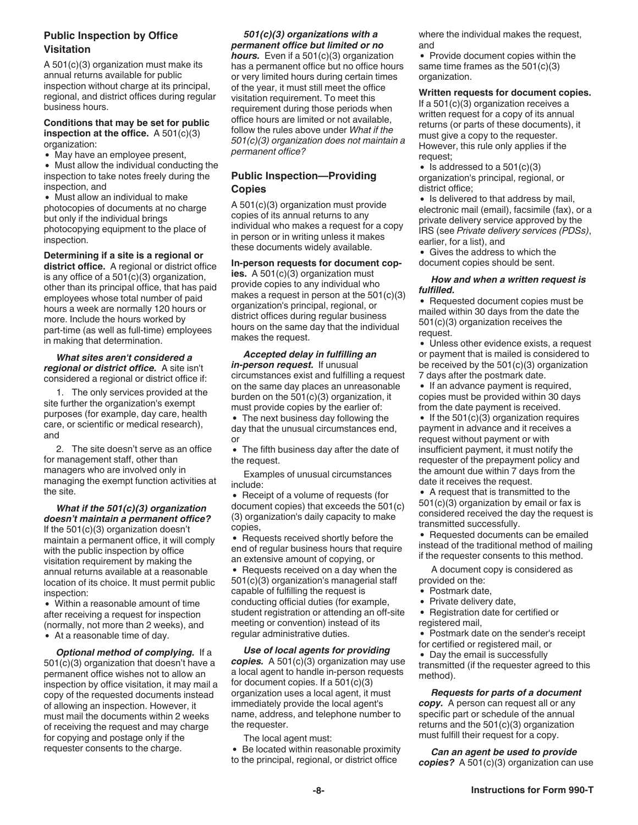#### **Public Inspection by Office Visitation**

A 501(c)(3) organization must make its annual returns available for public inspection without charge at its principal, regional, and district offices during regular business hours.

#### **Conditions that may be set for public inspection at the office.** A 501(c)(3) organization:

• May have an employee present,

Must allow the individual conducting the inspection to take notes freely during the inspection, and

Must allow an individual to make photocopies of documents at no charge but only if the individual brings photocopying equipment to the place of inspection.

**Determining if a site is a regional or district office.** A regional or district office is any office of a 501(c)(3) organization, other than its principal office, that has paid employees whose total number of paid hours a week are normally 120 hours or more. Include the hours worked by part-time (as well as full-time) employees in making that determination.

#### *What sites aren't considered a regional or district office.* A site isn't considered a regional or district office if:

1. The only services provided at the site further the organization's exempt purposes (for example, day care, health care, or scientific or medical research), and

2. The site doesn't serve as an office for management staff, other than managers who are involved only in managing the exempt function activities at the site.

*What if the 501(c)(3) organization doesn't maintain a permanent office?*  If the 501(c)(3) organization doesn't maintain a permanent office, it will comply with the public inspection by office visitation requirement by making the annual returns available at a reasonable location of its choice. It must permit public inspection:

Within a reasonable amount of time after receiving a request for inspection (normally, not more than 2 weeks), and At a reasonable time of day.

*Optional method of complying.* If a 501(c)(3) organization that doesn't have a permanent office wishes not to allow an inspection by office visitation, it may mail a copy of the requested documents instead of allowing an inspection. However, it must mail the documents within 2 weeks of receiving the request and may charge for copying and postage only if the requester consents to the charge.

*501(c)(3) organizations with a permanent office but limited or no hours.* Even if a 501(c)(3) organization has a permanent office but no office hours or very limited hours during certain times of the year, it must still meet the office visitation requirement. To meet this requirement during those periods when office hours are limited or not available, follow the rules above under *What if the 501(c)(3) organization does not maintain a permanent office?*

### **Public Inspection—Providing Copies**

A 501(c)(3) organization must provide copies of its annual returns to any individual who makes a request for a copy in person or in writing unless it makes these documents widely available.

**In-person requests for document copies.** A 501(c)(3) organization must provide copies to any individual who makes a request in person at the  $501(c)(3)$ organization's principal, regional, or district offices during regular business hours on the same day that the individual makes the request.

*Accepted delay in fulfilling an in-person request.* If unusual circumstances exist and fulfilling a request on the same day places an unreasonable burden on the 501(c)(3) organization, it must provide copies by the earlier of:

• The next business day following the day that the unusual circumstances end, or

The fifth business day after the date of the request.

Examples of unusual circumstances include:

• Receipt of a volume of requests (for document copies) that exceeds the 501(c) (3) organization's daily capacity to make copies,

• Requests received shortly before the end of regular business hours that require an extensive amount of copying, or

• Requests received on a day when the 501(c)(3) organization's managerial staff capable of fulfilling the request is conducting official duties (for example, student registration or attending an off-site meeting or convention) instead of its regular administrative duties.

*Use of local agents for providing copies.* A 501(c)(3) organization may use a local agent to handle in-person requests for document copies. If a  $501(c)(3)$ organization uses a local agent, it must immediately provide the local agent's name, address, and telephone number to the requester.

The local agent must:

• Be located within reasonable proximity to the principal, regional, or district office

where the individual makes the request, and

Provide document copies within the same time frames as the 501(c)(3) organization.

#### **Written requests for document copies.**

If a 501(c)(3) organization receives a written request for a copy of its annual returns (or parts of these documents), it must give a copy to the requester. However, this rule only applies if the request;

• Is addressed to a  $501(c)(3)$ organization's principal, regional, or district office;

• Is delivered to that address by mail, electronic mail (email), facsimile (fax), or a private delivery service approved by the IRS (see *Private delivery services (PDSs)*, earlier, for a list), and

Gives the address to which the document copies should be sent.

#### *How and when a written request is fulfilled.*

• Requested document copies must be mailed within 30 days from the date the 501(c)(3) organization receives the request.

Unless other evidence exists, a request or payment that is mailed is considered to be received by the 501(c)(3) organization 7 days after the postmark date.

• If an advance payment is required, copies must be provided within 30 days from the date payment is received.

If the  $501(c)(3)$  organization requires payment in advance and it receives a request without payment or with insufficient payment, it must notify the requester of the prepayment policy and the amount due within 7 days from the date it receives the request.

A request that is transmitted to the 501(c)(3) organization by email or fax is considered received the day the request is transmitted successfully.

• Requested documents can be emailed instead of the traditional method of mailing if the requester consents to this method.

A document copy is considered as provided on the:

- Postmark date,
- Private delivery date,
- Registration date for certified or registered mail,

• Postmark date on the sender's receipt for certified or registered mail, or

• Day the email is successfully

transmitted (if the requester agreed to this method).

*Requests for parts of a document copy.* A person can request all or any specific part or schedule of the annual returns and the 501(c)(3) organization must fulfill their request for a copy.

*Can an agent be used to provide copies?* A 501(c)(3) organization can use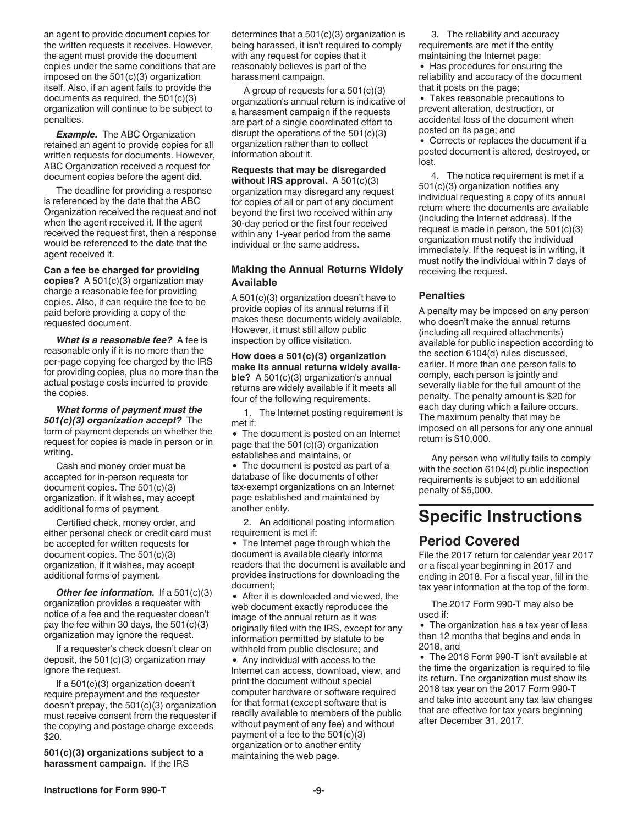<span id="page-8-0"></span>an agent to provide document copies for the written requests it receives. However, the agent must provide the document copies under the same conditions that are imposed on the 501(c)(3) organization itself. Also, if an agent fails to provide the documents as required, the 501(c)(3) organization will continue to be subject to penalties.

*Example.* The ABC Organization retained an agent to provide copies for all written requests for documents. However, ABC Organization received a request for document copies before the agent did.

The deadline for providing a response is referenced by the date that the ABC Organization received the request and not when the agent received it. If the agent received the request first, then a response would be referenced to the date that the agent received it.

**Can a fee be charged for providing copies?** A 501(c)(3) organization may charge a reasonable fee for providing copies. Also, it can require the fee to be paid before providing a copy of the requested document.

*What is a reasonable fee?* A fee is reasonable only if it is no more than the per-page copying fee charged by the IRS for providing copies, plus no more than the actual postage costs incurred to provide the copies.

*What forms of payment must the 501(c)(3) organization accept?* The form of payment depends on whether the request for copies is made in person or in writing.

Cash and money order must be accepted for in-person requests for document copies. The 501(c)(3) organization, if it wishes, may accept additional forms of payment.

Certified check, money order, and either personal check or credit card must be accepted for written requests for document copies. The 501(c)(3) organization, if it wishes, may accept additional forms of payment.

*Other fee information.* If a 501(c)(3) organization provides a requester with notice of a fee and the requester doesn't pay the fee within 30 days, the 501(c)(3) organization may ignore the request.

If a requester's check doesn't clear on deposit, the 501(c)(3) organization may ignore the request.

If a 501(c)(3) organization doesn't require prepayment and the requester doesn't prepay, the 501(c)(3) organization must receive consent from the requester if the copying and postage charge exceeds \$20.

**501(c)(3) organizations subject to a harassment campaign.** If the IRS

determines that a 501(c)(3) organization is being harassed, it isn't required to comply with any request for copies that it reasonably believes is part of the harassment campaign.

A group of requests for a 501(c)(3) organization's annual return is indicative of a harassment campaign if the requests are part of a single coordinated effort to disrupt the operations of the 501(c)(3) organization rather than to collect information about it.

**Requests that may be disregarded without IRS approval.** A 501(c)(3) organization may disregard any request for copies of all or part of any document beyond the first two received within any 30-day period or the first four received within any 1-year period from the same individual or the same address.

#### **Making the Annual Returns Widely Available**

A 501(c)(3) organization doesn't have to provide copies of its annual returns if it makes these documents widely available. However, it must still allow public inspection by office visitation.

**How does a 501(c)(3) organization make its annual returns widely available?** A 501(c)(3) organization's annual returns are widely available if it meets all four of the following requirements.

1. The Internet posting requirement is met if:

The document is posted on an Internet page that the 501(c)(3) organization establishes and maintains, or

The document is posted as part of a database of like documents of other tax-exempt organizations on an Internet page established and maintained by another entity.

2. An additional posting information requirement is met if:

The Internet page through which the document is available clearly informs readers that the document is available and provides instructions for downloading the document;

After it is downloaded and viewed, the web document exactly reproduces the image of the annual return as it was originally filed with the IRS, except for any information permitted by statute to be withheld from public disclosure; and

Any individual with access to the Internet can access, download, view, and print the document without special computer hardware or software required for that format (except software that is readily available to members of the public without payment of any fee) and without payment of a fee to the 501(c)(3) organization or to another entity maintaining the web page.

3. The reliability and accuracy requirements are met if the entity maintaining the Internet page:

• Has procedures for ensuring the reliability and accuracy of the document that it posts on the page;

Takes reasonable precautions to prevent alteration, destruction, or accidental loss of the document when posted on its page; and

Corrects or replaces the document if a posted document is altered, destroyed, or lost.

4. The notice requirement is met if a 501(c)(3) organization notifies any individual requesting a copy of its annual return where the documents are available (including the Internet address). If the request is made in person, the 501(c)(3) organization must notify the individual immediately. If the request is in writing, it must notify the individual within 7 days of receiving the request.

#### **Penalties**

A penalty may be imposed on any person who doesn't make the annual returns (including all required attachments) available for public inspection according to the section 6104(d) rules discussed, earlier. If more than one person fails to comply, each person is jointly and severally liable for the full amount of the penalty. The penalty amount is \$20 for each day during which a failure occurs. The maximum penalty that may be imposed on all persons for any one annual return is \$10,000.

Any person who willfully fails to comply with the section 6104(d) public inspection requirements is subject to an additional penalty of \$5,000.

## **Specific Instructions**

### **Period Covered**

File the 2017 return for calendar year 2017 or a fiscal year beginning in 2017 and ending in 2018. For a fiscal year, fill in the tax year information at the top of the form.

The 2017 Form 990-T may also be used if:

• The organization has a tax year of less than 12 months that begins and ends in 2018, and

The 2018 Form 990-T isn't available at the time the organization is required to file its return. The organization must show its 2018 tax year on the 2017 Form 990-T and take into account any tax law changes that are effective for tax years beginning after December 31, 2017.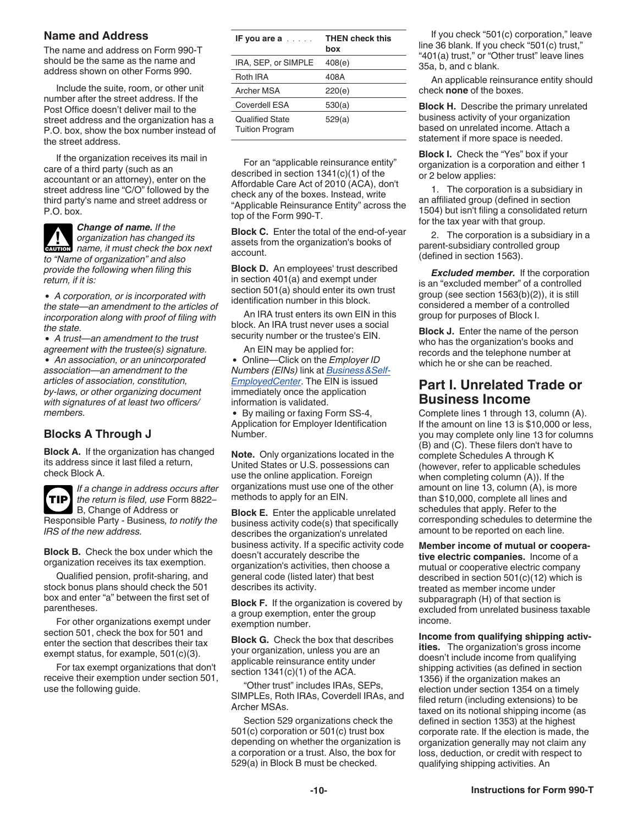#### <span id="page-9-0"></span>**Name and Address**

The name and address on Form 990-T should be the same as the name and address shown on other Forms 990.

Include the suite, room, or other unit number after the street address. If the Post Office doesn't deliver mail to the street address and the organization has a P.O. box, show the box number instead of the street address.

If the organization receives its mail in care of a third party (such as an accountant or an attorney), enter on the street address line "C/O" followed by the third party's name and street address or P.O. box.



*A corporation, or is incorporated with the state—an amendment to the articles of incorporation along with proof of filing with the state.*

*A trust—an amendment to the trust agreement with the trustee(s) signature. An association, or an unincorporated association—an amendment to the articles of association, constitution, by-laws, or other organizing document with signatures of at least two officers/ members.*

### **Blocks A Through J**

**Block A.** If the organization has changed its address since it last filed a return, check Block A.



*If a change in address occurs after the return is filed, use* Form 8822– B, Change of Address or

Responsible Party - Business*, to notify the IRS of the new address.*

**Block B.** Check the box under which the organization receives its tax exemption.

Qualified pension, profit-sharing, and stock bonus plans should check the 501 box and enter "a" between the first set of parentheses.

For other organizations exempt under section 501, check the box for 501 and enter the section that describes their tax exempt status, for example, 501(c)(3).

For tax exempt organizations that don't receive their exemption under section 501, use the following guide.

| IF you are $a \ldots a$                          | <b>THEN check this</b><br>box |
|--------------------------------------------------|-------------------------------|
| IRA, SEP, or SIMPLE                              | 408(e)                        |
| Roth IRA                                         | 408A                          |
| Archer MSA                                       | 220(e)                        |
| Coverdell ESA                                    | 530(a)                        |
| <b>Qualified State</b><br><b>Tuition Program</b> | 529(a)                        |

For an "applicable reinsurance entity" described in section 1341(c)(1) of the Affordable Care Act of 2010 (ACA), don't check any of the boxes. Instead, write "Applicable Reinsurance Entity" across the top of the Form 990-T.

**Block C.** Enter the total of the end-of-year assets from the organization's books of account.

**Block D.** An employees' trust described in section 401(a) and exempt under section 501(a) should enter its own trust identification number in this block.

An IRA trust enters its own EIN in this block. An IRA trust never uses a social security number or the trustee's EIN.

An EIN may be applied for: Online—Click on the *Employer ID Numbers (EINs)* link at *[Business&Self-](https://www.irs.gov/businesses/small-businesses-self-employed)[EmployedCenter](https://www.irs.gov/businesses/small-businesses-self-employed)*. The EIN is issued immediately once the application information is validated.

By mailing or faxing Form SS-4, Application for Employer Identification Number.

**Note.** Only organizations located in the United States or U.S. possessions can use the online application. Foreign organizations must use one of the other methods to apply for an EIN.

**Block E.** Enter the applicable unrelated business activity code(s) that specifically describes the organization's unrelated business activity. If a specific activity code doesn't accurately describe the organization's activities, then choose a general code (listed later) that best describes its activity.

**Block F.** If the organization is covered by a group exemption, enter the group exemption number.

**Block G.** Check the box that describes your organization, unless you are an applicable reinsurance entity under section 1341(c)(1) of the ACA.

"Other trust" includes IRAs, SEPs, SIMPLEs, Roth IRAs, Coverdell IRAs, and Archer MSAs.

Section 529 organizations check the 501(c) corporation or 501(c) trust box depending on whether the organization is a corporation or a trust. Also, the box for 529(a) in Block B must be checked.

If you check "501(c) corporation," leave line 36 blank. If you check "501(c) trust," "401(a) trust," or "Other trust" leave lines 35a, b, and c blank.

An applicable reinsurance entity should check **none** of the boxes.

**Block H.** Describe the primary unrelated business activity of your organization based on unrelated income. Attach a statement if more space is needed.

**Block I.** Check the "Yes" box if your organization is a corporation and either 1 or 2 below applies:

1. The corporation is a subsidiary in an affiliated group (defined in section 1504) but isn't filing a consolidated return for the tax year with that group.

2. The corporation is a subsidiary in a parent-subsidiary controlled group (defined in section 1563).

*Excluded member.* If the corporation is an "excluded member" of a controlled group (see section 1563(b)(2)), it is still considered a member of a controlled group for purposes of Block I.

**Block J.** Enter the name of the person who has the organization's books and records and the telephone number at which he or she can be reached.

### **Part I. Unrelated Trade or Business Income**

Complete lines 1 through 13, column (A). If the amount on line 13 is \$10,000 or less, you may complete only line 13 for columns (B) and (C). These filers don't have to complete Schedules A through K (however, refer to applicable schedules when completing column (A)). If the amount on line 13, column (A), is more than \$10,000, complete all lines and schedules that apply. Refer to the corresponding schedules to determine the amount to be reported on each line.

**Member income of mutual or cooperative electric companies.** Income of a mutual or cooperative electric company described in section 501(c)(12) which is treated as member income under subparagraph (H) of that section is excluded from unrelated business taxable income.

**Income from qualifying shipping activities.** The organization's gross income doesn't include income from qualifying shipping activities (as defined in section 1356) if the organization makes an election under section 1354 on a timely filed return (including extensions) to be taxed on its notional shipping income (as defined in section 1353) at the highest corporate rate. If the election is made, the organization generally may not claim any loss, deduction, or credit with respect to qualifying shipping activities. An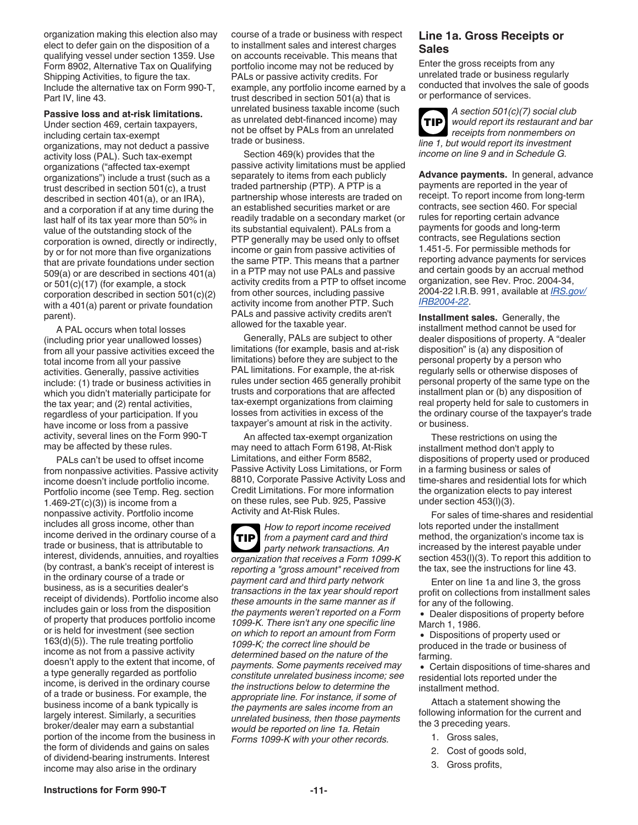organization making this election also may elect to defer gain on the disposition of a qualifying vessel under section 1359. Use Form 8902, Alternative Tax on Qualifying Shipping Activities, to figure the tax. Include the alternative tax on Form 990-T, Part IV, line 43.

#### **Passive loss and at-risk limitations.**

Under section 469, certain taxpayers, including certain tax-exempt organizations, may not deduct a passive activity loss (PAL). Such tax-exempt organizations ("affected tax-exempt organizations") include a trust (such as a trust described in section 501(c), a trust described in section 401(a), or an IRA), and a corporation if at any time during the last half of its tax year more than 50% in value of the outstanding stock of the corporation is owned, directly or indirectly, by or for not more than five organizations that are private foundations under section 509(a) or are described in sections 401(a) or 501(c)(17) (for example, a stock corporation described in section 501(c)(2) with a 401(a) parent or private foundation parent).

A PAL occurs when total losses (including prior year unallowed losses) from all your passive activities exceed the total income from all your passive activities. Generally, passive activities include: (1) trade or business activities in which you didn't materially participate for the tax year; and (2) rental activities, regardless of your participation. If you have income or loss from a passive activity, several lines on the Form 990-T may be affected by these rules.

PALs can't be used to offset income from nonpassive activities. Passive activity income doesn't include portfolio income. Portfolio income (see Temp. Reg. section  $1.469-2T(c)(3)$ ) is income from a nonpassive activity. Portfolio income includes all gross income, other than income derived in the ordinary course of a trade or business, that is attributable to interest, dividends, annuities, and royalties (by contrast, a bank's receipt of interest is in the ordinary course of a trade or business, as is a securities dealer's receipt of dividends). Portfolio income also includes gain or loss from the disposition of property that produces portfolio income or is held for investment (see section 163(d)(5)). The rule treating portfolio income as not from a passive activity doesn't apply to the extent that income, of a type generally regarded as portfolio income, is derived in the ordinary course of a trade or business. For example, the business income of a bank typically is largely interest. Similarly, a securities broker/dealer may earn a substantial portion of the income from the business in the form of dividends and gains on sales of dividend-bearing instruments. Interest income may also arise in the ordinary

course of a trade or business with respect to installment sales and interest charges on accounts receivable. This means that portfolio income may not be reduced by PALs or passive activity credits. For example, any portfolio income earned by a trust described in section 501(a) that is unrelated business taxable income (such as unrelated debt-financed income) may not be offset by PALs from an unrelated trade or business.

Section 469(k) provides that the passive activity limitations must be applied separately to items from each publicly traded partnership (PTP). A PTP is a partnership whose interests are traded on an established securities market or are readily tradable on a secondary market (or its substantial equivalent). PALs from a PTP generally may be used only to offset income or gain from passive activities of the same PTP. This means that a partner in a PTP may not use PALs and passive activity credits from a PTP to offset income from other sources, including passive activity income from another PTP. Such PALs and passive activity credits aren't allowed for the taxable year.

Generally, PALs are subject to other limitations (for example, basis and at-risk limitations) before they are subject to the PAL limitations. For example, the at-risk rules under section 465 generally prohibit trusts and corporations that are affected tax-exempt organizations from claiming losses from activities in excess of the taxpayer's amount at risk in the activity.

An affected tax-exempt organization may need to attach Form 6198, At-Risk Limitations, and either Form 8582, Passive Activity Loss Limitations, or Form 8810, Corporate Passive Activity Loss and Credit Limitations. For more information on these rules, see Pub. 925, Passive Activity and At-Risk Rules.

*How to report income received from a payment card and third party network transactions. An organization that receives a Form 1099-K reporting a "gross amount" received from payment card and third party network transactions in the tax year should report these amounts in the same manner as if the payments weren't reported on a Form 1099-K. There isn't any one specific line on which to report an amount from Form 1099-K; the correct line should be determined based on the nature of the payments. Some payments received may constitute unrelated business income; see the instructions below to determine the appropriate line. For instance, if some of the payments are sales income from an unrelated business, then those payments would be reported on line 1a. Retain Forms 1099-K with your other records.* **TIP**

#### **Line 1a. Gross Receipts or Sales**

Enter the gross receipts from any unrelated trade or business regularly conducted that involves the sale of goods or performance of services.

*A section 501(c)(7) social club would report its restaurant and bar receipts from nonmembers on line 1, but would report its investment income on line 9 and in Schedule G.* **TIP**

**Advance payments.** In general, advance payments are reported in the year of receipt. To report income from long-term contracts, see section 460. For special rules for reporting certain advance payments for goods and long-term contracts, see Regulations section 1.451-5. For permissible methods for reporting advance payments for services and certain goods by an accrual method organization, see Rev. Proc. 2004-34, 2004-22 I.R.B. 991, available at *[IRS.gov/](https://www.irs.gov/irb/2004-22_IRB/ar16.html) [IRB2004-22](https://www.irs.gov/irb/2004-22_IRB/ar16.html)*.

**Installment sales.** Generally, the installment method cannot be used for dealer dispositions of property. A "dealer disposition" is (a) any disposition of personal property by a person who regularly sells or otherwise disposes of personal property of the same type on the installment plan or (b) any disposition of real property held for sale to customers in the ordinary course of the taxpayer's trade or business.

These restrictions on using the installment method don't apply to dispositions of property used or produced in a farming business or sales of time-shares and residential lots for which the organization elects to pay interest under section 453(l)(3).

For sales of time-shares and residential lots reported under the installment method, the organization's income tax is increased by the interest payable under section 453(l)(3). To report this addition to the tax, see the instructions for line 43.

Enter on line 1a and line 3, the gross profit on collections from installment sales for any of the following.

- Dealer dispositions of property before March 1, 1986.
- Dispositions of property used or produced in the trade or business of farming.

Certain dispositions of time-shares and residential lots reported under the installment method.

Attach a statement showing the following information for the current and the 3 preceding years.

- 1. Gross sales,
- 2. Cost of goods sold,
- 3. Gross profits,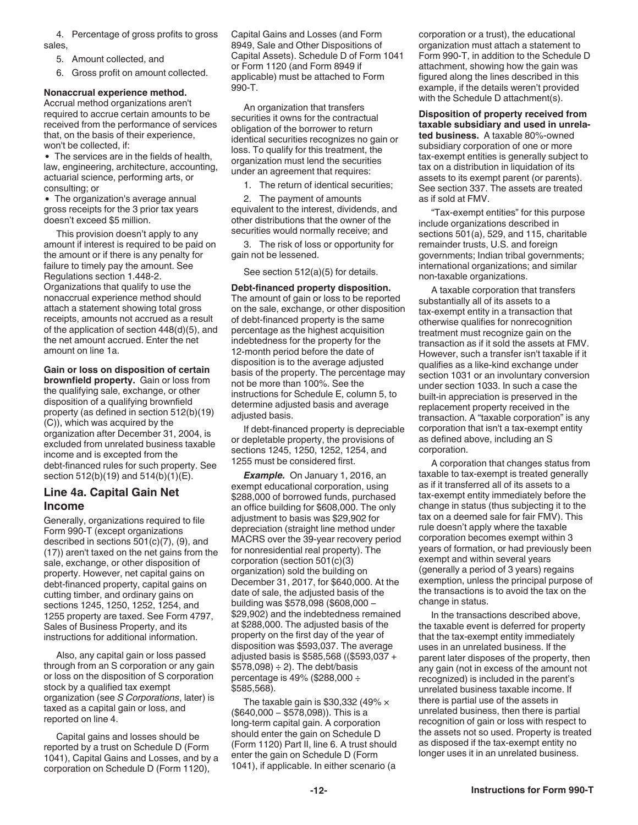4. Percentage of gross profits to gross sales,

5. Amount collected, and

6. Gross profit on amount collected.

#### **Nonaccrual experience method.**

Accrual method organizations aren't required to accrue certain amounts to be received from the performance of services that, on the basis of their experience, won't be collected, if:

The services are in the fields of health, law, engineering, architecture, accounting, actuarial science, performing arts, or consulting; or

The organization's average annual gross receipts for the 3 prior tax years doesn't exceed \$5 million.

This provision doesn't apply to any amount if interest is required to be paid on the amount or if there is any penalty for failure to timely pay the amount. See Regulations section 1.448-2. Organizations that qualify to use the nonaccrual experience method should attach a statement showing total gross receipts, amounts not accrued as a result of the application of section 448(d)(5), and the net amount accrued. Enter the net amount on line 1a.

**Gain or loss on disposition of certain brownfield property.** Gain or loss from the qualifying sale, exchange, or other disposition of a qualifying brownfield property (as defined in section 512(b)(19) (C)), which was acquired by the organization after December 31, 2004, is excluded from unrelated business taxable income and is excepted from the debt-financed rules for such property. See section 512(b)(19) and 514(b)(1)(E).

### **Line 4a. Capital Gain Net Income**

Generally, organizations required to file Form 990-T (except organizations described in sections 501(c)(7), (9), and (17)) aren't taxed on the net gains from the sale, exchange, or other disposition of property. However, net capital gains on debt-financed property, capital gains on cutting timber, and ordinary gains on sections 1245, 1250, 1252, 1254, and 1255 property are taxed. See Form 4797, Sales of Business Property, and its instructions for additional information.

Also, any capital gain or loss passed through from an S corporation or any gain or loss on the disposition of S corporation stock by a qualified tax exempt organization (see *S Corporations*, later) is taxed as a capital gain or loss, and reported on line 4.

Capital gains and losses should be reported by a trust on Schedule D (Form 1041), Capital Gains and Losses, and by a corporation on Schedule D (Form 1120),

Capital Gains and Losses (and Form 8949, Sale and Other Dispositions of Capital Assets). Schedule D of Form 1041 or Form 1120 (and Form 8949 if applicable) must be attached to Form 990-T.

An organization that transfers securities it owns for the contractual obligation of the borrower to return identical securities recognizes no gain or loss. To qualify for this treatment, the organization must lend the securities under an agreement that requires:

1. The return of identical securities;

2. The payment of amounts equivalent to the interest, dividends, and other distributions that the owner of the securities would normally receive; and

3. The risk of loss or opportunity for gain not be lessened.

See section 512(a)(5) for details.

**Debt-financed property disposition.**  The amount of gain or loss to be reported on the sale, exchange, or other disposition of debt-financed property is the same percentage as the highest acquisition indebtedness for the property for the 12-month period before the date of disposition is to the average adjusted basis of the property. The percentage may not be more than 100%. See the instructions for Schedule E, column 5, to determine adjusted basis and average adjusted basis.

If debt-financed property is depreciable or depletable property, the provisions of sections 1245, 1250, 1252, 1254, and 1255 must be considered first.

*Example.* On January 1, 2016, an exempt educational corporation, using \$288,000 of borrowed funds, purchased an office building for \$608,000. The only adjustment to basis was \$29,902 for depreciation (straight line method under MACRS over the 39-year recovery period for nonresidential real property). The corporation (section 501(c)(3) organization) sold the building on December 31, 2017, for \$640,000. At the date of sale, the adjusted basis of the building was \$578,098 (\$608,000 − \$29,902) and the indebtedness remained at \$288,000. The adjusted basis of the property on the first day of the year of disposition was \$593,037. The average adjusted basis is \$585,568 ((\$593,037 +  $$578,098$ )  $\div$  2). The debt/basis percentage is 49% (\$288,000 ÷ \$585,568).

The taxable gain is \$30,332 (49%  $\times$ (\$640,000 − \$578,098)). This is a long-term capital gain. A corporation should enter the gain on Schedule D (Form 1120) Part II, line 6. A trust should enter the gain on Schedule D (Form 1041), if applicable. In either scenario (a

corporation or a trust), the educational organization must attach a statement to Form 990-T, in addition to the Schedule D attachment, showing how the gain was figured along the lines described in this example, if the details weren't provided with the Schedule D attachment(s).

**Disposition of property received from taxable subsidiary and used in unrelated business.** A taxable 80%-owned subsidiary corporation of one or more tax-exempt entities is generally subject to tax on a distribution in liquidation of its assets to its exempt parent (or parents). See section 337. The assets are treated as if sold at FMV.

"Tax-exempt entities" for this purpose include organizations described in sections 501(a), 529, and 115, charitable remainder trusts, U.S. and foreign governments; Indian tribal governments; international organizations; and similar non-taxable organizations.

A taxable corporation that transfers substantially all of its assets to a tax-exempt entity in a transaction that otherwise qualifies for nonrecognition treatment must recognize gain on the transaction as if it sold the assets at FMV. However, such a transfer isn't taxable if it qualifies as a like-kind exchange under section 1031 or an involuntary conversion under section 1033. In such a case the built-in appreciation is preserved in the replacement property received in the transaction. A "taxable corporation" is any corporation that isn't a tax-exempt entity as defined above, including an S corporation.

A corporation that changes status from taxable to tax-exempt is treated generally as if it transferred all of its assets to a tax-exempt entity immediately before the change in status (thus subjecting it to the tax on a deemed sale for fair FMV). This rule doesn't apply where the taxable corporation becomes exempt within 3 years of formation, or had previously been exempt and within several years (generally a period of 3 years) regains exemption, unless the principal purpose of the transactions is to avoid the tax on the change in status.

In the transactions described above, the taxable event is deferred for property that the tax-exempt entity immediately uses in an unrelated business. If the parent later disposes of the property, then any gain (not in excess of the amount not recognized) is included in the parent's unrelated business taxable income. If there is partial use of the assets in unrelated business, then there is partial recognition of gain or loss with respect to the assets not so used. Property is treated as disposed if the tax-exempt entity no longer uses it in an unrelated business.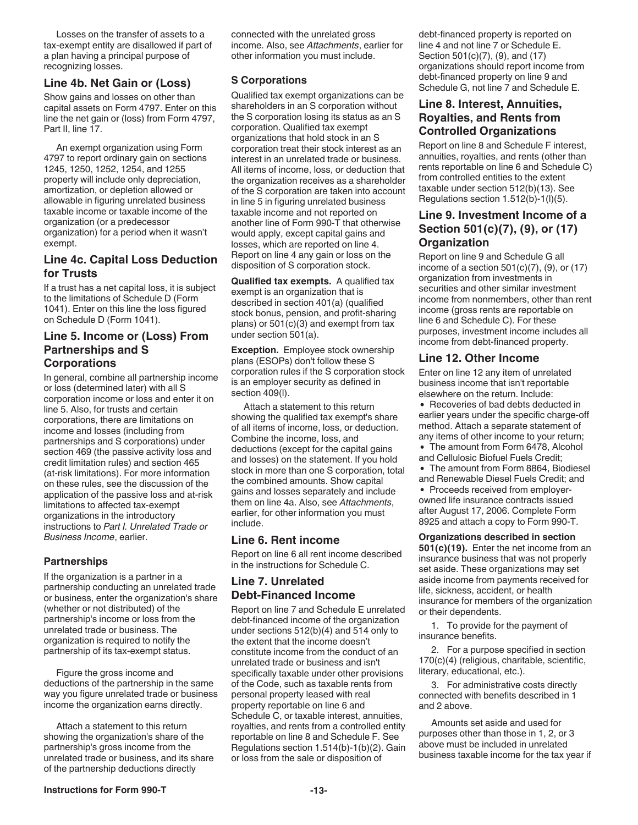Losses on the transfer of assets to a tax-exempt entity are disallowed if part of a plan having a principal purpose of recognizing losses.

#### **Line 4b. Net Gain or (Loss)**

Show gains and losses on other than capital assets on Form 4797. Enter on this line the net gain or (loss) from Form 4797, Part II, line 17.

An exempt organization using Form 4797 to report ordinary gain on sections 1245, 1250, 1252, 1254, and 1255 property will include only depreciation, amortization, or depletion allowed or allowable in figuring unrelated business taxable income or taxable income of the organization (or a predecessor organization) for a period when it wasn't exempt.

#### **Line 4c. Capital Loss Deduction for Trusts**

If a trust has a net capital loss, it is subject to the limitations of Schedule D (Form 1041). Enter on this line the loss figured on Schedule D (Form 1041).

#### **Line 5. Income or (Loss) From Partnerships and S Corporations**

In general, combine all partnership income or loss (determined later) with all S corporation income or loss and enter it on line 5. Also, for trusts and certain corporations, there are limitations on income and losses (including from partnerships and S corporations) under section 469 (the passive activity loss and credit limitation rules) and section 465 (at-risk limitations). For more information on these rules, see the discussion of the application of the passive loss and at-risk limitations to affected tax-exempt organizations in the introductory instructions to *Part I. Unrelated Trade or Business Income*, earlier.

#### **Partnerships**

If the organization is a partner in a partnership conducting an unrelated trade or business, enter the organization's share (whether or not distributed) of the partnership's income or loss from the unrelated trade or business. The organization is required to notify the partnership of its tax-exempt status.

Figure the gross income and deductions of the partnership in the same way you figure unrelated trade or business income the organization earns directly.

Attach a statement to this return showing the organization's share of the partnership's gross income from the unrelated trade or business, and its share of the partnership deductions directly

connected with the unrelated gross income. Also, see *Attachments*, earlier for other information you must include.

#### **S Corporations**

Qualified tax exempt organizations can be shareholders in an S corporation without the S corporation losing its status as an S corporation. Qualified tax exempt organizations that hold stock in an S corporation treat their stock interest as an interest in an unrelated trade or business. All items of income, loss, or deduction that the organization receives as a shareholder of the S corporation are taken into account in line 5 in figuring unrelated business taxable income and not reported on another line of Form 990-T that otherwise would apply, except capital gains and losses, which are reported on line 4. Report on line 4 any gain or loss on the disposition of S corporation stock.

**Qualified tax exempts.** A qualified tax exempt is an organization that is described in section 401(a) (qualified stock bonus, pension, and profit-sharing plans) or 501(c)(3) and exempt from tax under section 501(a).

**Exception.** Employee stock ownership plans (ESOPs) don't follow these S corporation rules if the S corporation stock is an employer security as defined in section 409(l).

Attach a statement to this return showing the qualified tax exempt's share of all items of income, loss, or deduction. Combine the income, loss, and deductions (except for the capital gains and losses) on the statement. If you hold stock in more than one S corporation, total the combined amounts. Show capital gains and losses separately and include them on line 4a. Also, see *Attachments*, earlier, for other information you must include.

#### **Line 6. Rent income**

Report on line 6 all rent income described in the instructions for Schedule C.

### **Line 7. Unrelated Debt-Financed Income**

Report on line 7 and Schedule E unrelated debt-financed income of the organization under sections 512(b)(4) and 514 only to the extent that the income doesn't constitute income from the conduct of an unrelated trade or business and isn't specifically taxable under other provisions of the Code, such as taxable rents from personal property leased with real property reportable on line 6 and Schedule C, or taxable interest, annuities, royalties, and rents from a controlled entity reportable on line 8 and Schedule F. See Regulations section 1.514(b)-1(b)(2). Gain or loss from the sale or disposition of

debt-financed property is reported on line 4 and not line 7 or Schedule E. Section 501(c)(7), (9), and (17) organizations should report income from debt-financed property on line 9 and Schedule G, not line 7 and Schedule E.

### **Line 8. Interest, Annuities, Royalties, and Rents from Controlled Organizations**

Report on line 8 and Schedule F interest, annuities, royalties, and rents (other than rents reportable on line 6 and Schedule C) from controlled entities to the extent taxable under section 512(b)(13). See Regulations section 1.512(b)-1(l)(5).

### **Line 9. Investment Income of a Section 501(c)(7), (9), or (17) Organization**

Report on line 9 and Schedule G all income of a section  $501(c)(7)$ ,  $(9)$ , or  $(17)$ organization from investments in securities and other similar investment income from nonmembers, other than rent income (gross rents are reportable on line 6 and Schedule C). For these purposes, investment income includes all income from debt-financed property.

#### **Line 12. Other Income**

Enter on line 12 any item of unrelated business income that isn't reportable elsewhere on the return. Include:

• Recoveries of bad debts deducted in earlier years under the specific charge-off method. Attach a separate statement of any items of other income to your return; • The amount from Form 6478, Alcohol

- and Cellulosic Biofuel Fuels Credit;
- The amount from Form 8864, Biodiesel and Renewable Diesel Fuels Credit; and

• Proceeds received from employerowned life insurance contracts issued after August 17, 2006. Complete Form 8925 and attach a copy to Form 990-T.

**Organizations described in section** 

**501(c)(19).** Enter the net income from an insurance business that was not properly set aside. These organizations may set aside income from payments received for life, sickness, accident, or health insurance for members of the organization or their dependents.

1. To provide for the payment of insurance benefits.

2. For a purpose specified in section 170(c)(4) (religious, charitable, scientific, literary, educational, etc.).

3. For administrative costs directly connected with benefits described in 1 and 2 above.

Amounts set aside and used for purposes other than those in 1, 2, or 3 above must be included in unrelated business taxable income for the tax year if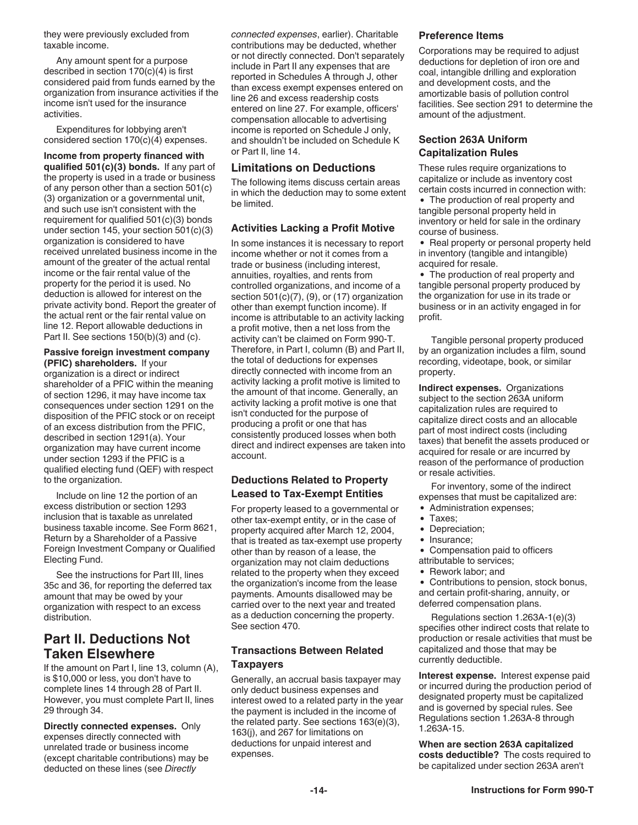<span id="page-13-0"></span>they were previously excluded from taxable income.

Any amount spent for a purpose described in section 170(c)(4) is first considered paid from funds earned by the organization from insurance activities if the income isn't used for the insurance activities.

Expenditures for lobbying aren't considered section 170(c)(4) expenses.

**Income from property financed with qualified 501(c)(3) bonds.** If any part of the property is used in a trade or business of any person other than a section 501(c) (3) organization or a governmental unit, and such use isn't consistent with the requirement for qualified 501(c)(3) bonds under section 145, your section 501(c)(3) organization is considered to have received unrelated business income in the amount of the greater of the actual rental income or the fair rental value of the property for the period it is used. No deduction is allowed for interest on the private activity bond. Report the greater of the actual rent or the fair rental value on line 12. Report allowable deductions in Part II. See sections 150(b)(3) and (c).

**Passive foreign investment company (PFIC) shareholders.** If your organization is a direct or indirect

shareholder of a PFIC within the meaning of section 1296, it may have income tax consequences under section 1291 on the disposition of the PFIC stock or on receipt of an excess distribution from the PFIC, described in section 1291(a). Your organization may have current income under section 1293 if the PFIC is a qualified electing fund (QEF) with respect to the organization.

Include on line 12 the portion of an excess distribution or section 1293 inclusion that is taxable as unrelated business taxable income. See Form 8621, Return by a Shareholder of a Passive Foreign Investment Company or Qualified Electing Fund.

See the instructions for Part III, lines 35c and 36, for reporting the deferred tax amount that may be owed by your organization with respect to an excess distribution.

### **Part II. Deductions Not Taken Elsewhere**

If the amount on Part I, line 13, column (A), is \$10,000 or less, you don't have to complete lines 14 through 28 of Part II. However, you must complete Part II, lines 29 through 34.

**Directly connected expenses.** Only expenses directly connected with unrelated trade or business income (except charitable contributions) may be deducted on these lines (see *Directly* 

*connected expenses*, earlier). Charitable contributions may be deducted, whether or not directly connected. Don't separately include in Part II any expenses that are reported in Schedules A through J, other than excess exempt expenses entered on line 26 and excess readership costs entered on line 27. For example, officers' compensation allocable to advertising income is reported on Schedule J only, and shouldn't be included on Schedule K or Part II, line 14.

#### **Limitations on Deductions**

The following items discuss certain areas in which the deduction may to some extent be limited.

#### **Activities Lacking a Profit Motive**

In some instances it is necessary to report income whether or not it comes from a trade or business (including interest, annuities, royalties, and rents from controlled organizations, and income of a section 501(c)(7), (9), or (17) organization other than exempt function income). If income is attributable to an activity lacking a profit motive, then a net loss from the activity can't be claimed on Form 990-T. Therefore, in Part I, column (B) and Part II, the total of deductions for expenses directly connected with income from an activity lacking a profit motive is limited to the amount of that income. Generally, an activity lacking a profit motive is one that isn't conducted for the purpose of producing a profit or one that has consistently produced losses when both direct and indirect expenses are taken into account.

### **Deductions Related to Property Leased to Tax-Exempt Entities**

For property leased to a governmental or other tax-exempt entity, or in the case of property acquired after March 12, 2004, that is treated as tax-exempt use property other than by reason of a lease, the organization may not claim deductions related to the property when they exceed the organization's income from the lease payments. Amounts disallowed may be carried over to the next year and treated as a deduction concerning the property. See section 470.

### **Transactions Between Related Taxpayers**

Generally, an accrual basis taxpayer may only deduct business expenses and interest owed to a related party in the year the payment is included in the income of the related party. See sections 163(e)(3), 163(j), and 267 for limitations on deductions for unpaid interest and expenses.

#### **Preference Items**

Corporations may be required to adjust deductions for depletion of iron ore and coal, intangible drilling and exploration and development costs, and the amortizable basis of pollution control facilities. See section 291 to determine the amount of the adjustment.

#### **Section 263A Uniform Capitalization Rules**

These rules require organizations to capitalize or include as inventory cost certain costs incurred in connection with:

The production of real property and tangible personal property held in inventory or held for sale in the ordinary course of business.

• Real property or personal property held in inventory (tangible and intangible) acquired for resale.

The production of real property and tangible personal property produced by the organization for use in its trade or business or in an activity engaged in for profit.

Tangible personal property produced by an organization includes a film, sound recording, videotape, book, or similar property.

**Indirect expenses.** Organizations subject to the section 263A uniform capitalization rules are required to capitalize direct costs and an allocable part of most indirect costs (including taxes) that benefit the assets produced or acquired for resale or are incurred by reason of the performance of production or resale activities.

For inventory, some of the indirect expenses that must be capitalized are:

- Administration expenses;
- Taxes;
- Depreciation;
- Insurance;
- Compensation paid to officers
- attributable to services;
- Rework labor: and

Contributions to pension, stock bonus, and certain profit-sharing, annuity, or deferred compensation plans.

Regulations section 1.263A-1(e)(3) specifies other indirect costs that relate to production or resale activities that must be capitalized and those that may be currently deductible.

**Interest expense.** Interest expense paid or incurred during the production period of designated property must be capitalized and is governed by special rules. See Regulations section 1.263A-8 through 1.263A-15.

**When are section 263A capitalized costs deductible?** The costs required to be capitalized under section 263A aren't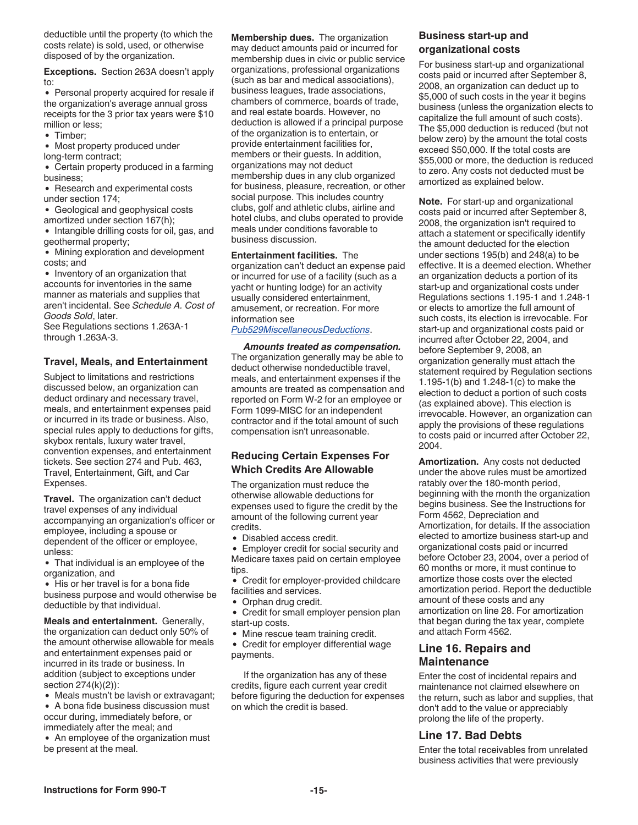deductible until the property (to which the costs relate) is sold, used, or otherwise disposed of by the organization.

**Exceptions.** Section 263A doesn't apply to:

• Personal property acquired for resale if the organization's average annual gross receipts for the 3 prior tax years were \$10 million or less;

• Timber:

Most property produced under long-term contract;

Certain property produced in a farming business;

- Research and experimental costs under section 174;
- Geological and geophysical costs

amortized under section 167(h);

• Intangible drilling costs for oil, gas, and geothermal property;

Mining exploration and development costs; and

• Inventory of an organization that accounts for inventories in the same manner as materials and supplies that aren't incidental. See *Schedule A. Cost of Goods Sold*, later.

See Regulations sections 1.263A-1 through 1.263A-3.

#### **Travel, Meals, and Entertainment**

Subject to limitations and restrictions discussed below, an organization can deduct ordinary and necessary travel, meals, and entertainment expenses paid or incurred in its trade or business. Also, special rules apply to deductions for gifts, skybox rentals, luxury water travel, convention expenses, and entertainment tickets. See section 274 and Pub. 463, Travel, Entertainment, Gift, and Car Expenses.

**Travel.** The organization can't deduct travel expenses of any individual accompanying an organization's officer or employee, including a spouse or dependent of the officer or employee, unless:

That individual is an employee of the organization, and

• His or her travel is for a bona fide business purpose and would otherwise be deductible by that individual.

**Meals and entertainment.** Generally, the organization can deduct only 50% of the amount otherwise allowable for meals and entertainment expenses paid or incurred in its trade or business. In addition (subject to exceptions under section 274(k)(2)):

Meals mustn't be lavish or extravagant; A bona fide business discussion must

occur during, immediately before, or immediately after the meal; and

• An employee of the organization must be present at the meal.

**Membership dues.** The organization may deduct amounts paid or incurred for membership dues in civic or public service organizations, professional organizations (such as bar and medical associations), business leagues, trade associations, chambers of commerce, boards of trade, and real estate boards. However, no deduction is allowed if a principal purpose of the organization is to entertain, or provide entertainment facilities for, members or their guests. In addition, organizations may not deduct membership dues in any club organized for business, pleasure, recreation, or other social purpose. This includes country clubs, golf and athletic clubs, airline and hotel clubs, and clubs operated to provide meals under conditions favorable to business discussion.

**Entertainment facilities.** The organization can't deduct an expense paid or incurred for use of a facility (such as a yacht or hunting lodge) for an activity usually considered entertainment, amusement, or recreation. For more information see *[Pub529MiscellaneousDeductions](https://www.irs.gov/pub/irs-pdf/p529.pdf)*.

*Amounts treated as compensation.*  The organization generally may be able to deduct otherwise nondeductible travel, meals, and entertainment expenses if the amounts are treated as compensation and reported on Form W-2 for an employee or Form 1099-MISC for an independent contractor and if the total amount of such compensation isn't unreasonable.

#### **Reducing Certain Expenses For Which Credits Are Allowable**

The organization must reduce the otherwise allowable deductions for expenses used to figure the credit by the amount of the following current year credits.

Disabled access credit.

Employer credit for social security and  $\bullet$ Medicare taxes paid on certain employee tips.

Credit for employer-provided childcare facilities and services.

- Orphan drug credit.
- Credit for small employer pension plan start-up costs.
- Mine rescue team training credit.

Credit for employer differential wage payments.

If the organization has any of these credits, figure each current year credit before figuring the deduction for expenses on which the credit is based.

### **Business start-up and organizational costs**

For business start-up and organizational costs paid or incurred after September 8, 2008, an organization can deduct up to \$5,000 of such costs in the year it begins business (unless the organization elects to capitalize the full amount of such costs). The \$5,000 deduction is reduced (but not below zero) by the amount the total costs exceed \$50,000. If the total costs are \$55,000 or more, the deduction is reduced to zero. Any costs not deducted must be amortized as explained below.

**Note.** For start-up and organizational costs paid or incurred after September 8, 2008, the organization isn't required to attach a statement or specifically identify the amount deducted for the election under sections 195(b) and 248(a) to be effective. It is a deemed election. Whether an organization deducts a portion of its start-up and organizational costs under Regulations sections 1.195-1 and 1.248-1 or elects to amortize the full amount of such costs, its election is irrevocable. For start-up and organizational costs paid or incurred after October 22, 2004, and before September 9, 2008, an organization generally must attach the statement required by Regulation sections 1.195-1(b) and 1.248-1(c) to make the election to deduct a portion of such costs (as explained above). This election is irrevocable. However, an organization can apply the provisions of these regulations to costs paid or incurred after October 22, 2004.

**Amortization.** Any costs not deducted under the above rules must be amortized ratably over the 180-month period, beginning with the month the organization begins business. See the Instructions for Form 4562, Depreciation and Amortization, for details. If the association elected to amortize business start-up and organizational costs paid or incurred before October 23, 2004, over a period of 60 months or more, it must continue to amortize those costs over the elected amortization period. Report the deductible amount of these costs and any amortization on line 28. For amortization that began during the tax year, complete and attach Form 4562.

### **Line 16. Repairs and Maintenance**

Enter the cost of incidental repairs and maintenance not claimed elsewhere on the return, such as labor and supplies, that don't add to the value or appreciably prolong the life of the property.

### **Line 17. Bad Debts**

Enter the total receivables from unrelated business activities that were previously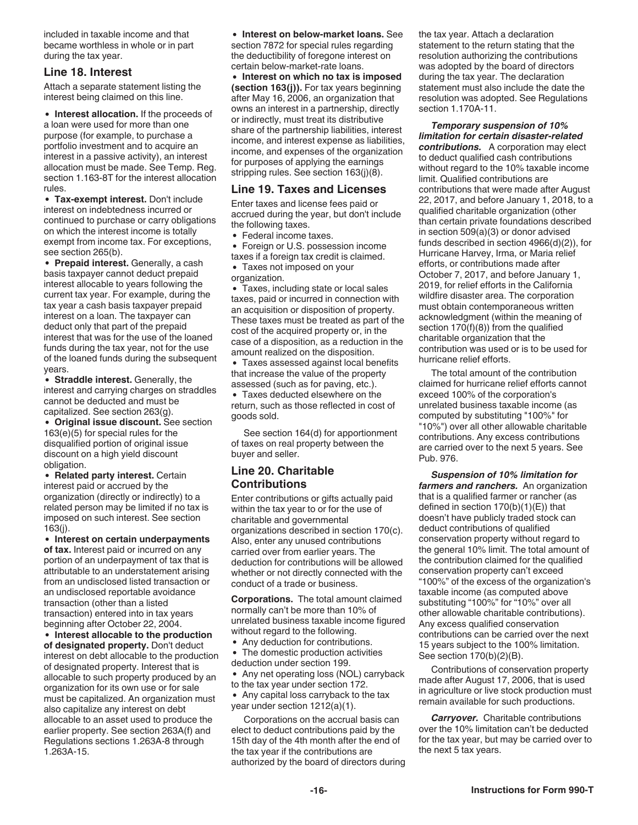included in taxable income and that became worthless in whole or in part during the tax year.

#### **Line 18. Interest**

Attach a separate statement listing the interest being claimed on this line.

**Interest allocation.** If the proceeds of a loan were used for more than one purpose (for example, to purchase a portfolio investment and to acquire an interest in a passive activity), an interest allocation must be made. See Temp. Reg. section 1.163-8T for the interest allocation rules.

**Tax-exempt interest.** Don't include interest on indebtedness incurred or continued to purchase or carry obligations on which the interest income is totally exempt from income tax. For exceptions, see section 265(b).

**Prepaid interest.** Generally, a cash basis taxpayer cannot deduct prepaid interest allocable to years following the current tax year. For example, during the tax year a cash basis taxpayer prepaid interest on a loan. The taxpayer can deduct only that part of the prepaid interest that was for the use of the loaned funds during the tax year, not for the use of the loaned funds during the subsequent years.

**Straddle interest.** Generally, the interest and carrying charges on straddles cannot be deducted and must be capitalized. See section 263(g).

**Original issue discount.** See section 163(e)(5) for special rules for the disqualified portion of original issue discount on a high yield discount obligation.

**Related party interest.** Certain interest paid or accrued by the organization (directly or indirectly) to a related person may be limited if no tax is imposed on such interest. See section 163(j).

**Interest on certain underpayments of tax.** Interest paid or incurred on any portion of an underpayment of tax that is attributable to an understatement arising from an undisclosed listed transaction or an undisclosed reportable avoidance transaction (other than a listed transaction) entered into in tax years beginning after October 22, 2004.

**Interest allocable to the production of designated property.** Don't deduct interest on debt allocable to the production of designated property. Interest that is allocable to such property produced by an organization for its own use or for sale must be capitalized. An organization must also capitalize any interest on debt allocable to an asset used to produce the earlier property. See section 263A(f) and Regulations sections 1.263A-8 through 1.263A-15.

**Interest on below-market loans.** See section 7872 for special rules regarding the deductibility of foregone interest on certain below-market-rate loans.

**Interest on which no tax is imposed (section 163(j)).** For tax years beginning after May 16, 2006, an organization that owns an interest in a partnership, directly or indirectly, must treat its distributive share of the partnership liabilities, interest income, and interest expense as liabilities, income, and expenses of the organization for purposes of applying the earnings stripping rules. See section 163(j)(8).

### **Line 19. Taxes and Licenses**

Enter taxes and license fees paid or accrued during the year, but don't include the following taxes.

Federal income taxes.

Foreign or U.S. possession income taxes if a foreign tax credit is claimed.

Taxes not imposed on your organization.

Taxes, including state or local sales taxes, paid or incurred in connection with an acquisition or disposition of property. These taxes must be treated as part of the cost of the acquired property or, in the case of a disposition, as a reduction in the amount realized on the disposition.

Taxes assessed against local benefits that increase the value of the property assessed (such as for paving, etc.). Taxes deducted elsewhere on the

return, such as those reflected in cost of goods sold.

See section 164(d) for apportionment of taxes on real property between the buyer and seller.

### **Line 20. Charitable Contributions**

Enter contributions or gifts actually paid within the tax year to or for the use of charitable and governmental organizations described in section 170(c). Also, enter any unused contributions carried over from earlier years. The deduction for contributions will be allowed whether or not directly connected with the conduct of a trade or business.

**Corporations.** The total amount claimed normally can't be more than 10% of unrelated business taxable income figured without regard to the following.

• Any deduction for contributions.

The domestic production activities deduction under section 199.

• Any net operating loss (NOL) carryback to the tax year under section 172.

• Any capital loss carryback to the tax year under section 1212(a)(1).

Corporations on the accrual basis can elect to deduct contributions paid by the 15th day of the 4th month after the end of the tax year if the contributions are authorized by the board of directors during the tax year. Attach a declaration statement to the return stating that the resolution authorizing the contributions was adopted by the board of directors during the tax year. The declaration statement must also include the date the resolution was adopted. See Regulations section 1.170A-11.

*Temporary suspension of 10% limitation for certain disaster-related contributions.* A corporation may elect to deduct qualified cash contributions without regard to the 10% taxable income limit. Qualified contributions are contributions that were made after August 22, 2017, and before January 1, 2018, to a qualified charitable organization (other than certain private foundations described in section 509(a)(3) or donor advised funds described in section 4966(d)(2)), for Hurricane Harvey, Irma, or Maria relief efforts, or contributions made after October 7, 2017, and before January 1, 2019, for relief efforts in the California wildfire disaster area. The corporation must obtain contemporaneous written acknowledgment (within the meaning of section 170(f)(8)) from the qualified charitable organization that the contribution was used or is to be used for hurricane relief efforts.

The total amount of the contribution claimed for hurricane relief efforts cannot exceed 100% of the corporation's unrelated business taxable income (as computed by substituting "100%" for "10%") over all other allowable charitable contributions. Any excess contributions are carried over to the next 5 years. See Pub. 976.

*Suspension of 10% limitation for farmers and ranchers.* An organization that is a qualified farmer or rancher (as defined in section  $170(b)(1)(E)$ ) that doesn't have publicly traded stock can deduct contributions of qualified conservation property without regard to the general 10% limit. The total amount of the contribution claimed for the qualified conservation property can't exceed "100%" of the excess of the organization's taxable income (as computed above substituting "100%" for "10%" over all other allowable charitable contributions). Any excess qualified conservation contributions can be carried over the next 15 years subject to the 100% limitation. See section 170(b)(2)(B).

Contributions of conservation property made after August 17, 2006, that is used in agriculture or live stock production must remain available for such productions.

*Carryover.* Charitable contributions over the 10% limitation can't be deducted for the tax year, but may be carried over to the next 5 tax years.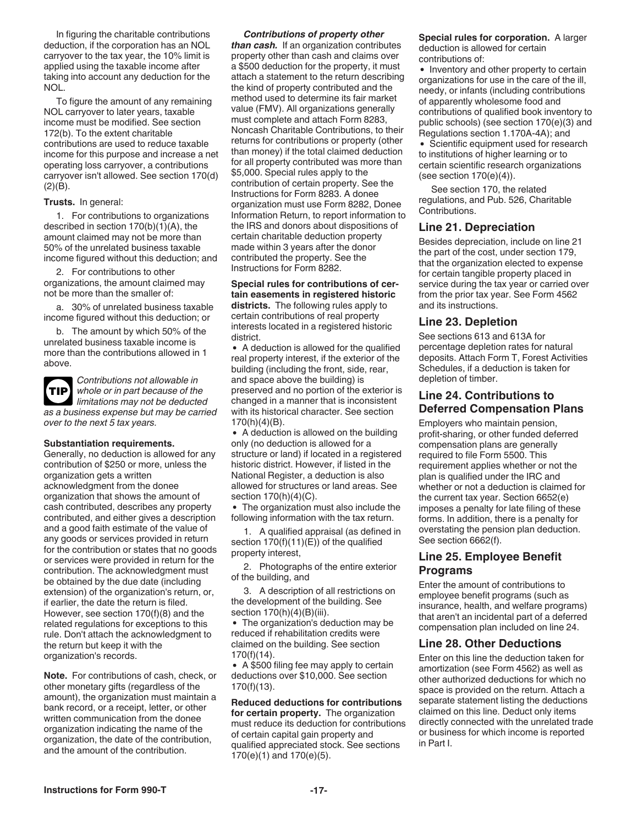In figuring the charitable contributions deduction, if the corporation has an NOL carryover to the tax year, the 10% limit is applied using the taxable income after taking into account any deduction for the NOL.

To figure the amount of any remaining NOL carryover to later years, taxable income must be modified. See section 172(b). To the extent charitable contributions are used to reduce taxable income for this purpose and increase a net operating loss carryover, a contributions carryover isn't allowed. See section 170(d)  $(2)(B)$ .

#### **Trusts.** In general:

1. For contributions to organizations described in section 170(b)(1)(A), the amount claimed may not be more than 50% of the unrelated business taxable income figured without this deduction; and

2. For contributions to other organizations, the amount claimed may not be more than the smaller of:

a. 30% of unrelated business taxable income figured without this deduction; or

b. The amount by which 50% of the unrelated business taxable income is more than the contributions allowed in 1 above.



*Contributions not allowable in whole or in part because of the limitations may not be deducted* 

*as a business expense but may be carried over to the next 5 tax years.*

#### **Substantiation requirements.**

Generally, no deduction is allowed for any contribution of \$250 or more, unless the organization gets a written acknowledgment from the donee organization that shows the amount of cash contributed, describes any property contributed, and either gives a description and a good faith estimate of the value of any goods or services provided in return for the contribution or states that no goods or services were provided in return for the contribution. The acknowledgment must be obtained by the due date (including extension) of the organization's return, or, if earlier, the date the return is filed. However, see section 170(f)(8) and the related regulations for exceptions to this rule. Don't attach the acknowledgment to the return but keep it with the organization's records.

**Note.** For contributions of cash, check, or other monetary gifts (regardless of the amount), the organization must maintain a bank record, or a receipt, letter, or other written communication from the donee organization indicating the name of the organization, the date of the contribution, and the amount of the contribution.

#### *Contributions of property other*

*than cash.* If an organization contributes property other than cash and claims over a \$500 deduction for the property, it must attach a statement to the return describing the kind of property contributed and the method used to determine its fair market value (FMV). All organizations generally must complete and attach Form 8283, Noncash Charitable Contributions, to their returns for contributions or property (other than money) if the total claimed deduction for all property contributed was more than \$5,000. Special rules apply to the contribution of certain property. See the Instructions for Form 8283. A donee organization must use Form 8282, Donee Information Return, to report information to the IRS and donors about dispositions of certain charitable deduction property made within 3 years after the donor contributed the property. See the Instructions for Form 8282.

#### **Special rules for contributions of certain easements in registered historic districts.** The following rules apply to certain contributions of real property interests located in a registered historic district.

A deduction is allowed for the qualified real property interest, if the exterior of the building (including the front, side, rear, and space above the building) is preserved and no portion of the exterior is changed in a manner that is inconsistent with its historical character. See section 170(h)(4)(B).

A deduction is allowed on the building only (no deduction is allowed for a structure or land) if located in a registered historic district. However, if listed in the National Register, a deduction is also allowed for structures or land areas. See section 170(h)(4)(C).

The organization must also include the following information with the tax return.

1. A qualified appraisal (as defined in section  $170(f)(11)(E)$  of the qualified property interest,

2. Photographs of the entire exterior of the building, and

3. A description of all restrictions on the development of the building. See section 170(h)(4)(B)(iii).

• The organization's deduction may be reduced if rehabilitation credits were claimed on the building. See section 170(f)(14).

A \$500 filing fee may apply to certain deductions over \$10,000. See section 170(f)(13).

**Reduced deductions for contributions for certain property.** The organization must reduce its deduction for contributions of certain capital gain property and qualified appreciated stock. See sections 170(e)(1) and 170(e)(5).

**Special rules for corporation.** A larger deduction is allowed for certain contributions of:

• Inventory and other property to certain organizations for use in the care of the ill, needy, or infants (including contributions of apparently wholesome food and contributions of qualified book inventory to public schools) (see section 170(e)(3) and Regulations section 1.170A-4A); and

• Scientific equipment used for research to institutions of higher learning or to certain scientific research organizations (see section  $170(e)(4)$ ).

See section 170, the related regulations, and Pub. 526, Charitable Contributions.

#### **Line 21. Depreciation**

Besides depreciation, include on line 21 the part of the cost, under section 179, that the organization elected to expense for certain tangible property placed in service during the tax year or carried over from the prior tax year. See Form 4562 and its instructions.

#### **Line 23. Depletion**

See sections 613 and 613A for percentage depletion rates for natural deposits. Attach Form T, Forest Activities Schedules, if a deduction is taken for depletion of timber.

#### **Line 24. Contributions to Deferred Compensation Plans**

Employers who maintain pension, profit-sharing, or other funded deferred compensation plans are generally required to file Form 5500. This requirement applies whether or not the plan is qualified under the IRC and whether or not a deduction is claimed for the current tax year. Section 6652(e) imposes a penalty for late filing of these forms. In addition, there is a penalty for overstating the pension plan deduction. See section 6662(f).

#### **Line 25. Employee Benefit Programs**

Enter the amount of contributions to employee benefit programs (such as insurance, health, and welfare programs) that aren't an incidental part of a deferred compensation plan included on line 24.

#### **Line 28. Other Deductions**

Enter on this line the deduction taken for amortization (see Form 4562) as well as other authorized deductions for which no space is provided on the return. Attach a separate statement listing the deductions claimed on this line. Deduct only items directly connected with the unrelated trade or business for which income is reported in Part I.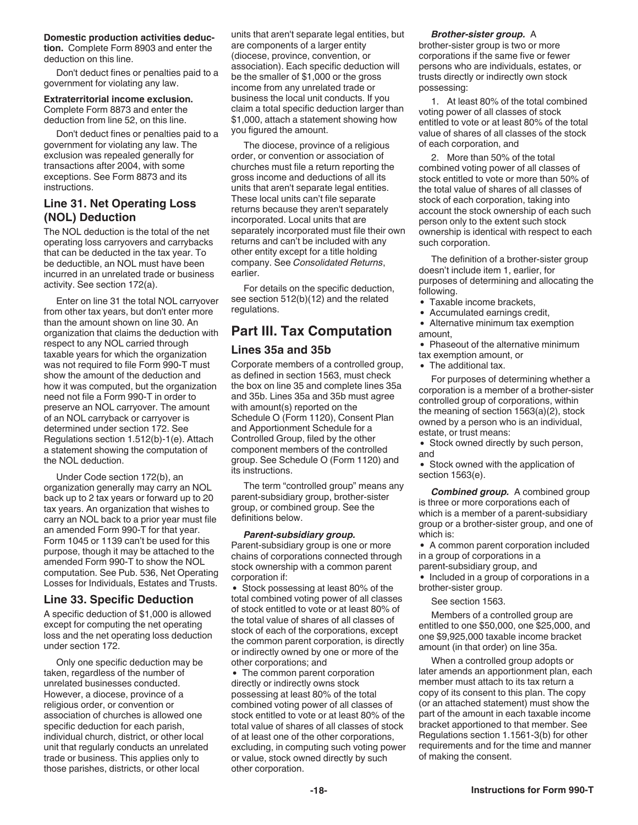#### <span id="page-17-0"></span>**Domestic production activities deduc-**

**tion.** Complete Form 8903 and enter the deduction on this line.

Don't deduct fines or penalties paid to a government for violating any law.

#### **Extraterritorial income exclusion.**  Complete Form 8873 and enter the deduction from line 52, on this line.

Don't deduct fines or penalties paid to a government for violating any law. The exclusion was repealed generally for transactions after 2004, with some exceptions. See Form 8873 and its instructions.

#### **Line 31. Net Operating Loss (NOL) Deduction**

The NOL deduction is the total of the net operating loss carryovers and carrybacks that can be deducted in the tax year. To be deductible, an NOL must have been incurred in an unrelated trade or business activity. See section 172(a).

Enter on line 31 the total NOL carryover from other tax years, but don't enter more than the amount shown on line 30. An organization that claims the deduction with respect to any NOL carried through taxable years for which the organization was not required to file Form 990-T must show the amount of the deduction and how it was computed, but the organization need not file a Form 990-T in order to preserve an NOL carryover. The amount of an NOL carryback or carryover is determined under section 172. See Regulations section 1.512(b)-1(e). Attach a statement showing the computation of the NOL deduction.

Under Code section 172(b), an organization generally may carry an NOL back up to 2 tax years or forward up to 20 tax years. An organization that wishes to carry an NOL back to a prior year must file an amended Form 990-T for that year. Form 1045 or 1139 can't be used for this purpose, though it may be attached to the amended Form 990-T to show the NOL computation. See Pub. 536, Net Operating Losses for Individuals, Estates and Trusts.

#### **Line 33. Specific Deduction**

A specific deduction of \$1,000 is allowed except for computing the net operating loss and the net operating loss deduction under section 172.

Only one specific deduction may be taken, regardless of the number of unrelated businesses conducted. However, a diocese, province of a religious order, or convention or association of churches is allowed one specific deduction for each parish, individual church, district, or other local unit that regularly conducts an unrelated trade or business. This applies only to those parishes, districts, or other local

units that aren't separate legal entities, but are components of a larger entity (diocese, province, convention, or association). Each specific deduction will be the smaller of \$1,000 or the gross income from any unrelated trade or business the local unit conducts. If you claim a total specific deduction larger than \$1,000, attach a statement showing how you figured the amount.

The diocese, province of a religious order, or convention or association of churches must file a return reporting the gross income and deductions of all its units that aren't separate legal entities. These local units can't file separate returns because they aren't separately incorporated. Local units that are separately incorporated must file their own returns and can't be included with any other entity except for a title holding company. See *Consolidated Returns*, earlier.

For details on the specific deduction, see section 512(b)(12) and the related regulations.

### **Part III. Tax Computation**

#### **Lines 35a and 35b**

Corporate members of a controlled group, as defined in section 1563, must check the box on line 35 and complete lines 35a and 35b. Lines 35a and 35b must agree with amount(s) reported on the Schedule O (Form 1120), Consent Plan and Apportionment Schedule for a Controlled Group, filed by the other component members of the controlled group. See Schedule O (Form 1120) and its instructions.

The term "controlled group" means any parent-subsidiary group, brother-sister group, or combined group. See the definitions below.

#### *Parent-subsidiary group.*

Parent-subsidiary group is one or more chains of corporations connected through stock ownership with a common parent corporation if:

• Stock possessing at least 80% of the total combined voting power of all classes of stock entitled to vote or at least 80% of the total value of shares of all classes of stock of each of the corporations, except the common parent corporation, is directly or indirectly owned by one or more of the other corporations; and

• The common parent corporation directly or indirectly owns stock possessing at least 80% of the total combined voting power of all classes of stock entitled to vote or at least 80% of the total value of shares of all classes of stock of at least one of the other corporations, excluding, in computing such voting power or value, stock owned directly by such other corporation.

#### *Brother-sister group.* A

brother-sister group is two or more corporations if the same five or fewer persons who are individuals, estates, or trusts directly or indirectly own stock possessing:

1. At least 80% of the total combined voting power of all classes of stock entitled to vote or at least 80% of the total value of shares of all classes of the stock of each corporation, and

2. More than 50% of the total combined voting power of all classes of stock entitled to vote or more than 50% of the total value of shares of all classes of stock of each corporation, taking into account the stock ownership of each such person only to the extent such stock ownership is identical with respect to each such corporation.

The definition of a brother-sister group doesn't include item 1, earlier, for purposes of determining and allocating the following.

- Taxable income brackets,
- Accumulated earnings credit,  $\bullet$

 $\bullet$ Alternative minimum tax exemption amount,

- Phaseout of the alternative minimum tax exemption amount, or
- The additional tax.

For purposes of determining whether a corporation is a member of a brother-sister controlled group of corporations, within the meaning of section 1563(a)(2), stock owned by a person who is an individual, estate, or trust means:

Stock owned directly by such person, and

Stock owned with the application of section 1563(e).

*Combined group.* A combined group is three or more corporations each of which is a member of a parent-subsidiary group or a brother-sister group, and one of which is:

A common parent corporation included in a group of corporations in a parent-subsidiary group, and

• Included in a group of corporations in a brother-sister group.

See section 1563.

Members of a controlled group are entitled to one \$50,000, one \$25,000, and one \$9,925,000 taxable income bracket amount (in that order) on line 35a.

When a controlled group adopts or later amends an apportionment plan, each member must attach to its tax return a copy of its consent to this plan. The copy (or an attached statement) must show the part of the amount in each taxable income bracket apportioned to that member. See Regulations section 1.1561-3(b) for other requirements and for the time and manner of making the consent.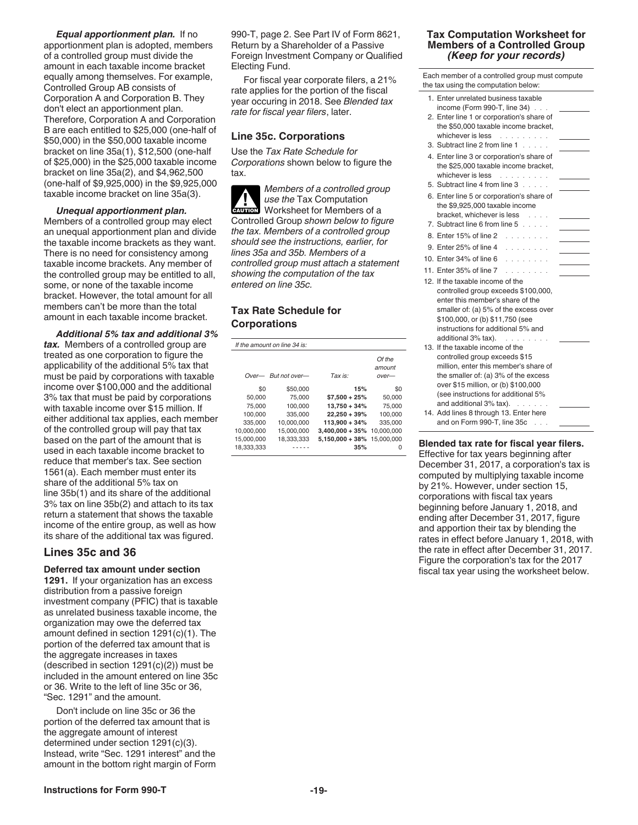<span id="page-18-0"></span>*Equal apportionment plan.* If no apportionment plan is adopted, members of a controlled group must divide the amount in each taxable income bracket equally among themselves. For example, Controlled Group AB consists of Corporation A and Corporation B. They don't elect an apportionment plan. Therefore, Corporation A and Corporation B are each entitled to \$25,000 (one-half of \$50,000) in the \$50,000 taxable income bracket on line 35a(1), \$12,500 (one-half of \$25,000) in the \$25,000 taxable income bracket on line 35a(2), and \$4,962,500 (one-half of \$9,925,000) in the \$9,925,000 taxable income bracket on line 35a(3).

*Unequal apportionment plan.*  Members of a controlled group may elect an unequal apportionment plan and divide the taxable income brackets as they want. There is no need for consistency among taxable income brackets. Any member of the controlled group may be entitled to all, some, or none of the taxable income bracket. However, the total amount for all members can't be more than the total amount in each taxable income bracket.

*Additional 5% tax and additional 3% tax.* Members of a controlled group are treated as one corporation to figure the applicability of the additional 5% tax that must be paid by corporations with taxable income over \$100,000 and the additional 3% tax that must be paid by corporations with taxable income over \$15 million. If either additional tax applies, each member of the controlled group will pay that tax based on the part of the amount that is used in each taxable income bracket to reduce that member's tax. See section 1561(a). Each member must enter its share of the additional 5% tax on line 35b(1) and its share of the additional 3% tax on line 35b(2) and attach to its tax return a statement that shows the taxable income of the entire group, as well as how its share of the additional tax was figured.

#### **Lines 35c and 36**

**Deferred tax amount under section 1291.** If your organization has an excess

distribution from a passive foreign investment company (PFIC) that is taxable as unrelated business taxable income, the organization may owe the deferred tax amount defined in section 1291(c)(1). The portion of the deferred tax amount that is the aggregate increases in taxes (described in section 1291(c)(2)) must be included in the amount entered on line 35c or 36. Write to the left of line 35c or 36, "Sec. 1291" and the amount.

Don't include on line 35c or 36 the portion of the deferred tax amount that is the aggregate amount of interest determined under section 1291(c)(3). Instead, write "Sec. 1291 interest" and the amount in the bottom right margin of Form 990-T, page 2. See Part IV of Form 8621, Return by a Shareholder of a Passive Foreign Investment Company or Qualified Electing Fund.

For fiscal year corporate filers, a 21% rate applies for the portion of the fiscal year occuring in 2018. See *Blended tax rate for fiscal year filers*, later.

#### **Line 35c. Corporations**

Use the *Tax Rate Schedule for Corporations* shown below to figure the tax.

*Members of a controlled group use the* Tax Computation Worksheet for Members of a Controlled Group *shown below to figure the tax. Members of a controlled group should see the instructions, earlier, for lines 35a and 35b. Members of a controlled group must attach a statement showing the computation of the tax entered on line 35c.* **CAUTION !**

#### **Tax Rate Schedule for Corporations**

| If the amount on line 34 is: |                    |                               |                             |  |
|------------------------------|--------------------|-------------------------------|-----------------------------|--|
|                              | Over-But not over- | Tax is:                       | Of the<br>amount<br>$over-$ |  |
| \$0                          | \$50,000           | 15%                           | \$0                         |  |
| 50.000                       | 75.000             | $$7.500 + 25%$                | 50.000                      |  |
| 75,000                       | 100.000            | $13.750 + 34%$                | 75,000                      |  |
| 100.000                      | 335.000            | $22.250 + 39%$                | 100.000                     |  |
| 335.000                      | 10.000.000         | 113.900 + 34%                 | 335.000                     |  |
| 10,000,000                   | 15.000.000         | $3.400.000 + 35\%$ 10.000.000 |                             |  |
| 15.000.000                   | 18.333.333         | $5,150,000 + 38\%$ 15,000,000 |                             |  |
| 18.333.333                   |                    | 35%                           |                             |  |

#### **Tax Computation Worksheet for Members of a Controlled Group** *(Keep for your records)*

| 1. Enter unrelated business taxable<br>income (Form 990-T, line 34)<br>2. Enter line 1 or corporation's share of<br>the \$50,000 taxable income bracket,<br>whichever is less<br>.<br>3. Subtract line 2 from line 1<br>4. Enter line 3 or corporation's share of<br>the \$25,000 taxable income bracket,<br>whichever is less<br>and a straight and<br>5. Subtract line 4 from line 3<br>6. Enter line 5 or corporation's share of<br>the \$9,925,000 taxable income<br>bracket, whichever is less<br>$\sim 100$<br>7. Subtract line 6 from line 5<br>8. Enter 15% of line 2<br>.<br>9. Enter 25% of line 4<br>.<br>10. Enter 34% of line 6<br>11. Enter 35% of line 7<br>12. If the taxable income of the<br>controlled group exceeds \$100,000,<br>enter this member's share of the<br>smaller of: (a) 5% of the excess over<br>\$100,000, or (b) \$11,750 (see<br>instructions for additional 5% and<br>additional 3% tax).<br>and a series<br>13. If the taxable income of the<br>controlled group exceeds \$15<br>million, enter this member's share of<br>the smaller of: (a) 3% of the excess<br>over \$15 million, or (b) \$100,000<br>(see instructions for additional 5%<br>and additional 3% tax).<br>14. Add lines 8 through 13. Enter here<br>and on Form 990-T, line 35c | Each member of a controlled group must compute<br>the tax using the computation below: |  |  |  |  |
|-----------------------------------------------------------------------------------------------------------------------------------------------------------------------------------------------------------------------------------------------------------------------------------------------------------------------------------------------------------------------------------------------------------------------------------------------------------------------------------------------------------------------------------------------------------------------------------------------------------------------------------------------------------------------------------------------------------------------------------------------------------------------------------------------------------------------------------------------------------------------------------------------------------------------------------------------------------------------------------------------------------------------------------------------------------------------------------------------------------------------------------------------------------------------------------------------------------------------------------------------------------------------------------------|----------------------------------------------------------------------------------------|--|--|--|--|
|                                                                                                                                                                                                                                                                                                                                                                                                                                                                                                                                                                                                                                                                                                                                                                                                                                                                                                                                                                                                                                                                                                                                                                                                                                                                                         |                                                                                        |  |  |  |  |
|                                                                                                                                                                                                                                                                                                                                                                                                                                                                                                                                                                                                                                                                                                                                                                                                                                                                                                                                                                                                                                                                                                                                                                                                                                                                                         |                                                                                        |  |  |  |  |
|                                                                                                                                                                                                                                                                                                                                                                                                                                                                                                                                                                                                                                                                                                                                                                                                                                                                                                                                                                                                                                                                                                                                                                                                                                                                                         |                                                                                        |  |  |  |  |
|                                                                                                                                                                                                                                                                                                                                                                                                                                                                                                                                                                                                                                                                                                                                                                                                                                                                                                                                                                                                                                                                                                                                                                                                                                                                                         |                                                                                        |  |  |  |  |
|                                                                                                                                                                                                                                                                                                                                                                                                                                                                                                                                                                                                                                                                                                                                                                                                                                                                                                                                                                                                                                                                                                                                                                                                                                                                                         |                                                                                        |  |  |  |  |
|                                                                                                                                                                                                                                                                                                                                                                                                                                                                                                                                                                                                                                                                                                                                                                                                                                                                                                                                                                                                                                                                                                                                                                                                                                                                                         |                                                                                        |  |  |  |  |
|                                                                                                                                                                                                                                                                                                                                                                                                                                                                                                                                                                                                                                                                                                                                                                                                                                                                                                                                                                                                                                                                                                                                                                                                                                                                                         |                                                                                        |  |  |  |  |
|                                                                                                                                                                                                                                                                                                                                                                                                                                                                                                                                                                                                                                                                                                                                                                                                                                                                                                                                                                                                                                                                                                                                                                                                                                                                                         |                                                                                        |  |  |  |  |
|                                                                                                                                                                                                                                                                                                                                                                                                                                                                                                                                                                                                                                                                                                                                                                                                                                                                                                                                                                                                                                                                                                                                                                                                                                                                                         |                                                                                        |  |  |  |  |
|                                                                                                                                                                                                                                                                                                                                                                                                                                                                                                                                                                                                                                                                                                                                                                                                                                                                                                                                                                                                                                                                                                                                                                                                                                                                                         |                                                                                        |  |  |  |  |
|                                                                                                                                                                                                                                                                                                                                                                                                                                                                                                                                                                                                                                                                                                                                                                                                                                                                                                                                                                                                                                                                                                                                                                                                                                                                                         |                                                                                        |  |  |  |  |
|                                                                                                                                                                                                                                                                                                                                                                                                                                                                                                                                                                                                                                                                                                                                                                                                                                                                                                                                                                                                                                                                                                                                                                                                                                                                                         |                                                                                        |  |  |  |  |
|                                                                                                                                                                                                                                                                                                                                                                                                                                                                                                                                                                                                                                                                                                                                                                                                                                                                                                                                                                                                                                                                                                                                                                                                                                                                                         |                                                                                        |  |  |  |  |
|                                                                                                                                                                                                                                                                                                                                                                                                                                                                                                                                                                                                                                                                                                                                                                                                                                                                                                                                                                                                                                                                                                                                                                                                                                                                                         |                                                                                        |  |  |  |  |
|                                                                                                                                                                                                                                                                                                                                                                                                                                                                                                                                                                                                                                                                                                                                                                                                                                                                                                                                                                                                                                                                                                                                                                                                                                                                                         |                                                                                        |  |  |  |  |
|                                                                                                                                                                                                                                                                                                                                                                                                                                                                                                                                                                                                                                                                                                                                                                                                                                                                                                                                                                                                                                                                                                                                                                                                                                                                                         |                                                                                        |  |  |  |  |

**Blended tax rate for fiscal year filers.** 

Effective for tax years beginning after December 31, 2017, a corporation's tax is computed by multiplying taxable income by 21%. However, under section 15, corporations with fiscal tax years beginning before January 1, 2018, and ending after December 31, 2017, figure and apportion their tax by blending the rates in effect before January 1, 2018, with the rate in effect after December 31, 2017. Figure the corporation's tax for the 2017 fiscal tax year using the worksheet below.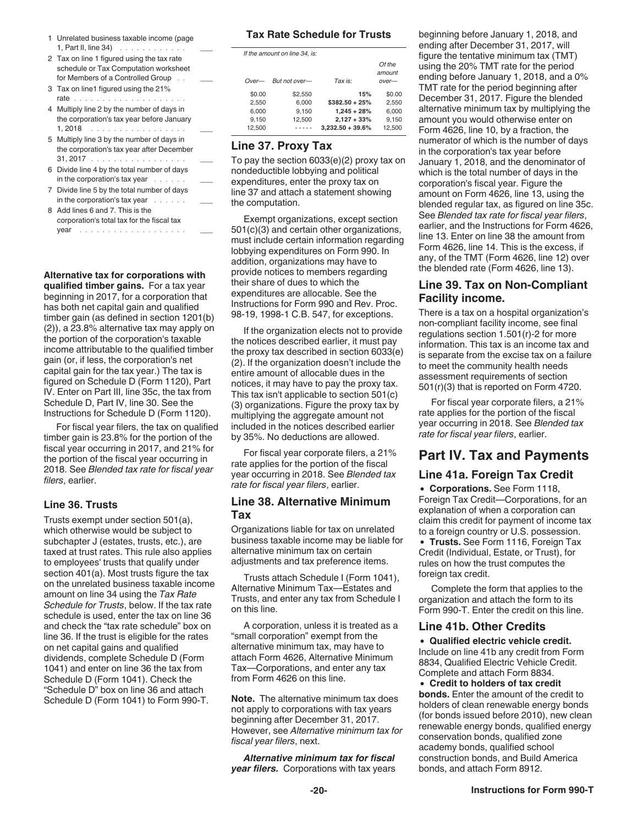- <span id="page-19-0"></span>1 Unrelated business taxable income (page 1, Part II, line  $34)$  .............
- 2 Tax on line 1 figured using the tax rate schedule or Tax Computation worksheet for Members of a Controlled Group . .
- 3 Tax on line1 figured using the 21% rate .....................
- 4 Multiply line 2 by the number of days in the corporation's tax year before January 1, 2018 . . . . . . . . . . . . . . . . .
- 5 Multiply line 3 by the number of days in the corporation's tax year after December 31, 2017 . . . . . . . . . . . . . . . . . .
- 6 Divide line 4 by the total number of days in the corporation's tax year . . . . . .
- 7 Divide line 5 by the total number of days in the corporation's tax year . . . . . .
- 8 Add lines 6 and 7. This is the corporation's total tax for the fiscal tax year ................... \_\_\_

**Alternative tax for corporations with qualified timber gains.** For a tax year beginning in 2017, for a corporation that has both net capital gain and qualified timber gain (as defined in section 1201(b) (2)), a 23.8% alternative tax may apply on the portion of the corporation's taxable income attributable to the qualified timber gain (or, if less, the corporation's net capital gain for the tax year.) The tax is figured on Schedule D (Form 1120), Part IV. Enter on Part III, line 35c, the tax from Schedule D, Part IV, line 30. See the Instructions for Schedule D (Form 1120).

For fiscal year filers, the tax on qualified timber gain is 23.8% for the portion of the fiscal year occurring in 2017, and 21% for the portion of the fiscal year occurring in 2018. See *Blended tax rate for fiscal year filers*, earlier.

#### **Line 36. Trusts**

Trusts exempt under section 501(a), which otherwise would be subject to subchapter J (estates, trusts, etc.), are taxed at trust rates. This rule also applies to employees' trusts that qualify under section 401(a). Most trusts figure the tax on the unrelated business taxable income amount on line 34 using the *Tax Rate Schedule for Trusts*, below. If the tax rate schedule is used, enter the tax on line 36 and check the "tax rate schedule" box on line 36. If the trust is eligible for the rates on net capital gains and qualified dividends, complete Schedule D (Form 1041) and enter on line 36 the tax from Schedule D (Form 1041). Check the "Schedule D" box on line 36 and attach Schedule D (Form 1041) to Form 990-T.

#### **Tax Rate Schedule for Trusts**

| If the amount on line 34, is: |               |                     |         |  |
|-------------------------------|---------------|---------------------|---------|--|
|                               |               |                     | Of the  |  |
|                               |               |                     | amount  |  |
| $Over-$                       | But not over— | Tax is:             | $over-$ |  |
| \$0.00                        | \$2.550       | 15%                 | \$0.00  |  |
| 2.550                         | 6.000         | $$382.50 + 25\%$    | 2.550   |  |
| 6.000                         | 9.150         | $1,245 + 28%$       | 6.000   |  |
| 9.150                         | 12,500        | $2,127 + 33%$       | 9.150   |  |
| 12.500                        |               | $3,232.50 + 39.6\%$ | 12,500  |  |
|                               |               |                     |         |  |

#### **Line 37. Proxy Tax**

To pay the section 6033(e)(2) proxy tax on nondeductible lobbying and political expenditures, enter the proxy tax on line 37 and attach a statement showing the computation.

Exempt organizations, except section 501(c)(3) and certain other organizations, must include certain information regarding lobbying expenditures on Form 990. In addition, organizations may have to provide notices to members regarding their share of dues to which the expenditures are allocable. See the Instructions for Form 990 and Rev. Proc. 98-19, 1998-1 C.B. 547, for exceptions.

If the organization elects not to provide the notices described earlier, it must pay the proxy tax described in section 6033(e) (2). If the organization doesn't include the entire amount of allocable dues in the notices, it may have to pay the proxy tax. This tax isn't applicable to section 501(c) (3) organizations. Figure the proxy tax by multiplying the aggregate amount not included in the notices described earlier by 35%. No deductions are allowed.

For fiscal year corporate filers, a 21% rate applies for the portion of the fiscal year occurring in 2018. See *Blended tax rate for fiscal year filers*, earlier.

#### **Line 38. Alternative Minimum Tax**

Organizations liable for tax on unrelated business taxable income may be liable for alternative minimum tax on certain adjustments and tax preference items.

Trusts attach Schedule I (Form 1041), Alternative Minimum Tax—Estates and Trusts, and enter any tax from Schedule I on this line.

A corporation, unless it is treated as a "small corporation" exempt from the alternative minimum tax, may have to attach Form 4626, Alternative Minimum Tax—Corporations, and enter any tax from Form 4626 on this line.

**Note.** The alternative minimum tax does not apply to corporations with tax years beginning after December 31, 2017. However, see *Alternative minimum tax for fiscal year filers*, next.

*Alternative minimum tax for fiscal year filers.* Corporations with tax years

beginning before January 1, 2018, and ending after December 31, 2017, will figure the tentative minimum tax (TMT) using the 20% TMT rate for the period ending before January 1, 2018, and a 0% TMT rate for the period beginning after December 31, 2017. Figure the blended alternative minimum tax by multiplying the amount you would otherwise enter on Form 4626, line 10, by a fraction, the numerator of which is the number of days in the corporation's tax year before January 1, 2018, and the denominator of which is the total number of days in the corporation's fiscal year. Figure the amount on Form 4626, line 13, using the blended regular tax, as figured on line 35c. See *Blended tax rate for fiscal year filers*, earlier, and the Instructions for Form 4626, line 13. Enter on line 38 the amount from Form 4626, line 14. This is the excess, if any, of the TMT (Form 4626, line 12) over the blended rate (Form 4626, line 13).

### **Line 39. Tax on Non-Compliant Facility income.**

There is a tax on a hospital organization's non-compliant facility income, see final regulations section 1.501(r)-2 for more information. This tax is an income tax and is separate from the excise tax on a failure to meet the community health needs assessment requirements of section 501(r)(3) that is reported on Form 4720.

For fiscal year corporate filers, a 21% rate applies for the portion of the fiscal year occurring in 2018. See *Blended tax rate for fiscal year filers*, earlier.

### **Part IV. Tax and Payments**

#### **Line 41a. Foreign Tax Credit**

**Corporations.** See Form 1118, Foreign Tax Credit—Corporations, for an explanation of when a corporation can claim this credit for payment of income tax to a foreign country or U.S. possession. **Trusts.** See Form 1116, Foreign Tax Credit (Individual, Estate, or Trust), for rules on how the trust computes the

Complete the form that applies to the organization and attach the form to its Form 990-T. Enter the credit on this line.

#### **Line 41b. Other Credits**

foreign tax credit.

**Qualified electric vehicle credit.**  Include on line 41b any credit from Form 8834, Qualified Electric Vehicle Credit. Complete and attach Form 8834.

**Credit to holders of tax credit bonds.** Enter the amount of the credit to holders of clean renewable energy bonds (for bonds issued before 2010), new clean renewable energy bonds, qualified energy conservation bonds, qualified zone academy bonds, qualified school construction bonds, and Build America bonds, and attach Form 8912.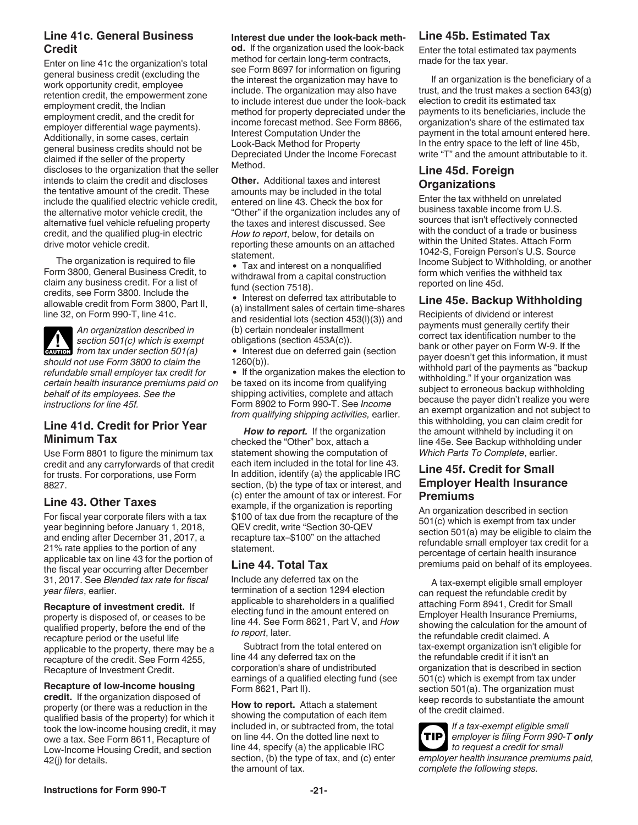### **Line 41c. General Business Credit**

Enter on line 41c the organization's total general business credit (excluding the work opportunity credit, employee retention credit, the empowerment zone employment credit, the Indian employment credit, and the credit for employer differential wage payments). Additionally, in some cases, certain general business credits should not be claimed if the seller of the property discloses to the organization that the seller intends to claim the credit and discloses the tentative amount of the credit. These include the qualified electric vehicle credit, the alternative motor vehicle credit, the alternative fuel vehicle refueling property credit, and the qualified plug-in electric drive motor vehicle credit.

The organization is required to file Form 3800, General Business Credit, to claim any business credit. For a list of credits, see Form 3800. Include the allowable credit from Form 3800, Part II, line 32, on Form 990-T, line 41c.

*An organization described in section 501(c) which is exempt*  **from tax under section 501(a)**<br> **CAUTION** from tax under section 501(a) *should not use Form 3800 to claim the refundable small employer tax credit for certain health insurance premiums paid on behalf of its employees. See the instructions for line 45f.*

### **Line 41d. Credit for Prior Year Minimum Tax**

Use Form 8801 to figure the minimum tax credit and any carryforwards of that credit for trusts. For corporations, use Form 8827.

### **Line 43. Other Taxes**

For fiscal year corporate filers with a tax year beginning before January 1, 2018, and ending after December 31, 2017, a 21% rate applies to the portion of any applicable tax on line 43 for the portion of the fiscal year occurring after December 31, 2017. See *Blended tax rate for fiscal year filers*, earlier.

**Recapture of investment credit.** If property is disposed of, or ceases to be qualified property, before the end of the recapture period or the useful life applicable to the property, there may be a recapture of the credit. See Form 4255, Recapture of Investment Credit.

**Recapture of low-income housing credit.** If the organization disposed of property (or there was a reduction in the qualified basis of the property) for which it took the low-income housing credit, it may owe a tax. See Form 8611, Recapture of Low-Income Housing Credit, and section 42(j) for details.

#### **Interest due under the look-back meth-**

**od.** If the organization used the look-back method for certain long-term contracts, see Form 8697 for information on figuring the interest the organization may have to include. The organization may also have to include interest due under the look-back method for property depreciated under the income forecast method. See Form 8866, Interest Computation Under the Look-Back Method for Property Depreciated Under the Income Forecast Method.

**Other.** Additional taxes and interest amounts may be included in the total entered on line 43. Check the box for "Other" if the organization includes any of the taxes and interest discussed. See *How to report*, below, for details on reporting these amounts on an attached statement.

Tax and interest on a nonqualified withdrawal from a capital construction fund (section 7518).

• Interest on deferred tax attributable to (a) installment sales of certain time-shares and residential lots (section 453(l)(3)) and (b) certain nondealer installment obligations (section 453A(c)).

• Interest due on deferred gain (section 1260(b)).

• If the organization makes the election to be taxed on its income from qualifying shipping activities, complete and attach Form 8902 to Form 990-T. See *Income from qualifying shipping activities,* earlier.

*How to report.* If the organization checked the "Other" box, attach a statement showing the computation of each item included in the total for line 43. In addition, identify (a) the applicable IRC section, (b) the type of tax or interest, and (c) enter the amount of tax or interest. For example, if the organization is reporting \$100 of tax due from the recapture of the QEV credit, write "Section 30-QEV recapture tax–\$100" on the attached statement.

#### **Line 44. Total Tax**

Include any deferred tax on the termination of a section 1294 election applicable to shareholders in a qualified electing fund in the amount entered on line 44. See Form 8621, Part V, and *How to report*, later.

Subtract from the total entered on line 44 any deferred tax on the corporation's share of undistributed earnings of a qualified electing fund (see Form 8621, Part II).

**How to report.** Attach a statement showing the computation of each item included in, or subtracted from, the total on line 44. On the dotted line next to line 44, specify (a) the applicable IRC section, (b) the type of tax, and (c) enter the amount of tax.

### **Line 45b. Estimated Tax**

Enter the total estimated tax payments made for the tax year.

If an organization is the beneficiary of a trust, and the trust makes a section 643(g) election to credit its estimated tax payments to its beneficiaries, include the organization's share of the estimated tax payment in the total amount entered here. In the entry space to the left of line 45b, write "T" and the amount attributable to it.

#### **Line 45d. Foreign Organizations**

Enter the tax withheld on unrelated business taxable income from U.S. sources that isn't effectively connected with the conduct of a trade or business within the United States. Attach Form 1042-S, Foreign Person's U.S. Source Income Subject to Withholding, or another form which verifies the withheld tax reported on line 45d.

### **Line 45e. Backup Withholding**

Recipients of dividend or interest payments must generally certify their correct tax identification number to the bank or other payer on Form W-9. If the payer doesn't get this information, it must withhold part of the payments as "backup withholding." If your organization was subject to erroneous backup withholding because the payer didn't realize you were an exempt organization and not subject to this withholding, you can claim credit for the amount withheld by including it on line 45e. See Backup withholding under *Which Parts To Complete*, earlier.

### **Line 45f. Credit for Small Employer Health Insurance Premiums**

An organization described in section 501(c) which is exempt from tax under section 501(a) may be eligible to claim the refundable small employer tax credit for a percentage of certain health insurance premiums paid on behalf of its employees.

A tax-exempt eligible small employer can request the refundable credit by attaching Form 8941, Credit for Small Employer Health Insurance Premiums, showing the calculation for the amount of the refundable credit claimed. A tax-exempt organization isn't eligible for the refundable credit if it isn't an organization that is described in section 501(c) which is exempt from tax under section 501(a). The organization must keep records to substantiate the amount of the credit claimed.

*If a tax-exempt eligible small employer is filing Form 990-T only to request a credit for small employer health insurance premiums paid, complete the following steps.*  **TIP**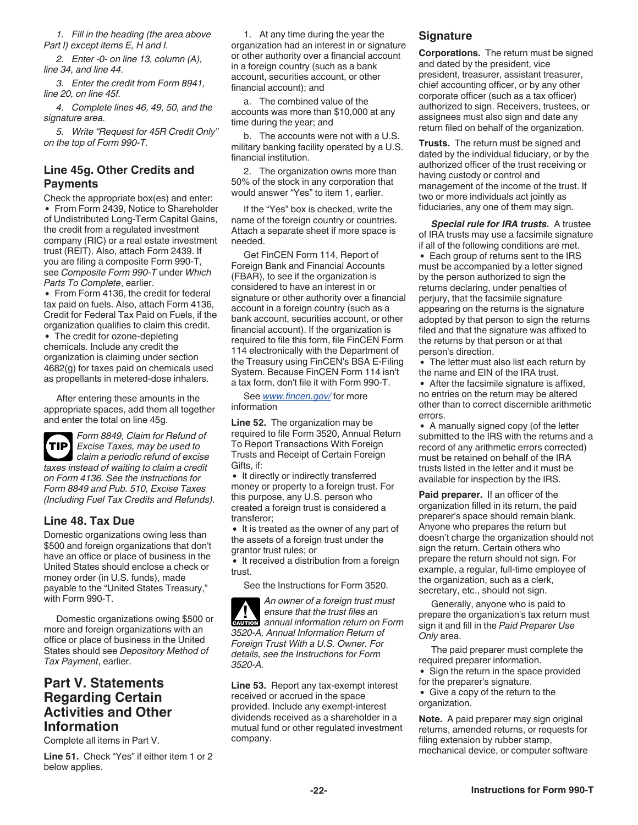<span id="page-21-0"></span>*1. Fill in the heading (the area above Part I) except items E, H and I.*

*2. Enter -0- on line 13, column (A), line 34, and line 44.*

*3. Enter the credit from Form 8941, line 20, on line 45f.*

*4. Complete lines 46, 49, 50, and the signature area.*

*5. Write "Request for 45R Credit Only" on the top of Form 990-T.*

#### **Line 45g. Other Credits and Payments**

Check the appropriate box(es) and enter: • From Form 2439, Notice to Shareholder of Undistributed Long-Term Capital Gains, the credit from a regulated investment company (RIC) or a real estate investment trust (REIT). Also, attach Form 2439. If you are filing a composite Form 990-T, see *Composite Form 990-T* under *Which Parts To Complete*, earlier.

• From Form 4136, the credit for federal tax paid on fuels. Also, attach Form 4136, Credit for Federal Tax Paid on Fuels, if the organization qualifies to claim this credit.

• The credit for ozone-depleting chemicals. Include any credit the organization is claiming under section 4682(g) for taxes paid on chemicals used as propellants in metered-dose inhalers.

After entering these amounts in the appropriate spaces, add them all together and enter the total on line 45g.



*Form 8849, Claim for Refund of Excise Taxes, may be used to claim a periodic refund of excise taxes instead of waiting to claim a credit on Form 4136. See the instructions for Form 8849 and Pub. 510, Excise Taxes* 

**Line 48. Tax Due**

Domestic organizations owing less than \$500 and foreign organizations that don't have an office or place of business in the United States should enclose a check or money order (in U.S. funds), made payable to the "United States Treasury," with Form 990-T.

*(Including Fuel Tax Credits and Refunds).*

Domestic organizations owing \$500 or more and foreign organizations with an office or place of business in the United States should see *Depository Method of Tax Payment*, earlier.

### **Part V. Statements Regarding Certain Activities and Other Information**

Complete all items in Part V.

**Line 51.** Check "Yes" if either item 1 or 2 below applies.

1. At any time during the year the organization had an interest in or signature or other authority over a financial account in a foreign country (such as a bank account, securities account, or other financial account); and

a. The combined value of the accounts was more than \$10,000 at any time during the year; and

b. The accounts were not with a U.S. military banking facility operated by a U.S. financial institution.

2. The organization owns more than 50% of the stock in any corporation that would answer "Yes" to item 1, earlier.

If the "Yes" box is checked, write the name of the foreign country or countries. Attach a separate sheet if more space is needed.

Get FinCEN Form 114, Report of Foreign Bank and Financial Accounts (FBAR), to see if the organization is considered to have an interest in or signature or other authority over a financial account in a foreign country (such as a bank account, securities account, or other financial account). If the organization is required to file this form, file FinCEN Form 114 electronically with the Department of the Treasury using FinCEN's BSA E-Filing System. Because FinCEN Form 114 isn't a tax form, don't file it with Form 990-T.

See *[www.fincen.gov/](https://www.fincen.gov/)* for more information

**Line 52.** The organization may be required to file Form 3520, Annual Return To Report Transactions With Foreign Trusts and Receipt of Certain Foreign Gifts, if:

• It directly or indirectly transferred money or property to a foreign trust. For this purpose, any U.S. person who created a foreign trust is considered a transferor;

• It is treated as the owner of any part of the assets of a foreign trust under the grantor trust rules; or

• It received a distribution from a foreign trust.

See the Instructions for Form 3520.

*An owner of a foreign trust must ensure that the trust files an*  **Property annual information return on Form** *3520-A, Annual Information Return of Foreign Trust With a U.S. Owner. For details, see the Instructions for Form 3520-A.*

**Line 53.** Report any tax-exempt interest received or accrued in the space provided. Include any exempt-interest dividends received as a shareholder in a mutual fund or other regulated investment company.

#### **Signature**

**Corporations.** The return must be signed and dated by the president, vice president, treasurer, assistant treasurer, chief accounting officer, or by any other corporate officer (such as a tax officer) authorized to sign. Receivers, trustees, or assignees must also sign and date any return filed on behalf of the organization.

**Trusts.** The return must be signed and dated by the individual fiduciary, or by the authorized officer of the trust receiving or having custody or control and management of the income of the trust. If two or more individuals act jointly as fiduciaries, any one of them may sign.

*Special rule for IRA trusts.* A trustee of IRA trusts may use a facsimile signature if all of the following conditions are met.

Each group of returns sent to the IRS must be accompanied by a letter signed by the person authorized to sign the returns declaring, under penalties of perjury, that the facsimile signature appearing on the returns is the signature adopted by that person to sign the returns filed and that the signature was affixed to the returns by that person or at that person's direction.

The letter must also list each return by the name and EIN of the IRA trust.

After the facsimile signature is affixed, no entries on the return may be altered other than to correct discernible arithmetic errors.

• A manually signed copy (of the letter submitted to the IRS with the returns and a record of any arithmetic errors corrected) must be retained on behalf of the IRA trusts listed in the letter and it must be available for inspection by the IRS.

**Paid preparer.** If an officer of the organization filled in its return, the paid preparer's space should remain blank. Anyone who prepares the return but doesn't charge the organization should not sign the return. Certain others who prepare the return should not sign. For example, a regular, full-time employee of the organization, such as a clerk, secretary, etc., should not sign.

Generally, anyone who is paid to prepare the organization's tax return must sign it and fill in the *Paid Preparer Use Only* area.

The paid preparer must complete the required preparer information.

• Sign the return in the space provided for the preparer's signature.

Give a copy of the return to the organization.

**Note.** A paid preparer may sign original returns, amended returns, or requests for filing extension by rubber stamp, mechanical device, or computer software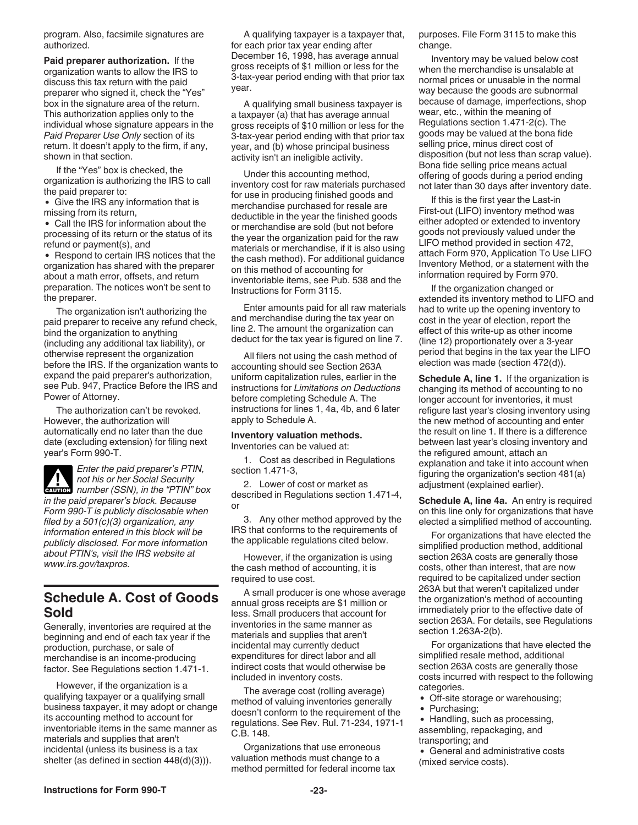<span id="page-22-0"></span>program. Also, facsimile signatures are authorized.

**Paid preparer authorization.** If the organization wants to allow the IRS to discuss this tax return with the paid preparer who signed it, check the "Yes" box in the signature area of the return. This authorization applies only to the individual whose signature appears in the *Paid Preparer Use Only* section of its return. It doesn't apply to the firm, if any, shown in that section.

If the "Yes" box is checked, the organization is authorizing the IRS to call the paid preparer to:

• Give the IRS any information that is missing from its return,

Call the IRS for information about the processing of its return or the status of its refund or payment(s), and

• Respond to certain IRS notices that the organization has shared with the preparer about a math error, offsets, and return preparation. The notices won't be sent to the preparer.

The organization isn't authorizing the paid preparer to receive any refund check, bind the organization to anything (including any additional tax liability), or otherwise represent the organization before the IRS. If the organization wants to expand the paid preparer's authorization, see Pub. 947, Practice Before the IRS and Power of Attorney.

The authorization can't be revoked. However, the authorization will automatically end no later than the due date (excluding extension) for filing next year's Form 990-T.

*Enter the paid preparer's PTIN, not his or her Social Security*  **Property and the Social Security**<br> **CAUTION** number (SSN), in the "PTIN" box *in the paid preparer's block. Because Form 990-T is publicly disclosable when filed by a 501(c)(3) organization, any information entered in this block will be publicly disclosed. For more information about PTIN's, visit the IRS website at www.irs.gov/taxpros.*

### **Schedule A. Cost of Goods Sold**

Generally, inventories are required at the beginning and end of each tax year if the production, purchase, or sale of merchandise is an income-producing factor. See Regulations section 1.471-1.

However, if the organization is a qualifying taxpayer or a qualifying small business taxpayer, it may adopt or change its accounting method to account for inventoriable items in the same manner as materials and supplies that aren't incidental (unless its business is a tax shelter (as defined in section 448(d)(3))).

A qualifying taxpayer is a taxpayer that, for each prior tax year ending after December 16, 1998, has average annual gross receipts of \$1 million or less for the 3-tax-year period ending with that prior tax year.

A qualifying small business taxpayer is a taxpayer (a) that has average annual gross receipts of \$10 million or less for the 3-tax-year period ending with that prior tax year, and (b) whose principal business activity isn't an ineligible activity.

Under this accounting method, inventory cost for raw materials purchased for use in producing finished goods and merchandise purchased for resale are deductible in the year the finished goods or merchandise are sold (but not before the year the organization paid for the raw materials or merchandise, if it is also using the cash method). For additional guidance on this method of accounting for inventoriable items, see Pub. 538 and the Instructions for Form 3115.

Enter amounts paid for all raw materials and merchandise during the tax year on line 2. The amount the organization can deduct for the tax year is figured on line 7.

All filers not using the cash method of accounting should see Section 263A uniform capitalization rules, earlier in the instructions for *Limitations on Deductions*  before completing Schedule A. The instructions for lines 1, 4a, 4b, and 6 later apply to Schedule A.

#### **Inventory valuation methods.**  Inventories can be valued at:

1. Cost as described in Regulations section 1.471-3,

2. Lower of cost or market as described in Regulations section 1.471-4, or

3. Any other method approved by the IRS that conforms to the requirements of the applicable regulations cited below.

However, if the organization is using the cash method of accounting, it is required to use cost.

A small producer is one whose average annual gross receipts are \$1 million or less. Small producers that account for inventories in the same manner as materials and supplies that aren't incidental may currently deduct expenditures for direct labor and all indirect costs that would otherwise be included in inventory costs.

The average cost (rolling average) method of valuing inventories generally doesn't conform to the requirement of the regulations. See Rev. Rul. 71-234, 1971-1 C.B. 148.

Organizations that use erroneous valuation methods must change to a method permitted for federal income tax purposes. File Form 3115 to make this change.

Inventory may be valued below cost when the merchandise is unsalable at normal prices or unusable in the normal way because the goods are subnormal because of damage, imperfections, shop wear, etc., within the meaning of Regulations section 1.471-2(c). The goods may be valued at the bona fide selling price, minus direct cost of disposition (but not less than scrap value). Bona fide selling price means actual offering of goods during a period ending not later than 30 days after inventory date.

If this is the first year the Last-in First-out (LIFO) inventory method was either adopted or extended to inventory goods not previously valued under the LIFO method provided in section 472, attach Form 970, Application To Use LIFO Inventory Method, or a statement with the information required by Form 970.

If the organization changed or extended its inventory method to LIFO and had to write up the opening inventory to cost in the year of election, report the effect of this write-up as other income (line 12) proportionately over a 3-year period that begins in the tax year the LIFO election was made (section 472(d)).

**Schedule A, line 1.** If the organization is changing its method of accounting to no longer account for inventories, it must refigure last year's closing inventory using the new method of accounting and enter the result on line 1. If there is a difference between last year's closing inventory and the refigured amount, attach an explanation and take it into account when figuring the organization's section 481(a) adjustment (explained earlier).

**Schedule A, line 4a.** An entry is required on this line only for organizations that have elected a simplified method of accounting.

For organizations that have elected the simplified production method, additional section 263A costs are generally those costs, other than interest, that are now required to be capitalized under section 263A but that weren't capitalized under the organization's method of accounting immediately prior to the effective date of section 263A. For details, see Regulations section 1.263A-2(b).

For organizations that have elected the simplified resale method, additional section 263A costs are generally those costs incurred with respect to the following categories.

- Off-site storage or warehousing;
- Purchasing;

• Handling, such as processing, assembling, repackaging, and transporting; and

General and administrative costs (mixed service costs).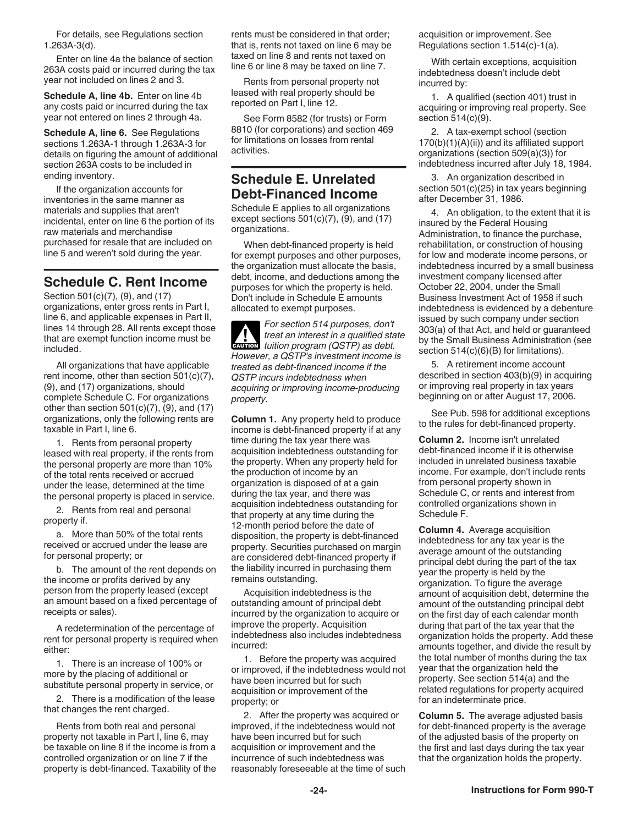<span id="page-23-0"></span>For details, see Regulations section 1.263A-3(d).

Enter on line 4a the balance of section 263A costs paid or incurred during the tax year not included on lines 2 and 3.

**Schedule A, line 4b.** Enter on line 4b any costs paid or incurred during the tax year not entered on lines 2 through 4a.

**Schedule A, line 6.** See Regulations sections 1.263A-1 through 1.263A-3 for details on figuring the amount of additional section 263A costs to be included in ending inventory.

If the organization accounts for inventories in the same manner as materials and supplies that aren't incidental, enter on line 6 the portion of its raw materials and merchandise purchased for resale that are included on line 5 and weren't sold during the year.

### **Schedule C. Rent Income**

Section 501(c)(7), (9), and (17) organizations, enter gross rents in Part I, line 6, and applicable expenses in Part II, lines 14 through 28. All rents except those that are exempt function income must be included.

All organizations that have applicable rent income, other than section 501(c)(7), (9), and (17) organizations, should complete Schedule C. For organizations other than section  $501(c)(7)$ ,  $(9)$ , and  $(17)$ organizations, only the following rents are taxable in Part I, line 6.

1. Rents from personal property leased with real property, if the rents from the personal property are more than 10% of the total rents received or accrued under the lease, determined at the time the personal property is placed in service.

2. Rents from real and personal property if.

a. More than 50% of the total rents received or accrued under the lease are for personal property; or

b. The amount of the rent depends on the income or profits derived by any person from the property leased (except an amount based on a fixed percentage of receipts or sales).

A redetermination of the percentage of rent for personal property is required when either:

1. There is an increase of 100% or more by the placing of additional or substitute personal property in service, or

2. There is a modification of the lease that changes the rent charged.

Rents from both real and personal property not taxable in Part I, line 6, may be taxable on line 8 if the income is from a controlled organization or on line 7 if the property is debt-financed. Taxability of the rents must be considered in that order; that is, rents not taxed on line 6 may be taxed on line 8 and rents not taxed on line 6 or line 8 may be taxed on line 7.

Rents from personal property not leased with real property should be reported on Part I, line 12.

See Form 8582 (for trusts) or Form 8810 (for corporations) and section 469 for limitations on losses from rental activities.

### **Schedule E. Unrelated Debt-Financed Income**

Schedule E applies to all organizations except sections  $501(c)(7)$ ,  $(9)$ , and  $(17)$ organizations.

When debt-financed property is held for exempt purposes and other purposes, the organization must allocate the basis, debt, income, and deductions among the purposes for which the property is held. Don't include in Schedule E amounts allocated to exempt purposes.

*For section 514 purposes, don't treat an interest in a qualified state tuition program (QSTP) as debt.*  **CAUTION** *However, a QSTP's investment income is treated as debt-financed income if the QSTP incurs indebtedness when acquiring or improving income-producing property.* **!**

**Column 1.** Any property held to produce income is debt-financed property if at any time during the tax year there was acquisition indebtedness outstanding for the property. When any property held for the production of income by an organization is disposed of at a gain during the tax year, and there was acquisition indebtedness outstanding for that property at any time during the 12-month period before the date of disposition, the property is debt-financed property. Securities purchased on margin are considered debt-financed property if the liability incurred in purchasing them remains outstanding.

Acquisition indebtedness is the outstanding amount of principal debt incurred by the organization to acquire or improve the property. Acquisition indebtedness also includes indebtedness incurred:

1. Before the property was acquired or improved, if the indebtedness would not have been incurred but for such acquisition or improvement of the property; or

2. After the property was acquired or improved, if the indebtedness would not have been incurred but for such acquisition or improvement and the incurrence of such indebtedness was reasonably foreseeable at the time of such acquisition or improvement. See Regulations section 1.514(c)-1(a).

With certain exceptions, acquisition indebtedness doesn't include debt incurred by:

1. A qualified (section 401) trust in acquiring or improving real property. See section 514(c)(9).

2. A tax-exempt school (section 170(b)(1)(A)(ii)) and its affiliated support organizations (section 509(a)(3)) for indebtedness incurred after July 18, 1984.

3. An organization described in section 501(c)(25) in tax years beginning after December 31, 1986.

4. An obligation, to the extent that it is insured by the Federal Housing Administration, to finance the purchase, rehabilitation, or construction of housing for low and moderate income persons, or indebtedness incurred by a small business investment company licensed after October 22, 2004, under the Small Business Investment Act of 1958 if such indebtedness is evidenced by a debenture issued by such company under section 303(a) of that Act, and held or guaranteed by the Small Business Administration (see section  $514(c)(6)(B)$  for limitations).

5. A retirement income account described in section 403(b)(9) in acquiring or improving real property in tax years beginning on or after August 17, 2006.

See Pub. 598 for additional exceptions to the rules for debt-financed property.

**Column 2.** Income isn't unrelated debt-financed income if it is otherwise included in unrelated business taxable income. For example, don't include rents from personal property shown in Schedule C, or rents and interest from controlled organizations shown in Schedule F.

**Column 4.** Average acquisition indebtedness for any tax year is the average amount of the outstanding principal debt during the part of the tax year the property is held by the organization. To figure the average amount of acquisition debt, determine the amount of the outstanding principal debt on the first day of each calendar month during that part of the tax year that the organization holds the property. Add these amounts together, and divide the result by the total number of months during the tax year that the organization held the property. See section 514(a) and the related regulations for property acquired for an indeterminate price.

**Column 5.** The average adjusted basis for debt-financed property is the average of the adjusted basis of the property on the first and last days during the tax year that the organization holds the property.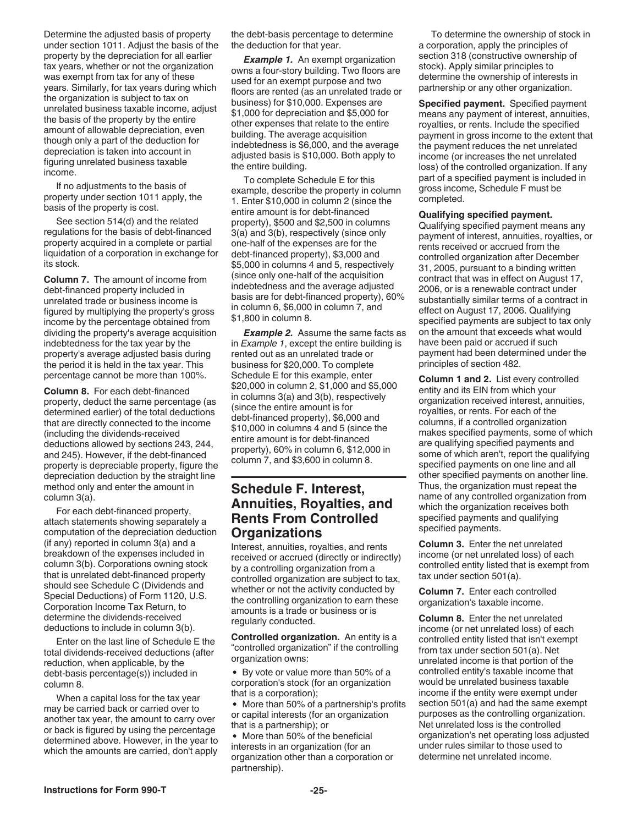<span id="page-24-0"></span>Determine the adjusted basis of property under section 1011. Adjust the basis of the property by the depreciation for all earlier tax years, whether or not the organization was exempt from tax for any of these years. Similarly, for tax years during which the organization is subject to tax on unrelated business taxable income, adjust the basis of the property by the entire amount of allowable depreciation, even though only a part of the deduction for depreciation is taken into account in figuring unrelated business taxable income.

If no adjustments to the basis of property under section 1011 apply, the basis of the property is cost.

See section 514(d) and the related regulations for the basis of debt-financed property acquired in a complete or partial liquidation of a corporation in exchange for its stock.

**Column 7.** The amount of income from debt-financed property included in unrelated trade or business income is figured by multiplying the property's gross income by the percentage obtained from dividing the property's average acquisition indebtedness for the tax year by the property's average adjusted basis during the period it is held in the tax year. This percentage cannot be more than 100%.

**Column 8.** For each debt-financed property, deduct the same percentage (as determined earlier) of the total deductions that are directly connected to the income (including the dividends-received deductions allowed by sections 243, 244, and 245). However, if the debt-financed property is depreciable property, figure the depreciation deduction by the straight line method only and enter the amount in column 3(a).

For each debt-financed property, attach statements showing separately a computation of the depreciation deduction (if any) reported in column 3(a) and a breakdown of the expenses included in column 3(b). Corporations owning stock that is unrelated debt-financed property should see Schedule C (Dividends and Special Deductions) of Form 1120, U.S. Corporation Income Tax Return, to determine the dividends-received deductions to include in column 3(b).

Enter on the last line of Schedule E the total dividends-received deductions (after reduction, when applicable, by the debt-basis percentage(s)) included in column 8.

When a capital loss for the tax year may be carried back or carried over to another tax year, the amount to carry over or back is figured by using the percentage determined above. However, in the year to which the amounts are carried, don't apply

the debt-basis percentage to determine the deduction for that year.

*Example 1.* An exempt organization owns a four-story building. Two floors are used for an exempt purpose and two floors are rented (as an unrelated trade or business) for \$10,000. Expenses are \$1,000 for depreciation and \$5,000 for other expenses that relate to the entire building. The average acquisition indebtedness is \$6,000, and the average adjusted basis is \$10,000. Both apply to the entire building.

To complete Schedule E for this example, describe the property in column 1. Enter \$10,000 in column 2 (since the entire amount is for debt-financed property), \$500 and \$2,500 in columns 3(a) and 3(b), respectively (since only one-half of the expenses are for the debt-financed property), \$3,000 and \$5,000 in columns 4 and 5, respectively (since only one-half of the acquisition indebtedness and the average adjusted basis are for debt-financed property), 60% in column 6, \$6,000 in column 7, and \$1,800 in column 8.

**Example 2.** Assume the same facts as in *Example 1*, except the entire building is rented out as an unrelated trade or business for \$20,000. To complete Schedule E for this example, enter \$20,000 in column 2, \$1,000 and \$5,000 in columns 3(a) and 3(b), respectively (since the entire amount is for debt-financed property), \$6,000 and \$10,000 in columns 4 and 5 (since the entire amount is for debt-financed property), 60% in column 6, \$12,000 in column 7, and \$3,600 in column 8.

### **Schedule F. Interest, Annuities, Royalties, and Rents From Controlled Organizations**

Interest, annuities, royalties, and rents received or accrued (directly or indirectly) by a controlling organization from a controlled organization are subject to tax, whether or not the activity conducted by the controlling organization to earn these amounts is a trade or business or is regularly conducted.

**Controlled organization.** An entity is a "controlled organization" if the controlling organization owns:

By vote or value more than 50% of a corporation's stock (for an organization that is a corporation);

• More than 50% of a partnership's profits or capital interests (for an organization that is a partnership); or

More than 50% of the beneficial interests in an organization (for an organization other than a corporation or partnership).

To determine the ownership of stock in a corporation, apply the principles of section 318 (constructive ownership of stock). Apply similar principles to determine the ownership of interests in partnership or any other organization.

**Specified payment.** Specified payment means any payment of interest, annuities, royalties, or rents. Include the specified payment in gross income to the extent that the payment reduces the net unrelated income (or increases the net unrelated loss) of the controlled organization. If any part of a specified payment is included in gross income, Schedule F must be completed.

#### **Qualifying specified payment.**

Qualifying specified payment means any payment of interest, annuities, royalties, or rents received or accrued from the controlled organization after December 31, 2005, pursuant to a binding written contract that was in effect on August 17, 2006, or is a renewable contract under substantially similar terms of a contract in effect on August 17, 2006. Qualifying specified payments are subject to tax only on the amount that exceeds what would have been paid or accrued if such payment had been determined under the principles of section 482.

**Column 1 and 2.** List every controlled entity and its EIN from which your organization received interest, annuities, royalties, or rents. For each of the columns, if a controlled organization makes specified payments, some of which are qualifying specified payments and some of which aren't, report the qualifying specified payments on one line and all other specified payments on another line. Thus, the organization must repeat the name of any controlled organization from which the organization receives both specified payments and qualifying specified payments.

**Column 3.** Enter the net unrelated income (or net unrelated loss) of each controlled entity listed that is exempt from tax under section 501(a).

**Column 7.** Enter each controlled organization's taxable income.

**Column 8.** Enter the net unrelated income (or net unrelated loss) of each controlled entity listed that isn't exempt from tax under section 501(a). Net unrelated income is that portion of the controlled entity's taxable income that would be unrelated business taxable income if the entity were exempt under section 501(a) and had the same exempt purposes as the controlling organization. Net unrelated loss is the controlled organization's net operating loss adjusted under rules similar to those used to determine net unrelated income.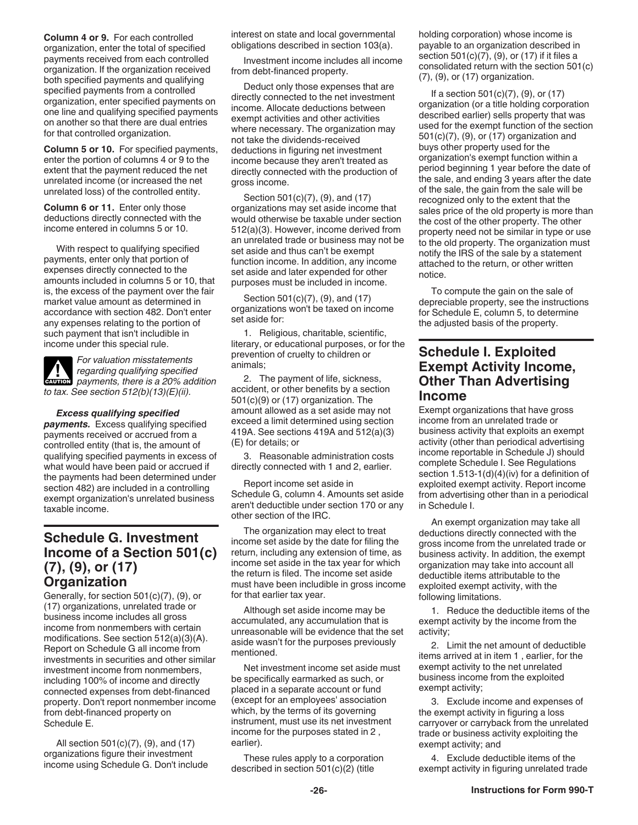<span id="page-25-0"></span>**Column 4 or 9.** For each controlled organization, enter the total of specified payments received from each controlled organization. If the organization received both specified payments and qualifying specified payments from a controlled organization, enter specified payments on one line and qualifying specified payments on another so that there are dual entries for that controlled organization.

**Column 5 or 10.** For specified payments, enter the portion of columns 4 or 9 to the extent that the payment reduced the net unrelated income (or increased the net unrelated loss) of the controlled entity.

**Column 6 or 11.** Enter only those deductions directly connected with the income entered in columns 5 or 10.

With respect to qualifying specified payments, enter only that portion of expenses directly connected to the amounts included in columns 5 or 10, that is, the excess of the payment over the fair market value amount as determined in accordance with section 482. Don't enter any expenses relating to the portion of such payment that isn't includible in income under this special rule.

*For valuation misstatements regarding qualifying specified*  **Payments, there is a 20% addition**<br> **EAUTION** payments, there is a 20% addition *to tax. See section 512(b)(13)(E)(ii).*

*Excess qualifying specified payments.* Excess qualifying specified payments received or accrued from a controlled entity (that is, the amount of qualifying specified payments in excess of what would have been paid or accrued if the payments had been determined under section 482) are included in a controlling exempt organization's unrelated business taxable income.

### **Schedule G. Investment Income of a Section 501(c) (7), (9), or (17) Organization**

Generally, for section 501(c)(7), (9), or (17) organizations, unrelated trade or business income includes all gross income from nonmembers with certain modifications. See section 512(a)(3)(A). Report on Schedule G all income from investments in securities and other similar investment income from nonmembers, including 100% of income and directly connected expenses from debt-financed property. Don't report nonmember income from debt-financed property on Schedule E.

All section 501(c)(7), (9), and (17) organizations figure their investment income using Schedule G. Don't include interest on state and local governmental obligations described in section 103(a).

Investment income includes all income from debt-financed property.

Deduct only those expenses that are directly connected to the net investment income. Allocate deductions between exempt activities and other activities where necessary. The organization may not take the dividends-received deductions in figuring net investment income because they aren't treated as directly connected with the production of gross income.

Section 501(c)(7), (9), and (17) organizations may set aside income that would otherwise be taxable under section 512(a)(3). However, income derived from an unrelated trade or business may not be set aside and thus can't be exempt function income. In addition, any income set aside and later expended for other purposes must be included in income.

Section 501(c)(7), (9), and (17) organizations won't be taxed on income set aside for:

1. Religious, charitable, scientific, literary, or educational purposes, or for the prevention of cruelty to children or animals;

2. The payment of life, sickness, accident, or other benefits by a section 501(c)(9) or (17) organization. The amount allowed as a set aside may not exceed a limit determined using section 419A. See sections 419A and 512(a)(3) (E) for details; or

3. Reasonable administration costs directly connected with 1 and 2, earlier.

Report income set aside in Schedule G, column 4. Amounts set aside aren't deductible under section 170 or any other section of the IRC.

The organization may elect to treat income set aside by the date for filing the return, including any extension of time, as income set aside in the tax year for which the return is filed. The income set aside must have been includible in gross income for that earlier tax year.

Although set aside income may be accumulated, any accumulation that is unreasonable will be evidence that the set aside wasn't for the purposes previously mentioned.

Net investment income set aside must be specifically earmarked as such, or placed in a separate account or fund (except for an employees' association which, by the terms of its governing instrument, must use its net investment income for the purposes stated in 2 , earlier).

These rules apply to a corporation described in section 501(c)(2) (title

holding corporation) whose income is payable to an organization described in section 501(c)(7), (9), or (17) if it files a consolidated return with the section 501(c) (7), (9), or (17) organization.

If a section 501(c)(7), (9), or (17) organization (or a title holding corporation described earlier) sells property that was used for the exempt function of the section 501(c)(7), (9), or (17) organization and buys other property used for the organization's exempt function within a period beginning 1 year before the date of the sale, and ending 3 years after the date of the sale, the gain from the sale will be recognized only to the extent that the sales price of the old property is more than the cost of the other property. The other property need not be similar in type or use to the old property. The organization must notify the IRS of the sale by a statement attached to the return, or other written notice.

To compute the gain on the sale of depreciable property, see the instructions for Schedule E, column 5, to determine the adjusted basis of the property.

### **Schedule I. Exploited Exempt Activity Income, Other Than Advertising Income**

Exempt organizations that have gross income from an unrelated trade or business activity that exploits an exempt activity (other than periodical advertising income reportable in Schedule J) should complete Schedule I. See Regulations section 1.513-1(d)(4)(iv) for a definition of exploited exempt activity. Report income from advertising other than in a periodical in Schedule I.

An exempt organization may take all deductions directly connected with the gross income from the unrelated trade or business activity. In addition, the exempt organization may take into account all deductible items attributable to the exploited exempt activity, with the following limitations.

1. Reduce the deductible items of the exempt activity by the income from the activity;

2. Limit the net amount of deductible items arrived at in item 1 , earlier, for the exempt activity to the net unrelated business income from the exploited exempt activity;

3. Exclude income and expenses of the exempt activity in figuring a loss carryover or carryback from the unrelated trade or business activity exploiting the exempt activity; and

4. Exclude deductible items of the exempt activity in figuring unrelated trade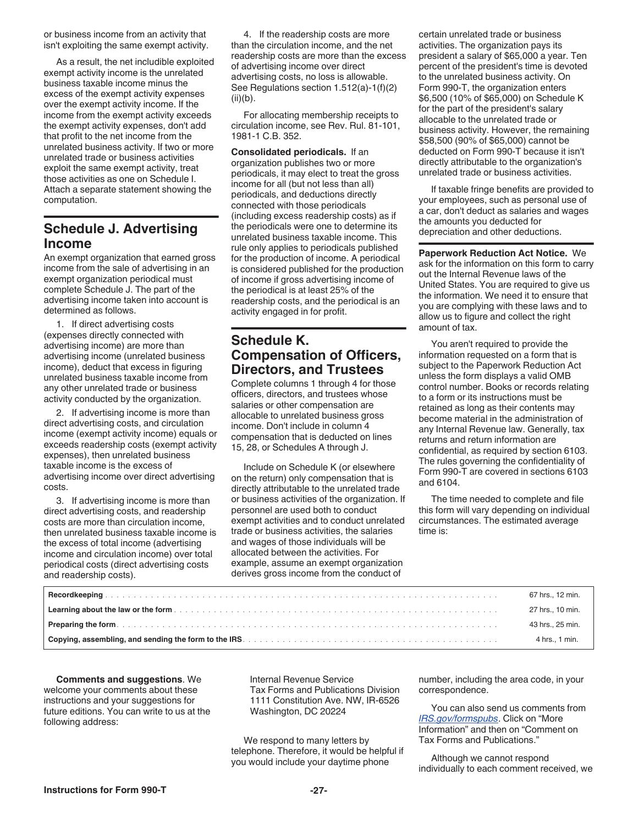<span id="page-26-0"></span>or business income from an activity that isn't exploiting the same exempt activity.

As a result, the net includible exploited exempt activity income is the unrelated business taxable income minus the excess of the exempt activity expenses over the exempt activity income. If the income from the exempt activity exceeds the exempt activity expenses, don't add that profit to the net income from the unrelated business activity. If two or more unrelated trade or business activities exploit the same exempt activity, treat those activities as one on Schedule I. Attach a separate statement showing the computation.

### **Schedule J. Advertising Income**

An exempt organization that earned gross income from the sale of advertising in an exempt organization periodical must complete Schedule J. The part of the advertising income taken into account is determined as follows.

1. If direct advertising costs (expenses directly connected with advertising income) are more than advertising income (unrelated business income), deduct that excess in figuring unrelated business taxable income from any other unrelated trade or business activity conducted by the organization.

2. If advertising income is more than direct advertising costs, and circulation income (exempt activity income) equals or exceeds readership costs (exempt activity expenses), then unrelated business taxable income is the excess of advertising income over direct advertising costs.

3. If advertising income is more than direct advertising costs, and readership costs are more than circulation income, then unrelated business taxable income is the excess of total income (advertising income and circulation income) over total periodical costs (direct advertising costs and readership costs).

4. If the readership costs are more than the circulation income, and the net readership costs are more than the excess of advertising income over direct advertising costs, no loss is allowable. See Regulations section 1.512(a)-1(f)(2) (ii)(b).

For allocating membership receipts to circulation income, see Rev. Rul. 81-101, 1981-1 C.B. 352.

**Consolidated periodicals.** If an organization publishes two or more periodicals, it may elect to treat the gross income for all (but not less than all) periodicals, and deductions directly connected with those periodicals (including excess readership costs) as if the periodicals were one to determine its unrelated business taxable income. This rule only applies to periodicals published for the production of income. A periodical is considered published for the production of income if gross advertising income of the periodical is at least 25% of the readership costs, and the periodical is an activity engaged in for profit.

### **Schedule K. Compensation of Officers, Directors, and Trustees**

Complete columns 1 through 4 for those officers, directors, and trustees whose salaries or other compensation are allocable to unrelated business gross income. Don't include in column 4 compensation that is deducted on lines 15, 28, or Schedules A through J.

Include on Schedule K (or elsewhere on the return) only compensation that is directly attributable to the unrelated trade or business activities of the organization. If personnel are used both to conduct exempt activities and to conduct unrelated trade or business activities, the salaries and wages of those individuals will be allocated between the activities. For example, assume an exempt organization derives gross income from the conduct of

certain unrelated trade or business activities. The organization pays its president a salary of \$65,000 a year. Ten percent of the president's time is devoted to the unrelated business activity. On Form 990-T, the organization enters \$6,500 (10% of \$65,000) on Schedule K for the part of the president's salary allocable to the unrelated trade or business activity. However, the remaining \$58,500 (90% of \$65,000) cannot be deducted on Form 990-T because it isn't directly attributable to the organization's unrelated trade or business activities.

If taxable fringe benefits are provided to your employees, such as personal use of a car, don't deduct as salaries and wages the amounts you deducted for depreciation and other deductions.

**Paperwork Reduction Act Notice.** We ask for the information on this form to carry out the Internal Revenue laws of the United States. You are required to give us the information. We need it to ensure that you are complying with these laws and to allow us to figure and collect the right amount of tax.

You aren't required to provide the information requested on a form that is subject to the Paperwork Reduction Act unless the form displays a valid OMB control number. Books or records relating to a form or its instructions must be retained as long as their contents may become material in the administration of any Internal Revenue law. Generally, tax returns and return information are confidential, as required by section 6103. The rules governing the confidentiality of Form 990-T are covered in sections 6103 and 6104.

The time needed to complete and file this form will vary depending on individual circumstances. The estimated average time is:

| 67 hrs., 12 min. |
|------------------|
| 27 hrs., 10 min. |
| 43 hrs., 25 min. |
| 4 hrs., 1 min.   |

**Comments and suggestions**. We welcome your comments about these instructions and your suggestions for future editions. You can write to us at the following address:

Internal Revenue Service Tax Forms and Publications Division 1111 Constitution Ave. NW, IR-6526 Washington, DC 20224

We respond to many letters by telephone. Therefore, it would be helpful if you would include your daytime phone

number, including the area code, in your correspondence.

You can also send us comments from *[IRS.gov/formspubs](https://www.irs.gov/formspubs)*. Click on "More Information" and then on "Comment on Tax Forms and Publications."

Although we cannot respond individually to each comment received, we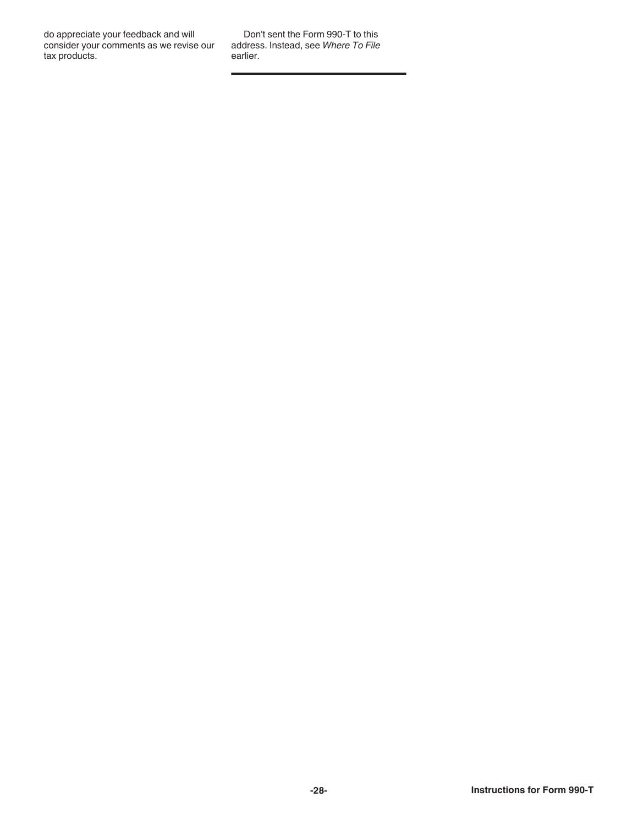do appreciate your feedback and will consider your comments as we revise our tax products.

Don't sent the Form 990-T to this address. Instead, see *Where To File*  earlier.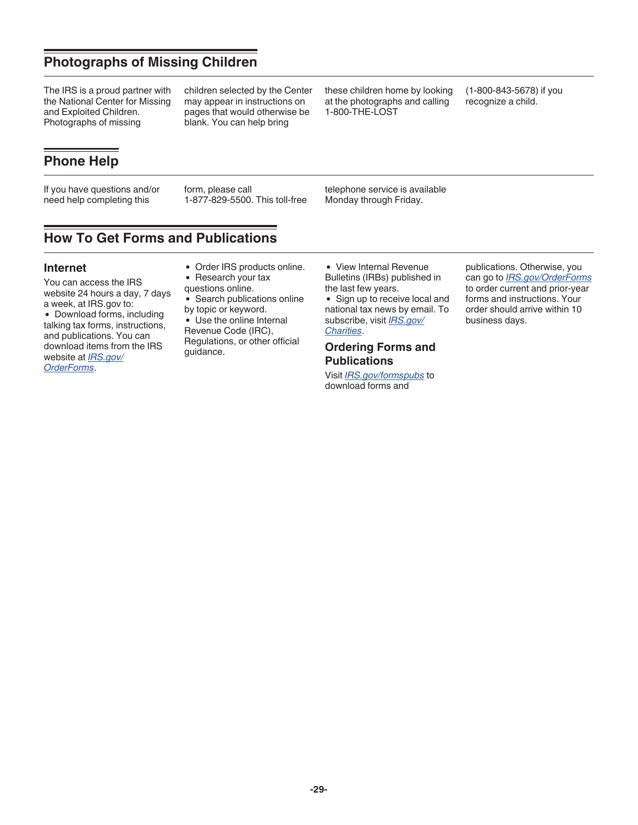### **Photographs of Missing Children**

The IRS is a proud partner with the National Center for Missing and Exploited Children. Photographs of missing

children selected by the Center may appear in instructions on pages that would otherwise be blank. You can help bring

these children home by looking at the photographs and calling 1-800-THE-LOST

(1-800-843-5678) if you recognize a child.

### **Phone Help**

If you have questions and/or need help completing this

form, please call 1-877-829-5500. This toll-free telephone service is available Monday through Friday.

### **How To Get Forms and Publications**

#### **Internet**

You can access the IRS website 24 hours a day, 7 days a week, at IRS.gov to:

Download forms, including talking tax forms, instructions, and publications. You can download items from the IRS website at *[IRS.gov/](https://www.irs.gov/forms-pubs/order-products) [OrderForms](https://www.irs.gov/forms-pubs/order-products)*.

- Order IRS products online.
- Research your tax
- questions online.
- Search publications online by topic or keyword.
- Use the online Internal Revenue Code (IRC), Regulations, or other official guidance.

View Internal Revenue Bulletins (IRBs) published in the last few years.

• Sign up to receive local and national tax news by email. To subscribe, visit *[IRS.gov/](https://www.irs.gov/charities-non-profits) [Charities](https://www.irs.gov/charities-non-profits)*.

#### **Ordering Forms and Publications**

Visit *[IRS.gov/formspubs](https://www.irs.gov/formspubs)* to download forms and

publications. Otherwise, you can go to *[IRS.gov/OrderForms](https://www.irs.gov/orderforms)*  to order current and prior-year forms and instructions. Your order should arrive within 10 business days.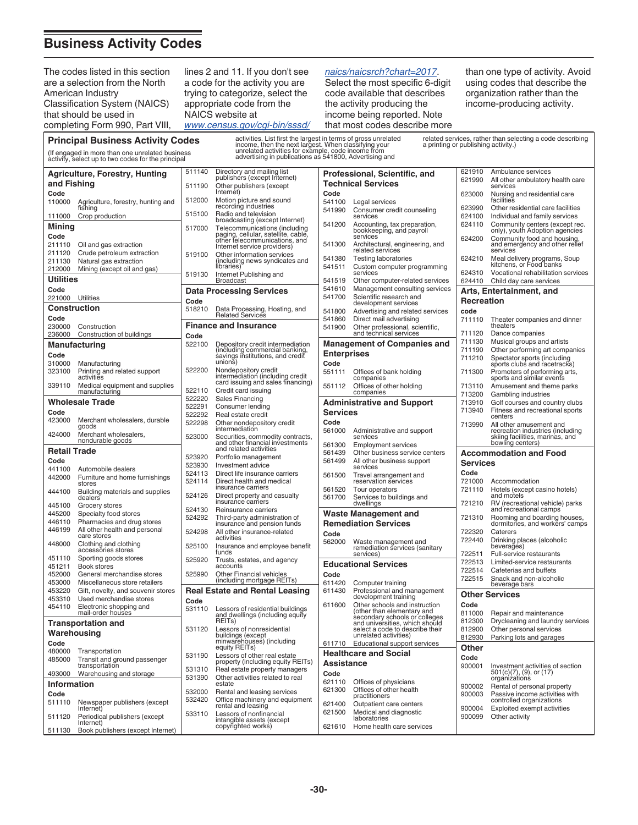### <span id="page-29-0"></span>**Business Activity Codes**

**Principal Business Activity Codes**

The codes listed in this section are a selection from the North American Industry Classification System (NAICS) that should be used in completing Form 990, Part VIII,

lines 2 and 11. If you don't see a code for the activity you are trying to categorize, select the appropriate code from the NAICS website at *[www.census.gov/cgi-bin/sssd/](https://www.census.gov/cgi-bin/sssd/naics/naicsrch?chart=2017)*

#### *[naics/naicsrch?chart=2017](https://www.census.gov/cgi-bin/sssd/naics/naicsrch?chart=2017)*.

Select the most specific 6-digit code available that describes the activity producing the income being reported. Note that most codes describe more than one type of activity. Avoid using codes that describe the organization rather than the income-producing activity.

|                                                                                                                                                                                                                                                                                                                      | <b>Principal Business Activity Codes</b>                    |                  | activities. List first the largest in terms of gross unrelated                                         |                    |                                                                                                    |                         | related services, rather than selecting a code describing           |
|----------------------------------------------------------------------------------------------------------------------------------------------------------------------------------------------------------------------------------------------------------------------------------------------------------------------|-------------------------------------------------------------|------------------|--------------------------------------------------------------------------------------------------------|--------------------|----------------------------------------------------------------------------------------------------|-------------------------|---------------------------------------------------------------------|
| income, then the next largest. When classifying your<br>a printing or publishing activity.)<br>unrelated activities for example, code income from<br>advertising in publications as 541800, Advertising and<br>(If engaged in more than one unrelated business<br>activity, select up to two codes for the principal |                                                             |                  |                                                                                                        |                    |                                                                                                    |                         |                                                                     |
| and Fishing                                                                                                                                                                                                                                                                                                          | <b>Agriculture, Forestry, Hunting</b>                       | 511140<br>511190 | Directory and mailing list<br>publishers (except Internet)<br>Other publishers (except                 |                    | Professional, Scientific, and<br><b>Technical Services</b>                                         | 621910<br>621990        | Ambulance services<br>All other ambulatory health care<br>services  |
| Code                                                                                                                                                                                                                                                                                                                 |                                                             |                  | Internet)                                                                                              | Code               |                                                                                                    | 623000                  | Nursing and residential care                                        |
| 110000                                                                                                                                                                                                                                                                                                               | Agriculture, forestry, hunting and<br>fishing               | 512000           | Motion picture and sound<br>recording industries                                                       | 541100<br>541990   | Legal services<br>Consumer credit counseling                                                       | 623990                  | facilities<br>Other residential care facilities                     |
| 111000                                                                                                                                                                                                                                                                                                               | Crop production                                             | 515100           | Radio and television<br>broadcasting (except Internet)                                                 |                    | services                                                                                           | 624100                  | Individual and family services                                      |
| Mining                                                                                                                                                                                                                                                                                                               |                                                             | 517000           | Telecommunications (including<br>paging, cellular, satellite, cable,<br>other telecommunications, and  | 541200             | Accounting, tax preparation,<br>bookkeeping, and payroll                                           | 624110                  | Community centers (except rec.<br>only), youth Adoption agencies    |
| Code<br>211110                                                                                                                                                                                                                                                                                                       | Oil and gas extraction                                      |                  |                                                                                                        | 541300             | services<br>Architectural, engineering, and                                                        | 624200                  | Community food and housing,<br>and emergency and other relief       |
| 211120                                                                                                                                                                                                                                                                                                               | Crude petroleum extraction                                  | 519100           | Internet service providers)<br>Other information services                                              | 541380             | related services                                                                                   | 624210                  | services                                                            |
| 211130<br>212000                                                                                                                                                                                                                                                                                                     | Natural gas extraction<br>Mining (except oil and gas)       |                  | (including news syndicates and<br>libraries)                                                           | 541511             | <b>Testing laboratories</b><br>Custom computer programming                                         |                         | Meal delivery programs, Soup<br>kitchens, or Food banks             |
| <b>Utilities</b>                                                                                                                                                                                                                                                                                                     |                                                             | 519130           | Internet Publishing and<br><b>Broadcast</b>                                                            | 541519             | services<br>Other computer-related services                                                        | 624310<br>624410        | Vocational rehabilitation services<br>Child day care services       |
| Code                                                                                                                                                                                                                                                                                                                 |                                                             |                  | <b>Data Processing Services</b>                                                                        | 541610             | Management consulting services                                                                     |                         | Arts, Entertainment, and                                            |
| 221000 Utilities                                                                                                                                                                                                                                                                                                     |                                                             | Code             |                                                                                                        | 541700             | Scientific research and<br>development services                                                    | Recreation              |                                                                     |
| <b>Construction</b><br>Code                                                                                                                                                                                                                                                                                          |                                                             | 518210           | Data Processing, Hosting, and<br><b>Related Services</b>                                               | 541800             | Advertising and related services                                                                   | code                    |                                                                     |
| 230000                                                                                                                                                                                                                                                                                                               | Construction                                                |                  | <b>Finance and Insurance</b>                                                                           | 541860<br>541900   | Direct mail advertising<br>Other professional, scientific,                                         | 711110                  | Theater companies and dinner<br>theaters                            |
| 236000                                                                                                                                                                                                                                                                                                               | Construction of buildings                                   | Code             |                                                                                                        |                    | and technical services                                                                             | 711120<br>711130        | Dance companies<br>Musical groups and artists                       |
|                                                                                                                                                                                                                                                                                                                      | <b>Manufacturing</b>                                        | 522100           | Depository credit intermediation<br>(including commercial banking,<br>savings institutions, and credit | <b>Enterprises</b> | <b>Management of Companies and</b>                                                                 | 711190                  | Other performing art companies                                      |
| Code<br>310000                                                                                                                                                                                                                                                                                                       | Manufacturing                                               |                  | unions)                                                                                                | Code               |                                                                                                    | 711210                  | Spectator sports (including<br>sports clubs and racetracks)         |
| 323100                                                                                                                                                                                                                                                                                                               | Printing and related support<br>activities                  | 522200           | Nondepository credit<br>intermediation (including credit                                               | 551111             | Offices of bank holding                                                                            | 711300                  | Promoters of performing arts,<br>sports and similar events          |
| 339110                                                                                                                                                                                                                                                                                                               | Medical equipment and supplies                              |                  | card issuing and sales financing)                                                                      | 551112             | companies<br>Offices of other holding                                                              | 713110                  | Amusement and theme parks                                           |
|                                                                                                                                                                                                                                                                                                                      | manufacturing<br><b>Wholesale Trade</b>                     | 522110<br>522220 | Credit card issuing<br><b>Sales Financing</b>                                                          |                    | companies                                                                                          | 713200<br>713910        | Gambling industries                                                 |
| Code                                                                                                                                                                                                                                                                                                                 |                                                             | 522291           | Consumer lending                                                                                       | <b>Services</b>    | <b>Administrative and Support</b>                                                                  | 713940                  | Golf courses and country clubs<br>Fitness and recreational sports   |
| 423000                                                                                                                                                                                                                                                                                                               | Merchant wholesalers, durable                               | 522292<br>522298 | Real estate credit<br>Other nondepository credit                                                       | Code               |                                                                                                    | 713990                  | centers<br>All other amusement and                                  |
| 424000                                                                                                                                                                                                                                                                                                               | goods<br>Merchant wholesalers,                              | 523000           | intermediation                                                                                         | 561000             | Administrative and support<br>services                                                             |                         | recreation industries (including<br>skiing facilities, marinas, and |
|                                                                                                                                                                                                                                                                                                                      | nondurable goods                                            |                  | Securities, commodity contracts,<br>and other financial investments<br>and related activities          | 561300             | <b>Employment services</b>                                                                         |                         | bowling centers)                                                    |
| <b>Retail Trade</b><br>Code                                                                                                                                                                                                                                                                                          |                                                             | 523920           | Portfolio management                                                                                   | 561439<br>561499   | Other business service centers<br>All other business support                                       |                         | <b>Accommodation and Food</b>                                       |
| 441100                                                                                                                                                                                                                                                                                                               | Automobile dealers                                          | 523930<br>524113 | Investment advice<br>Direct life insurance carriers                                                    |                    | services                                                                                           | <b>Services</b><br>Code |                                                                     |
| 442000                                                                                                                                                                                                                                                                                                               | Furniture and home furnishings<br>stores                    | 524114           | Direct health and medical                                                                              | 561500             | Travel arrangement and<br>reservation services                                                     | 721000                  | Accommodation                                                       |
| 444100                                                                                                                                                                                                                                                                                                               | Building materials and supplies<br>dealers                  | 524126           | insurance carriers<br>Direct property and casualty                                                     | 561520<br>561700   | Tour operators<br>Services to buildings and                                                        | 721110                  | Hotels (except casino hotels)<br>and motels                         |
| 445100                                                                                                                                                                                                                                                                                                               | Grocery stores                                              | 524130           | insurance carriers<br>Reinsurance carriers                                                             |                    | dwellings                                                                                          | 721210                  | RV (recreational vehicle) parks<br>and recreational camps           |
| 445200<br>446110                                                                                                                                                                                                                                                                                                     | Specialty food stores<br>Pharmacies and drug stores         | 524292           | Third-party administration of                                                                          |                    | Waste Management and                                                                               | 721310                  | Rooming and boarding houses,<br>dormitories, and workers' camps     |
| 446199                                                                                                                                                                                                                                                                                                               | All other health and personal                               | 524298           | insurance and pension funds<br>All other insurance-related                                             | Code               | <b>Remediation Services</b>                                                                        | 722320                  | Caterers                                                            |
| 448000                                                                                                                                                                                                                                                                                                               | care stores<br>Clothing and clothing                        | 525100           | activities<br>Insurance and employee benefit                                                           | 562000             | Waste management and                                                                               | 722440                  | Drinking places (alcoholic                                          |
| 451110                                                                                                                                                                                                                                                                                                               | accessories stores<br>Sporting goods stores                 |                  | funds                                                                                                  |                    | remediation services (sanitary<br>services)                                                        | 722511                  | beverages)<br>Full-service restaurants                              |
| 451211                                                                                                                                                                                                                                                                                                               | Book stores                                                 | 525920           | Trusts, estates, and agency<br>accounts                                                                |                    | <b>Educational Services</b>                                                                        | 722513<br>722514        | Limited-service restaurants<br>Cafeterias and buffets               |
| 452000<br>453000                                                                                                                                                                                                                                                                                                     | General merchandise stores<br>Miscellaneous store retailers | 525990           | Other Financial vehicles<br>(including mortgage REITs)                                                 | Code               |                                                                                                    | 722515                  | Snack and non-alcoholic                                             |
| 453220                                                                                                                                                                                                                                                                                                               | Gift, novelty, and souvenir stores                          |                  | <b>Real Estate and Rental Leasing</b>                                                                  | 611420<br>611430   | Computer training<br>Professional and management                                                   |                         | beverage bars<br><b>Other Services</b>                              |
| 453310                                                                                                                                                                                                                                                                                                               | Used merchandise stores                                     | Code             |                                                                                                        | 611600             | development training<br>Other schools and instruction                                              | coae                    |                                                                     |
| 454110                                                                                                                                                                                                                                                                                                               | Electronic shopping and<br>mail-order houses                | 531110           | Lessors of residential buildings<br>and dwellings (including equity                                    |                    | (other than elementary and                                                                         |                         | 811000 Repair and maintenance                                       |
|                                                                                                                                                                                                                                                                                                                      | <b>Transportation and</b>                                   | 531120           | REITs)<br>Lessors of nonresidential                                                                    |                    | secondary schools or colleges<br>and universities, which should<br>select a code to describe their | 812300<br>812900        | Drycleaning and laundry services<br>Other personal services         |
| Warehousing                                                                                                                                                                                                                                                                                                          |                                                             |                  | buildings (except<br>minwarehouses) (including                                                         |                    | unrelated activities)                                                                              | 812930                  | Parking lots and garages                                            |
| Code<br>480000                                                                                                                                                                                                                                                                                                       | Transportation                                              |                  | equity REITs)                                                                                          | 611710             | Educational support services<br><b>Healthcare and Social</b>                                       | Other                   |                                                                     |
| 485000                                                                                                                                                                                                                                                                                                               | Transit and ground passenger<br>transportation              | 531190           | Lessors of other real estate<br>property (including equity REITs)                                      | Assistance         |                                                                                                    | Code                    |                                                                     |
| 493000                                                                                                                                                                                                                                                                                                               | Warehousing and storage                                     | 531310<br>531390 | Real estate property managers<br>Other activities related to real                                      | Code               |                                                                                                    | 900001                  | Investment activities of section<br>$501(c)(7)$ , (9), or (17)      |
| <b>Information</b>                                                                                                                                                                                                                                                                                                   |                                                             |                  | estate                                                                                                 | 621110<br>621300   | Offices of physicians<br>Offices of other health                                                   | 900002                  | organizations<br>Rental of personal property                        |
| Code                                                                                                                                                                                                                                                                                                                 |                                                             | 532000<br>532420 | Rental and leasing services                                                                            |                    | practitioners                                                                                      | 900003                  | Passive income activities with<br>controlled organizations          |
| 511110                                                                                                                                                                                                                                                                                                               | Newspaper publishers (except<br>Internet)                   |                  | Office machinery and equipment<br>rental and leasing                                                   | 621400<br>621500   | Outpatient care centers<br>Medical and diagnostic                                                  | 900004                  | Exploited exempt activities                                         |
| 511120                                                                                                                                                                                                                                                                                                               | Periodical publishers (except<br>Internet)                  | 533110           | Lessors of nonfinancial<br>intangible assets (except                                                   |                    | laboratories                                                                                       | 900099                  | Other activity                                                      |
| 511130                                                                                                                                                                                                                                                                                                               | Book publishers (except Internet)                           |                  | copyrighted works)                                                                                     | 621610             | Home health care services                                                                          |                         |                                                                     |